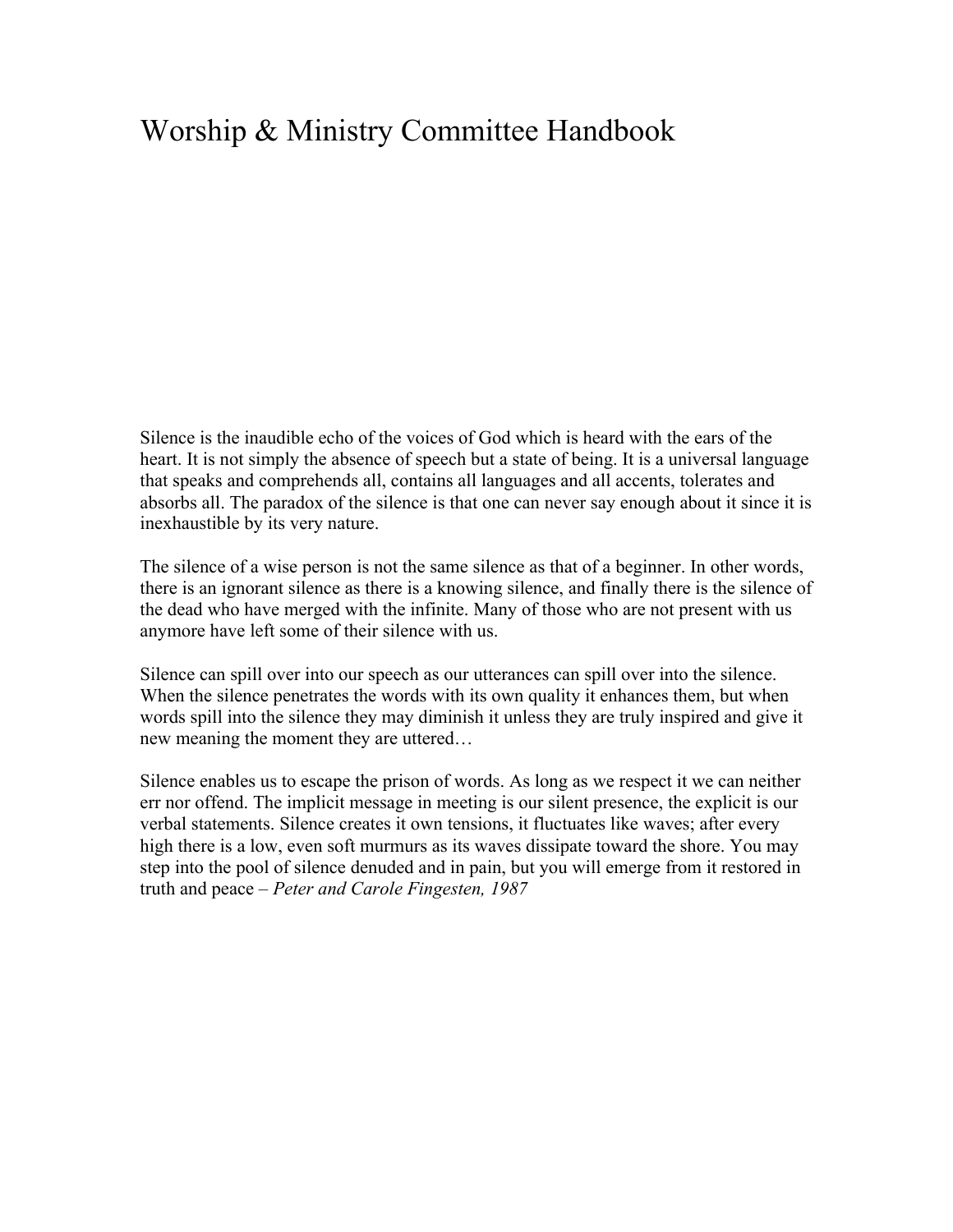# Worship & Ministry Committee Handbook

Silence is the inaudible echo of the voices of God which is heard with the ears of the heart. It is not simply the absence of speech but a state of being. It is a universal language that speaks and comprehends all, contains all languages and all accents, tolerates and absorbs all. The paradox of the silence is that one can never say enough about it since it is inexhaustible by its very nature.

The silence of a wise person is not the same silence as that of a beginner. In other words, there is an ignorant silence as there is a knowing silence, and finally there is the silence of the dead who have merged with the infinite. Many of those who are not present with us anymore have left some of their silence with us.

Silence can spill over into our speech as our utterances can spill over into the silence. When the silence penetrates the words with its own quality it enhances them, but when words spill into the silence they may diminish it unless they are truly inspired and give it new meaning the moment they are uttered…

Silence enables us to escape the prison of words. As long as we respect it we can neither err nor offend. The implicit message in meeting is our silent presence, the explicit is our verbal statements. Silence creates it own tensions, it fluctuates like waves; after every high there is a low, even soft murmurs as its waves dissipate toward the shore. You may step into the pool of silence denuded and in pain, but you will emerge from it restored in truth and peace – *Peter and Carole Fingesten, 1987*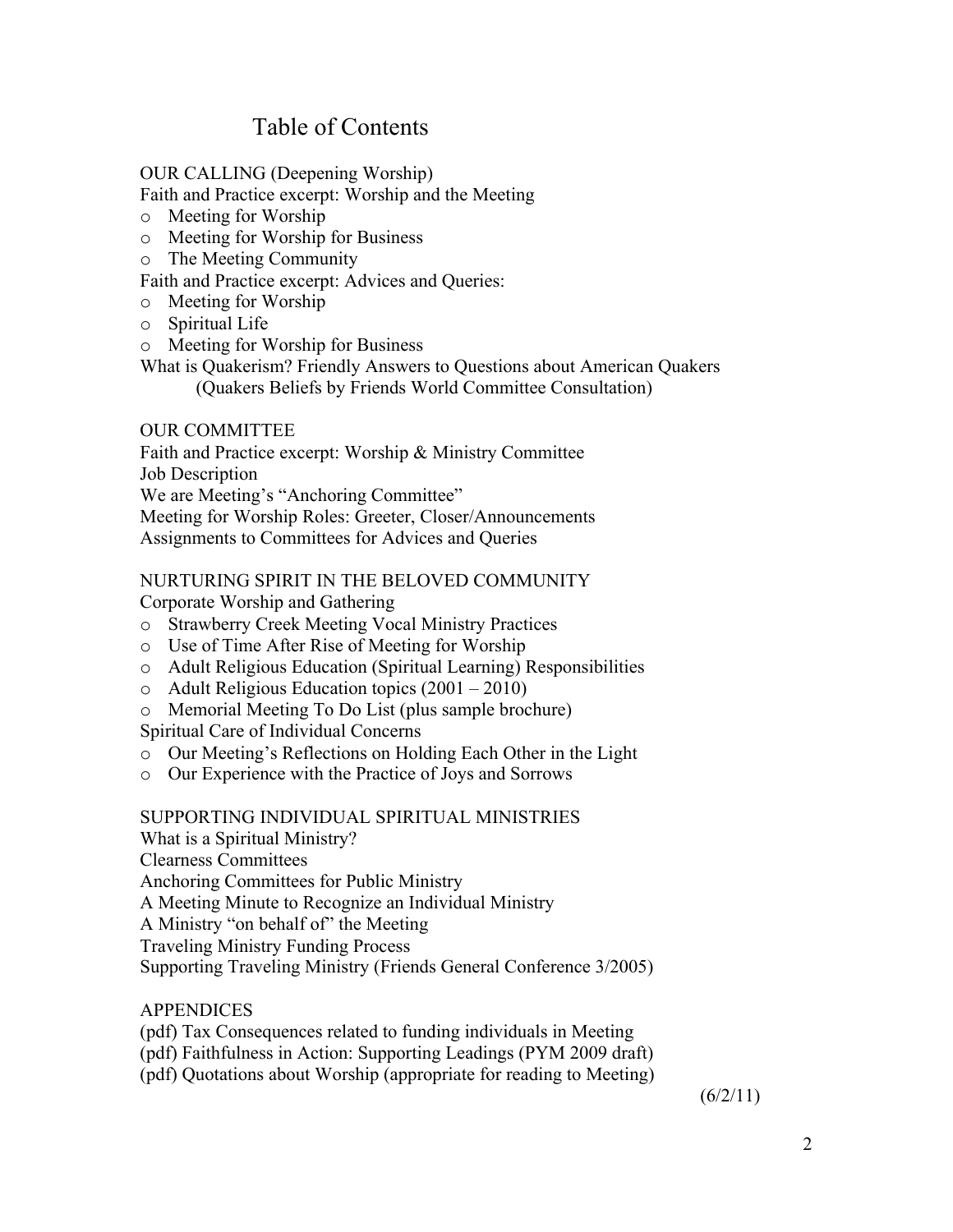# Table of Contents

#### OUR CALLING (Deepening Worship)

Faith and Practice excerpt: Worship and the Meeting

- o Meeting for Worship
- o Meeting for Worship for Business
- o The Meeting Community

Faith and Practice excerpt: Advices and Queries:

- o Meeting for Worship
- o Spiritual Life
- o Meeting for Worship for Business

What is Quakerism? Friendly Answers to Questions about American Quakers (Quakers Beliefs by Friends World Committee Consultation)

#### OUR COMMITTEE

Faith and Practice excerpt: Worship & Ministry Committee Job Description We are Meeting's "Anchoring Committee" Meeting for Worship Roles: Greeter, Closer/Announcements Assignments to Committees for Advices and Queries

### NURTURING SPIRIT IN THE BELOVED COMMUNITY

Corporate Worship and Gathering

- o Strawberry Creek Meeting Vocal Ministry Practices
- o Use of Time After Rise of Meeting for Worship
- o Adult Religious Education (Spiritual Learning) Responsibilities
- o Adult Religious Education topics (2001 2010)
- o Memorial Meeting To Do List (plus sample brochure)

Spiritual Care of Individual Concerns

- o Our Meeting's Reflections on Holding Each Other in the Light
- o Our Experience with the Practice of Joys and Sorrows

#### SUPPORTING INDIVIDUAL SPIRITUAL MINISTRIES

What is a Spiritual Ministry? Clearness Committees Anchoring Committees for Public Ministry A Meeting Minute to Recognize an Individual Ministry A Ministry "on behalf of" the Meeting Traveling Ministry Funding Process Supporting Traveling Ministry (Friends General Conference 3/2005)

### **APPENDICES**

- (pdf) Tax Consequences related to funding individuals in Meeting
- (pdf) Faithfulness in Action: Supporting Leadings (PYM 2009 draft)
- (pdf) Quotations about Worship (appropriate for reading to Meeting)

 $(6/2/11)$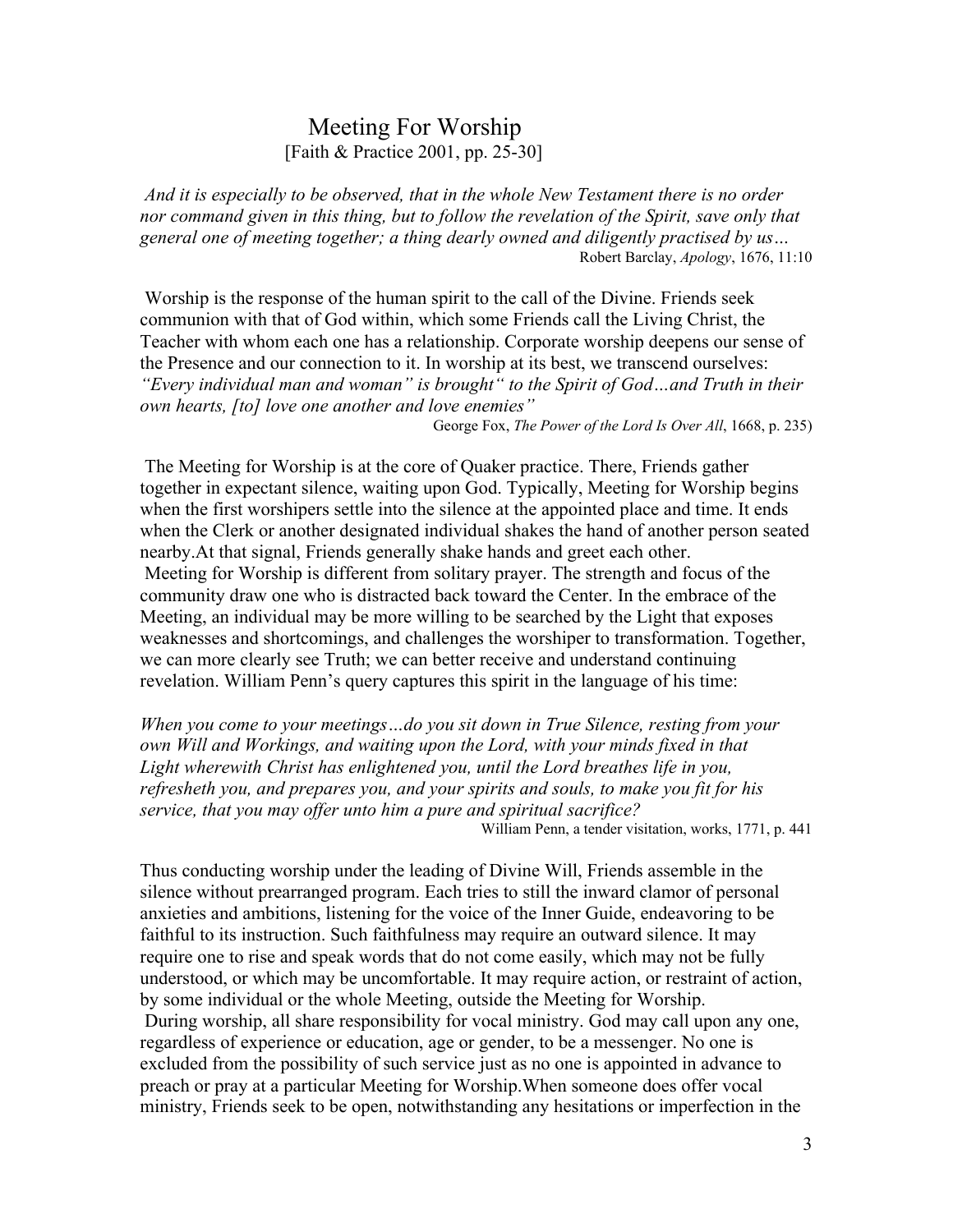# Meeting For Worship<br>[Faith & Practice 2001, pp. 25-30]

 *And it is especially to be observed, that in the whole New Testament there is no order nor command given in this thing, but to follow the revelation of the Spirit, save only that general one of meeting together; a thing dearly owned and diligently practised by us…* Robert Barclay, *Apology*, 1676, 11:10

 Worship is the response of the human spirit to the call of the Divine. Friends seek communion with that of God within, which some Friends call the Living Christ, the Teacher with whom each one has a relationship. Corporate worship deepens our sense of the Presence and our connection to it. In worship at its best, we transcend ourselves: *"Every individual man and woman" is brought" to the Spirit of God…and Truth in their own hearts, [to] love one another and love enemies"*

George Fox, *The Power of the Lord Is Over All*, 1668, p. 235)

 The Meeting for Worship is at the core of Quaker practice. There, Friends gather together in expectant silence, waiting upon God. Typically, Meeting for Worship begins when the first worshipers settle into the silence at the appointed place and time. It ends when the Clerk or another designated individual shakes the hand of another person seated nearby.At that signal, Friends generally shake hands and greet each other. Meeting for Worship is different from solitary prayer. The strength and focus of the community draw one who is distracted back toward the Center. In the embrace of the Meeting, an individual may be more willing to be searched by the Light that exposes weaknesses and shortcomings, and challenges the worshiper to transformation. Together, we can more clearly see Truth; we can better receive and understand continuing revelation. William Penn's query captures this spirit in the language of his time:

*When you come to your meetings…do you sit down in True Silence, resting from your own Will and Workings, and waiting upon the Lord, with your minds fixed in that Light wherewith Christ has enlightened you, until the Lord breathes life in you, refresheth you, and prepares you, and your spirits and souls, to make you fit for his service, that you may offer unto him a pure and spiritual sacrifice?*

William Penn, a tender visitation, works, 1771, p. 441

Thus conducting worship under the leading of Divine Will, Friends assemble in the silence without prearranged program. Each tries to still the inward clamor of personal anxieties and ambitions, listening for the voice of the Inner Guide, endeavoring to be faithful to its instruction. Such faithfulness may require an outward silence. It may require one to rise and speak words that do not come easily, which may not be fully understood, or which may be uncomfortable. It may require action, or restraint of action, by some individual or the whole Meeting, outside the Meeting for Worship. During worship, all share responsibility for vocal ministry. God may call upon any one, regardless of experience or education, age or gender, to be a messenger. No one is excluded from the possibility of such service just as no one is appointed in advance to preach or pray at a particular Meeting for Worship.When someone does offer vocal ministry, Friends seek to be open, notwithstanding any hesitations or imperfection in the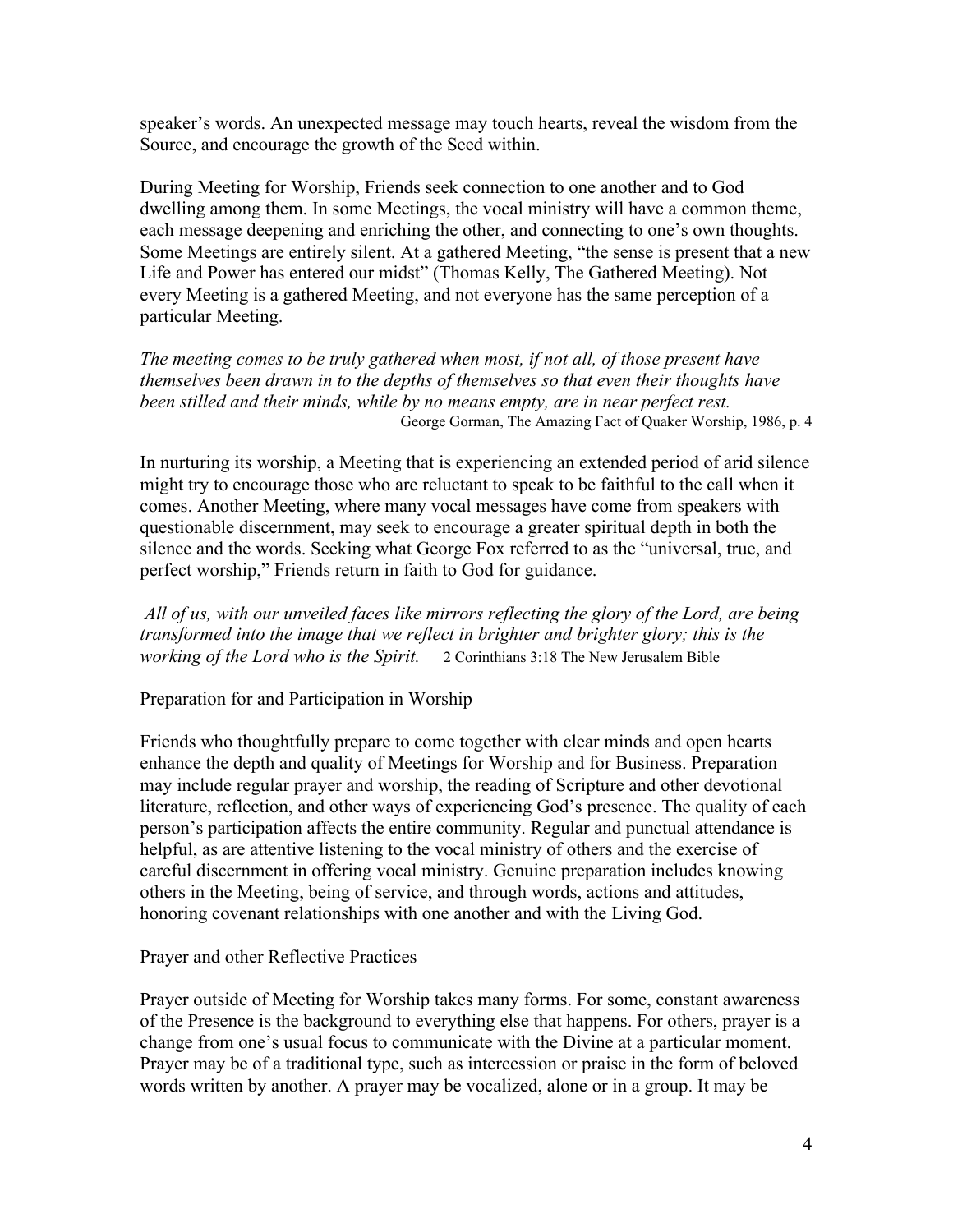speaker's words. An unexpected message may touch hearts, reveal the wisdom from the Source, and encourage the growth of the Seed within.

During Meeting for Worship, Friends seek connection to one another and to God dwelling among them. In some Meetings, the vocal ministry will have a common theme, each message deepening and enriching the other, and connecting to one's own thoughts. Some Meetings are entirely silent. At a gathered Meeting, "the sense is present that a new Life and Power has entered our midst" (Thomas Kelly, The Gathered Meeting). Not every Meeting is a gathered Meeting, and not everyone has the same perception of a particular Meeting.

*The meeting comes to be truly gathered when most, if not all, of those present have themselves been drawn in to the depths of themselves so that even their thoughts have been stilled and their minds, while by no means empty, are in near perfect rest.* George Gorman, The Amazing Fact of Quaker Worship, 1986, p. 4

In nurturing its worship, a Meeting that is experiencing an extended period of arid silence might try to encourage those who are reluctant to speak to be faithful to the call when it comes. Another Meeting, where many vocal messages have come from speakers with questionable discernment, may seek to encourage a greater spiritual depth in both the silence and the words. Seeking what George Fox referred to as the "universal, true, and perfect worship," Friends return in faith to God for guidance.

 *All of us, with our unveiled faces like mirrors reflecting the glory of the Lord, are being transformed into the image that we reflect in brighter and brighter glory; this is the working of the Lord who is the Spirit.* 2 Corinthians 3:18 The New Jerusalem Bible

Preparation for and Participation in Worship

Friends who thoughtfully prepare to come together with clear minds and open hearts enhance the depth and quality of Meetings for Worship and for Business. Preparation may include regular prayer and worship, the reading of Scripture and other devotional literature, reflection, and other ways of experiencing God's presence. The quality of each person's participation affects the entire community. Regular and punctual attendance is helpful, as are attentive listening to the vocal ministry of others and the exercise of careful discernment in offering vocal ministry. Genuine preparation includes knowing others in the Meeting, being of service, and through words, actions and attitudes, honoring covenant relationships with one another and with the Living God.

Prayer and other Reflective Practices

Prayer outside of Meeting for Worship takes many forms. For some, constant awareness of the Presence is the background to everything else that happens. For others, prayer is a change from one's usual focus to communicate with the Divine at a particular moment. Prayer may be of a traditional type, such as intercession or praise in the form of beloved words written by another. A prayer may be vocalized, alone or in a group. It may be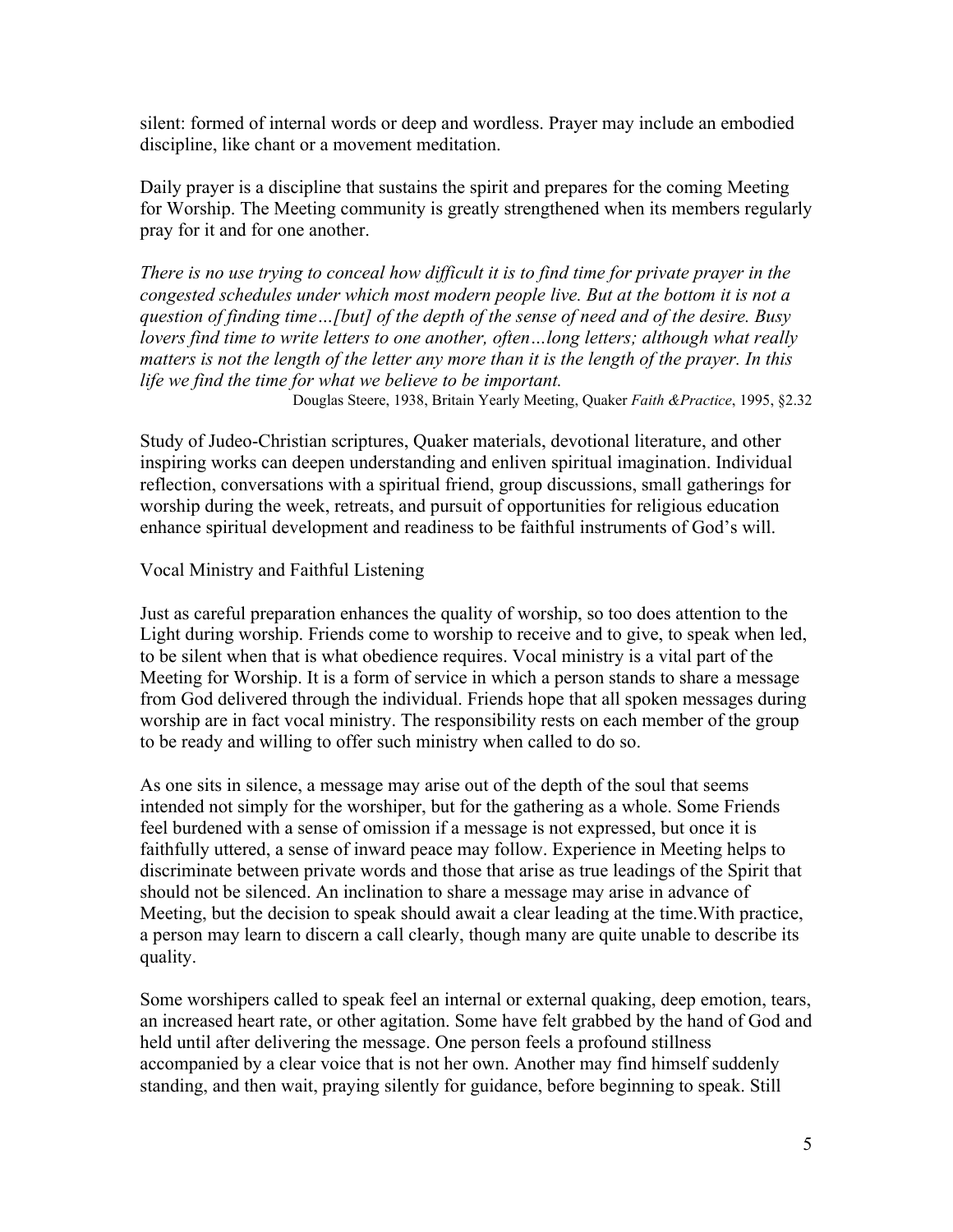silent: formed of internal words or deep and wordless. Prayer may include an embodied discipline, like chant or a movement meditation.

Daily prayer is a discipline that sustains the spirit and prepares for the coming Meeting for Worship. The Meeting community is greatly strengthened when its members regularly pray for it and for one another.

*There is no use trying to conceal how difficult it is to find time for private prayer in the congested schedules under which most modern people live. But at the bottom it is not a question of finding time…[but] of the depth of the sense of need and of the desire. Busy lovers find time to write letters to one another, often…long letters; although what really matters is not the length of the letter any more than it is the length of the prayer. In this life we find the time for what we believe to be important.*

Douglas Steere, 1938, Britain Yearly Meeting, Quaker *Faith &Practice*, 1995, §2.32

Study of Judeo-Christian scriptures, Quaker materials, devotional literature, and other inspiring works can deepen understanding and enliven spiritual imagination. Individual reflection, conversations with a spiritual friend, group discussions, small gatherings for worship during the week, retreats, and pursuit of opportunities for religious education enhance spiritual development and readiness to be faithful instruments of God's will.

#### Vocal Ministry and Faithful Listening

Just as careful preparation enhances the quality of worship, so too does attention to the Light during worship. Friends come to worship to receive and to give, to speak when led, to be silent when that is what obedience requires. Vocal ministry is a vital part of the Meeting for Worship. It is a form of service in which a person stands to share a message from God delivered through the individual. Friends hope that all spoken messages during worship are in fact vocal ministry. The responsibility rests on each member of the group to be ready and willing to offer such ministry when called to do so.

As one sits in silence, a message may arise out of the depth of the soul that seems intended not simply for the worshiper, but for the gathering as a whole. Some Friends feel burdened with a sense of omission if a message is not expressed, but once it is faithfully uttered, a sense of inward peace may follow. Experience in Meeting helps to discriminate between private words and those that arise as true leadings of the Spirit that should not be silenced. An inclination to share a message may arise in advance of Meeting, but the decision to speak should await a clear leading at the time.With practice, a person may learn to discern a call clearly, though many are quite unable to describe its quality.

Some worshipers called to speak feel an internal or external quaking, deep emotion, tears, an increased heart rate, or other agitation. Some have felt grabbed by the hand of God and held until after delivering the message. One person feels a profound stillness accompanied by a clear voice that is not her own. Another may find himself suddenly standing, and then wait, praying silently for guidance, before beginning to speak. Still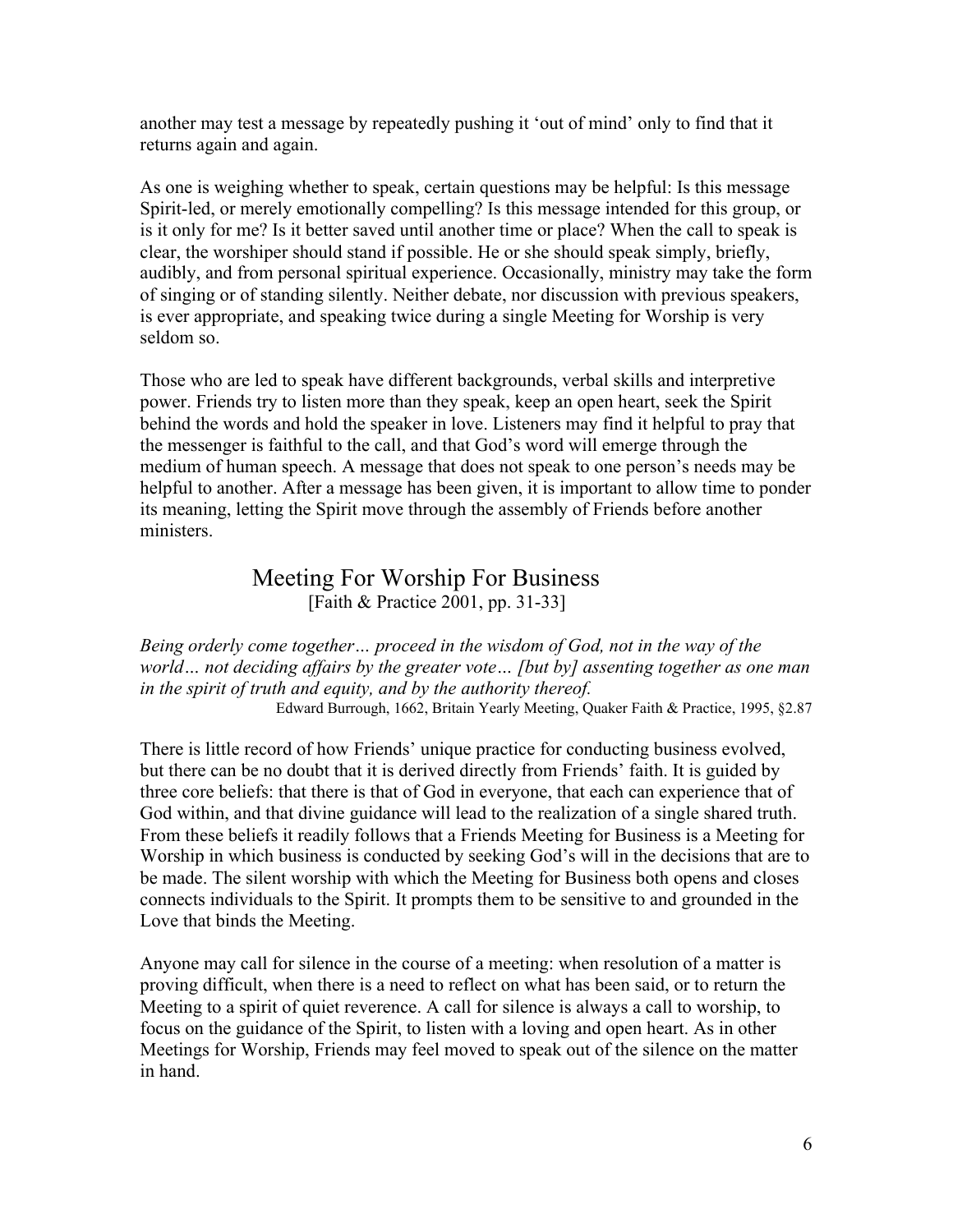another may test a message by repeatedly pushing it 'out of mind' only to find that it returns again and again.

As one is weighing whether to speak, certain questions may be helpful: Is this message Spirit-led, or merely emotionally compelling? Is this message intended for this group, or is it only for me? Is it better saved until another time or place? When the call to speak is clear, the worshiper should stand if possible. He or she should speak simply, briefly, audibly, and from personal spiritual experience. Occasionally, ministry may take the form of singing or of standing silently. Neither debate, nor discussion with previous speakers, is ever appropriate, and speaking twice during a single Meeting for Worship is very seldom so.

Those who are led to speak have different backgrounds, verbal skills and interpretive power. Friends try to listen more than they speak, keep an open heart, seek the Spirit behind the words and hold the speaker in love. Listeners may find it helpful to pray that the messenger is faithful to the call, and that God's word will emerge through the medium of human speech. A message that does not speak to one person's needs may be helpful to another. After a message has been given, it is important to allow time to ponder its meaning, letting the Spirit move through the assembly of Friends before another ministers.

# Meeting For Worship For Business<br>[Faith & Practice 2001, pp. 31-33]

*Being orderly come together… proceed in the wisdom of God, not in the way of the world… not deciding affairs by the greater vote… [but by] assenting together as one man in the spirit of truth and equity, and by the authority thereof.*

Edward Burrough, 1662, Britain Yearly Meeting, Quaker Faith & Practice, 1995, §2.87

There is little record of how Friends' unique practice for conducting business evolved, but there can be no doubt that it is derived directly from Friends' faith. It is guided by three core beliefs: that there is that of God in everyone, that each can experience that of God within, and that divine guidance will lead to the realization of a single shared truth. From these beliefs it readily follows that a Friends Meeting for Business is a Meeting for Worship in which business is conducted by seeking God's will in the decisions that are to be made. The silent worship with which the Meeting for Business both opens and closes connects individuals to the Spirit. It prompts them to be sensitive to and grounded in the Love that binds the Meeting.

Anyone may call for silence in the course of a meeting: when resolution of a matter is proving difficult, when there is a need to reflect on what has been said, or to return the Meeting to a spirit of quiet reverence. A call for silence is always a call to worship, to focus on the guidance of the Spirit, to listen with a loving and open heart. As in other Meetings for Worship, Friends may feel moved to speak out of the silence on the matter in hand.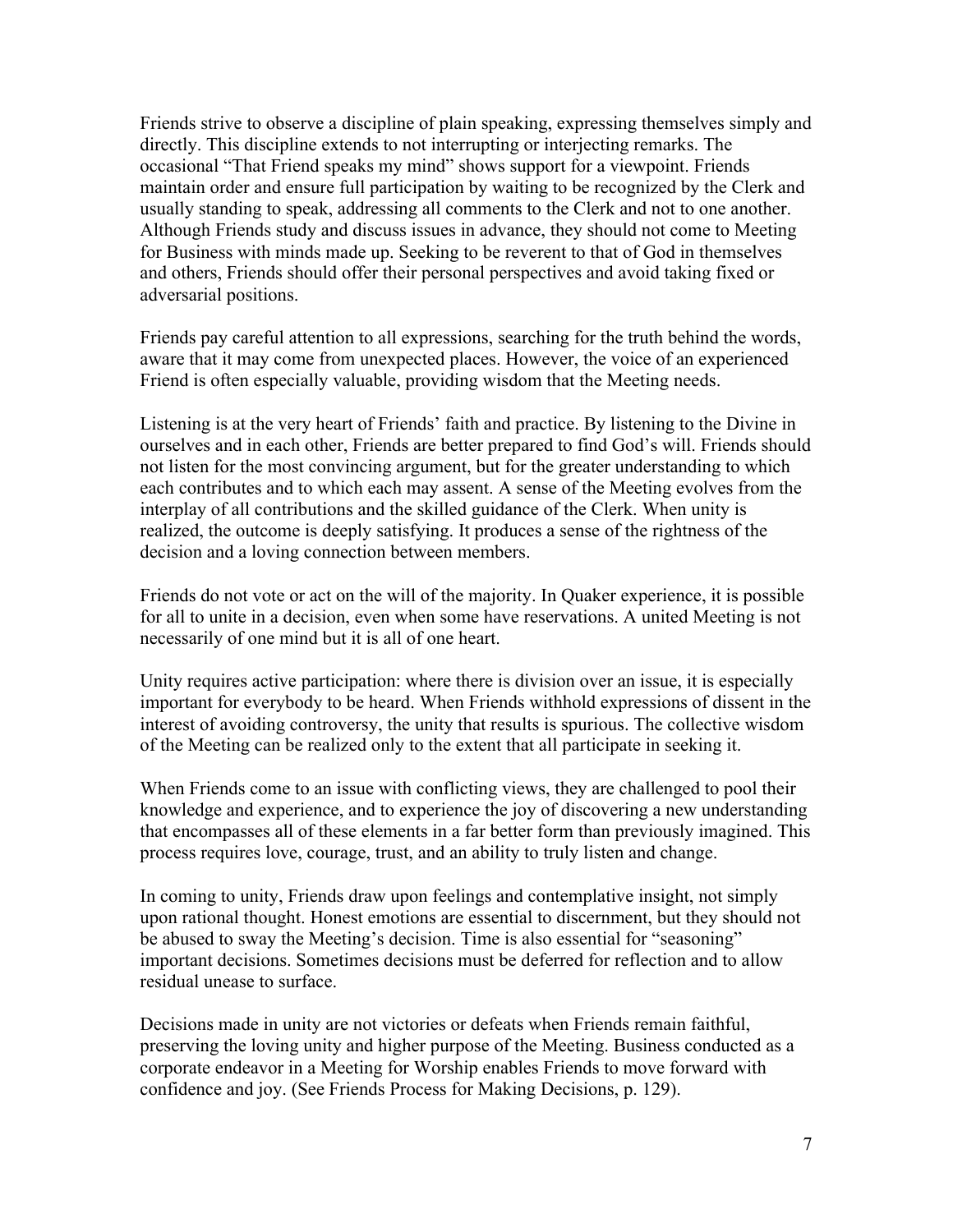Friends strive to observe a discipline of plain speaking, expressing themselves simply and directly. This discipline extends to not interrupting or interjecting remarks. The occasional "That Friend speaks my mind" shows support for a viewpoint. Friends maintain order and ensure full participation by waiting to be recognized by the Clerk and usually standing to speak, addressing all comments to the Clerk and not to one another. Although Friends study and discuss issues in advance, they should not come to Meeting for Business with minds made up. Seeking to be reverent to that of God in themselves and others, Friends should offer their personal perspectives and avoid taking fixed or adversarial positions.

Friends pay careful attention to all expressions, searching for the truth behind the words, aware that it may come from unexpected places. However, the voice of an experienced Friend is often especially valuable, providing wisdom that the Meeting needs.

Listening is at the very heart of Friends' faith and practice. By listening to the Divine in ourselves and in each other, Friends are better prepared to find God's will. Friends should not listen for the most convincing argument, but for the greater understanding to which each contributes and to which each may assent. A sense of the Meeting evolves from the interplay of all contributions and the skilled guidance of the Clerk. When unity is realized, the outcome is deeply satisfying. It produces a sense of the rightness of the decision and a loving connection between members.

Friends do not vote or act on the will of the majority. In Quaker experience, it is possible for all to unite in a decision, even when some have reservations. A united Meeting is not necessarily of one mind but it is all of one heart.

Unity requires active participation: where there is division over an issue, it is especially important for everybody to be heard. When Friends withhold expressions of dissent in the interest of avoiding controversy, the unity that results is spurious. The collective wisdom of the Meeting can be realized only to the extent that all participate in seeking it.

When Friends come to an issue with conflicting views, they are challenged to pool their knowledge and experience, and to experience the joy of discovering a new understanding that encompasses all of these elements in a far better form than previously imagined. This process requires love, courage, trust, and an ability to truly listen and change.

In coming to unity, Friends draw upon feelings and contemplative insight, not simply upon rational thought. Honest emotions are essential to discernment, but they should not be abused to sway the Meeting's decision. Time is also essential for "seasoning" important decisions. Sometimes decisions must be deferred for reflection and to allow residual unease to surface.

Decisions made in unity are not victories or defeats when Friends remain faithful, preserving the loving unity and higher purpose of the Meeting. Business conducted as a corporate endeavor in a Meeting for Worship enables Friends to move forward with confidence and joy. (See Friends Process for Making Decisions, p. 129).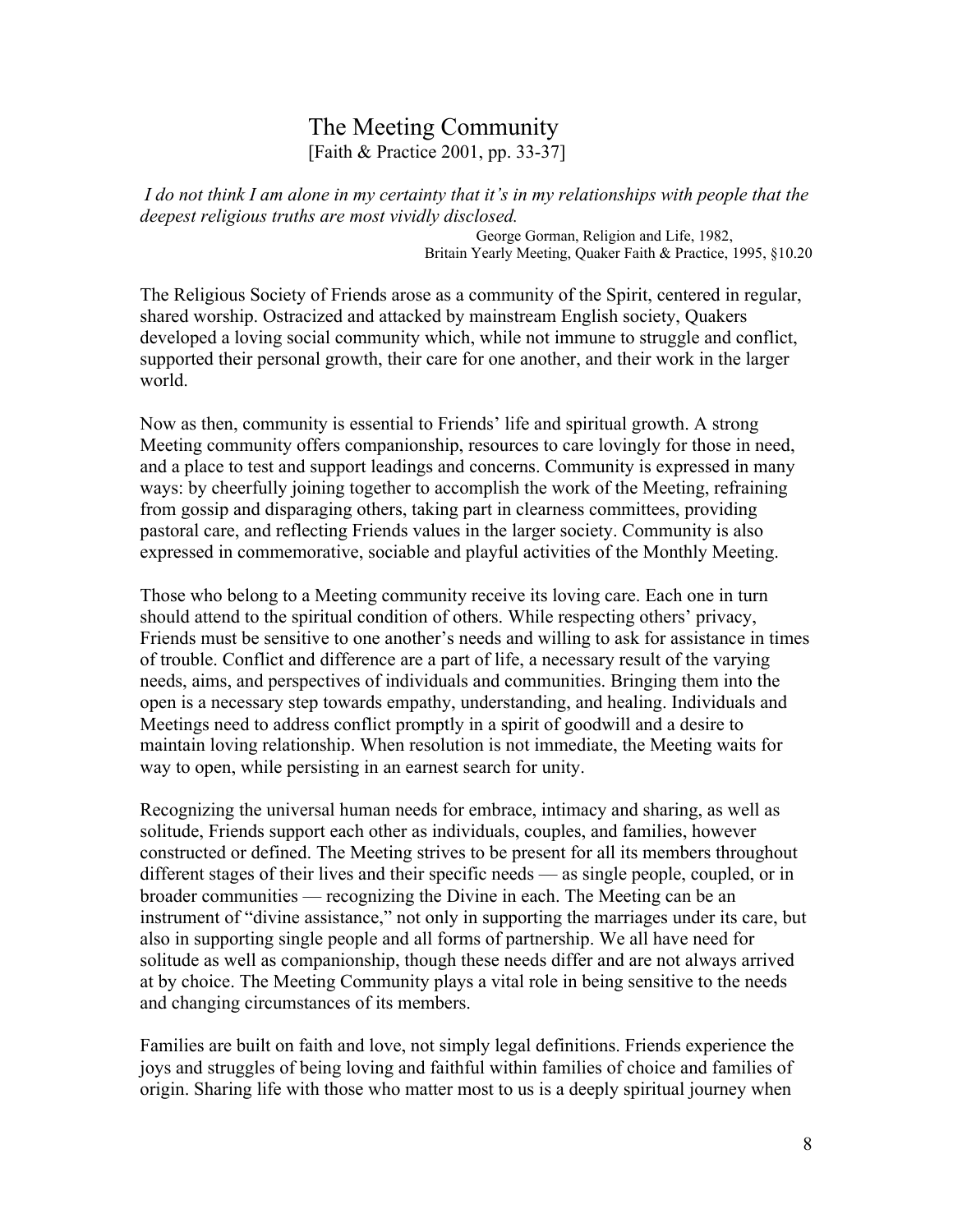# The Meeting Community [Faith & Practice 2001, pp. 33-37]

 *I do not think I am alone in my certainty that it's in my relationships with people that the deepest religious truths are most vividly disclosed.*

> George Gorman, Religion and Life, 1982, Britain Yearly Meeting, Quaker Faith & Practice, 1995, §10.20

The Religious Society of Friends arose as a community of the Spirit, centered in regular, shared worship. Ostracized and attacked by mainstream English society, Quakers developed a loving social community which, while not immune to struggle and conflict, supported their personal growth, their care for one another, and their work in the larger world.

Now as then, community is essential to Friends' life and spiritual growth. A strong Meeting community offers companionship, resources to care lovingly for those in need, and a place to test and support leadings and concerns. Community is expressed in many ways: by cheerfully joining together to accomplish the work of the Meeting, refraining from gossip and disparaging others, taking part in clearness committees, providing pastoral care, and reflecting Friends values in the larger society. Community is also expressed in commemorative, sociable and playful activities of the Monthly Meeting.

Those who belong to a Meeting community receive its loving care. Each one in turn should attend to the spiritual condition of others. While respecting others' privacy, Friends must be sensitive to one another's needs and willing to ask for assistance in times of trouble. Conflict and difference are a part of life, a necessary result of the varying needs, aims, and perspectives of individuals and communities. Bringing them into the open is a necessary step towards empathy, understanding, and healing. Individuals and Meetings need to address conflict promptly in a spirit of goodwill and a desire to maintain loving relationship. When resolution is not immediate, the Meeting waits for way to open, while persisting in an earnest search for unity.

Recognizing the universal human needs for embrace, intimacy and sharing, as well as solitude, Friends support each other as individuals, couples, and families, however constructed or defined. The Meeting strives to be present for all its members throughout different stages of their lives and their specific needs — as single people, coupled, or in broader communities — recognizing the Divine in each. The Meeting can be an instrument of "divine assistance," not only in supporting the marriages under its care, but also in supporting single people and all forms of partnership. We all have need for solitude as well as companionship, though these needs differ and are not always arrived at by choice. The Meeting Community plays a vital role in being sensitive to the needs and changing circumstances of its members.

Families are built on faith and love, not simply legal definitions. Friends experience the joys and struggles of being loving and faithful within families of choice and families of origin. Sharing life with those who matter most to us is a deeply spiritual journey when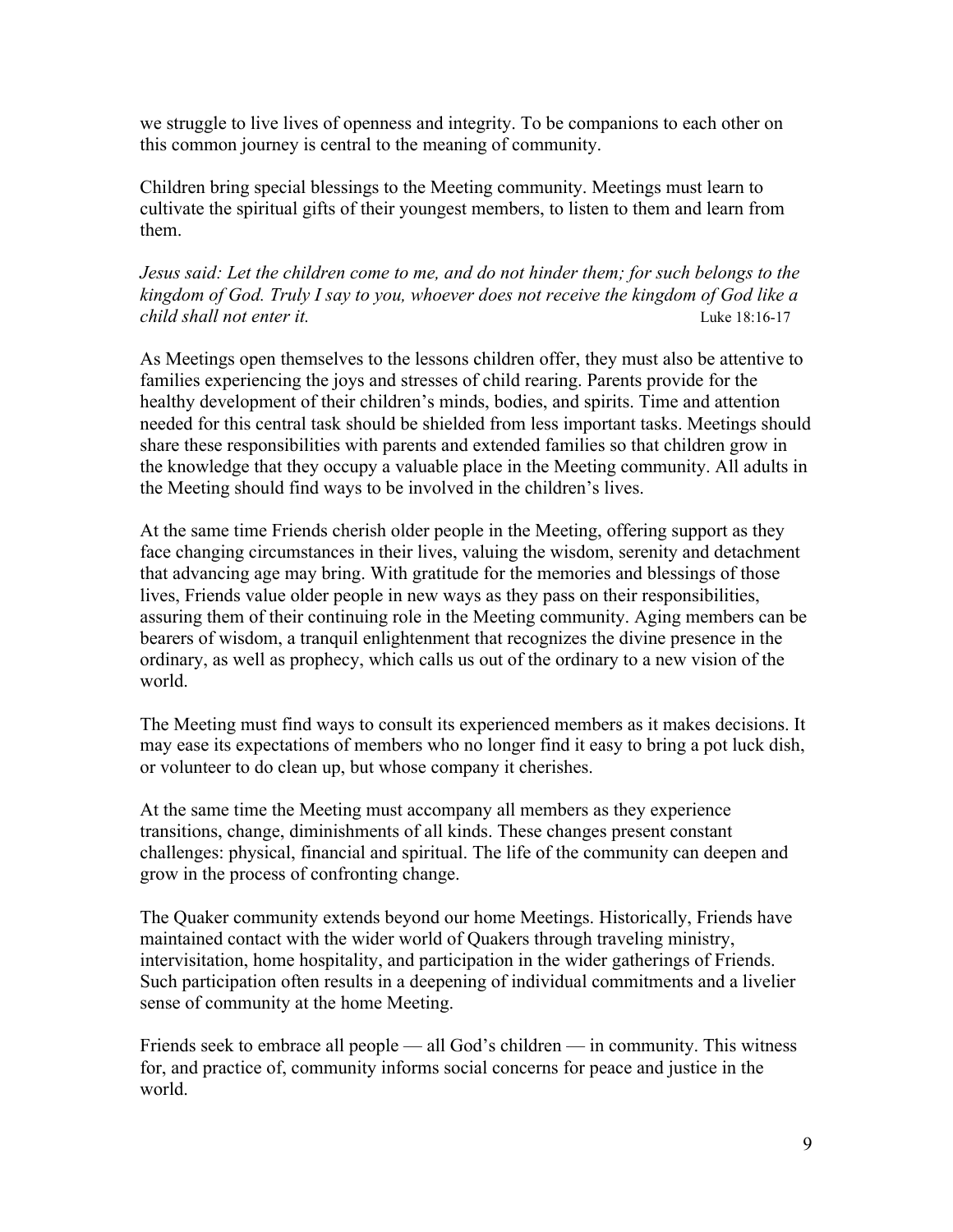we struggle to live lives of openness and integrity. To be companions to each other on this common journey is central to the meaning of community.

Children bring special blessings to the Meeting community. Meetings must learn to cultivate the spiritual gifts of their youngest members, to listen to them and learn from them.

*Jesus said: Let the children come to me, and do not hinder them; for such belongs to the kingdom of God. Truly I say to you, whoever does not receive the kingdom of God like a child shall not enter it.* All the state of the state 18:16-17 **Luke 18:16-17** 

As Meetings open themselves to the lessons children offer, they must also be attentive to families experiencing the joys and stresses of child rearing. Parents provide for the healthy development of their children's minds, bodies, and spirits. Time and attention needed for this central task should be shielded from less important tasks. Meetings should share these responsibilities with parents and extended families so that children grow in the knowledge that they occupy a valuable place in the Meeting community. All adults in the Meeting should find ways to be involved in the children's lives.

At the same time Friends cherish older people in the Meeting, offering support as they face changing circumstances in their lives, valuing the wisdom, serenity and detachment that advancing age may bring. With gratitude for the memories and blessings of those lives, Friends value older people in new ways as they pass on their responsibilities, assuring them of their continuing role in the Meeting community. Aging members can be bearers of wisdom, a tranquil enlightenment that recognizes the divine presence in the ordinary, as well as prophecy, which calls us out of the ordinary to a new vision of the world.

The Meeting must find ways to consult its experienced members as it makes decisions. It may ease its expectations of members who no longer find it easy to bring a pot luck dish, or volunteer to do clean up, but whose company it cherishes.

At the same time the Meeting must accompany all members as they experience transitions, change, diminishments of all kinds. These changes present constant challenges: physical, financial and spiritual. The life of the community can deepen and grow in the process of confronting change.

The Quaker community extends beyond our home Meetings. Historically, Friends have maintained contact with the wider world of Quakers through traveling ministry, intervisitation, home hospitality, and participation in the wider gatherings of Friends. Such participation often results in a deepening of individual commitments and a livelier sense of community at the home Meeting.

Friends seek to embrace all people — all God's children — in community. This witness for, and practice of, community informs social concerns for peace and justice in the world.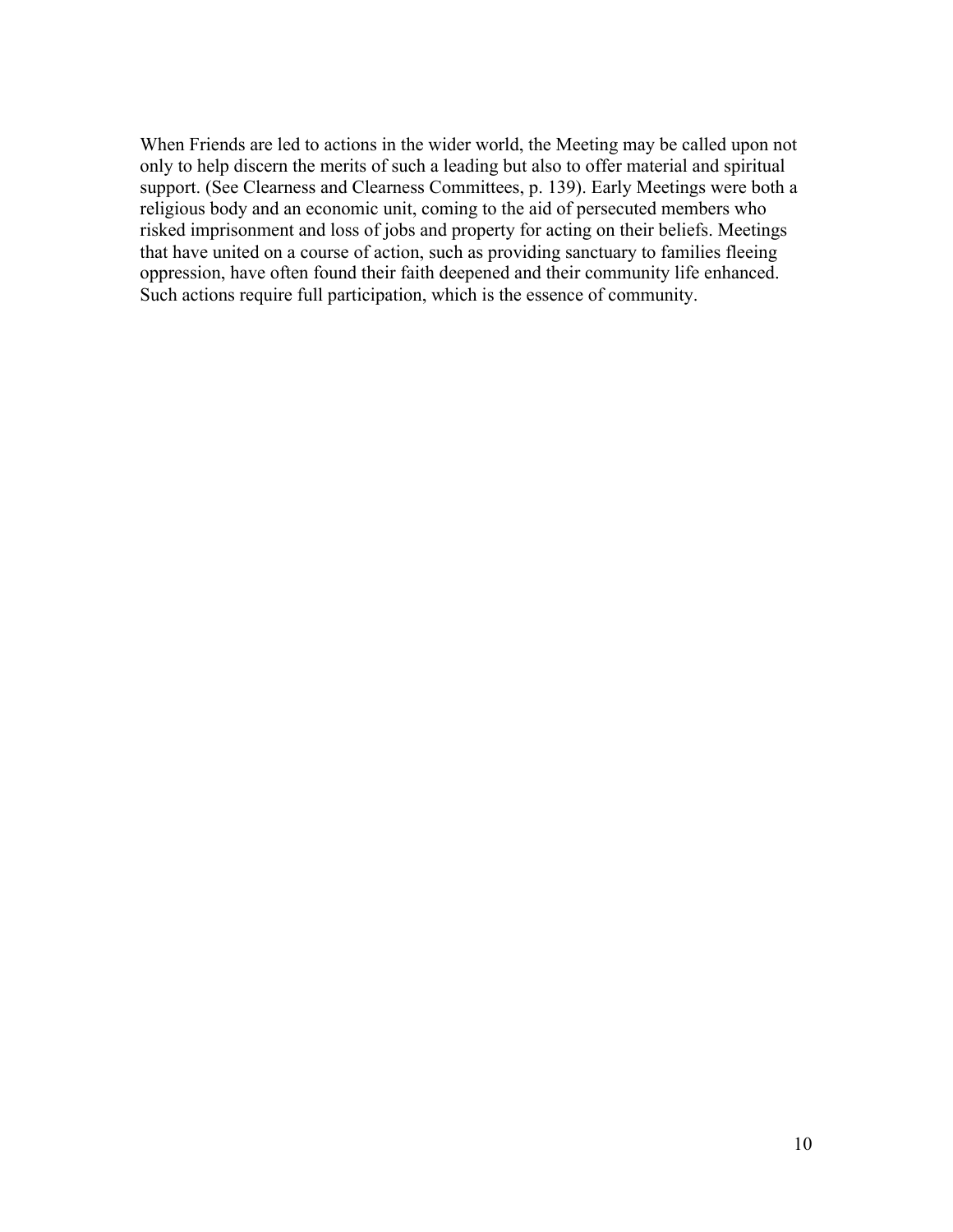When Friends are led to actions in the wider world, the Meeting may be called upon not only to help discern the merits of such a leading but also to offer material and spiritual support. (See Clearness and Clearness Committees, p. 139). Early Meetings were both a religious body and an economic unit, coming to the aid of persecuted members who risked imprisonment and loss of jobs and property for acting on their beliefs. Meetings that have united on a course of action, such as providing sanctuary to families fleeing oppression, have often found their faith deepened and their community life enhanced. Such actions require full participation, which is the essence of community.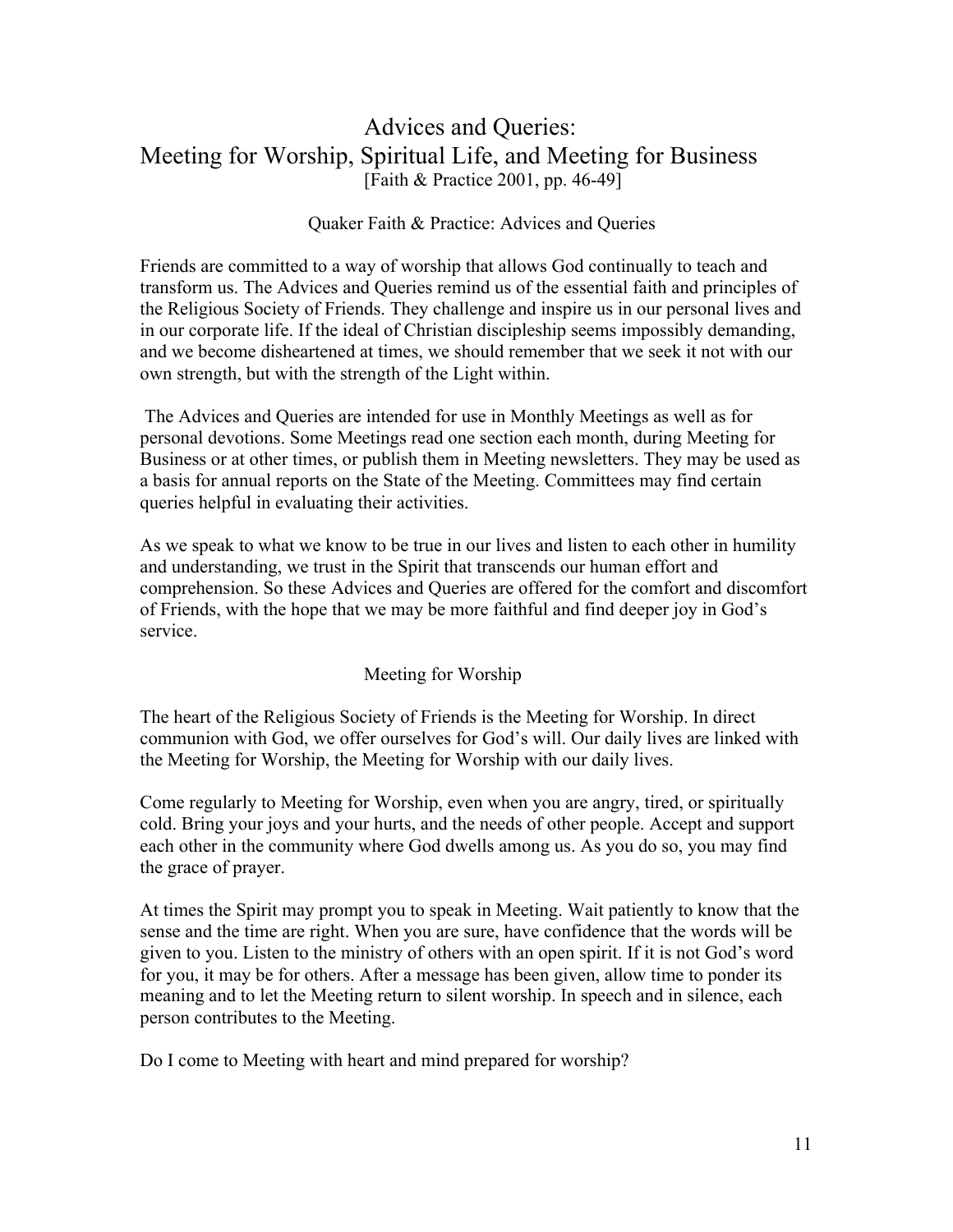# Advices and Queries: Meeting for Worship, Spiritual Life, and Meeting for Business [Faith & Practice 2001, pp. 46-49]

#### Quaker Faith & Practice: Advices and Queries

Friends are committed to a way of worship that allows God continually to teach and transform us. The Advices and Queries remind us of the essential faith and principles of the Religious Society of Friends. They challenge and inspire us in our personal lives and in our corporate life. If the ideal of Christian discipleship seems impossibly demanding, and we become disheartened at times, we should remember that we seek it not with our own strength, but with the strength of the Light within.

 The Advices and Queries are intended for use in Monthly Meetings as well as for personal devotions. Some Meetings read one section each month, during Meeting for Business or at other times, or publish them in Meeting newsletters. They may be used as a basis for annual reports on the State of the Meeting. Committees may find certain queries helpful in evaluating their activities.

As we speak to what we know to be true in our lives and listen to each other in humility and understanding, we trust in the Spirit that transcends our human effort and comprehension. So these Advices and Queries are offered for the comfort and discomfort of Friends, with the hope that we may be more faithful and find deeper joy in God's service.

#### Meeting for Worship

The heart of the Religious Society of Friends is the Meeting for Worship. In direct communion with God, we offer ourselves for God's will. Our daily lives are linked with the Meeting for Worship, the Meeting for Worship with our daily lives.

Come regularly to Meeting for Worship, even when you are angry, tired, or spiritually cold. Bring your joys and your hurts, and the needs of other people. Accept and support each other in the community where God dwells among us. As you do so, you may find the grace of prayer.

At times the Spirit may prompt you to speak in Meeting. Wait patiently to know that the sense and the time are right. When you are sure, have confidence that the words will be given to you. Listen to the ministry of others with an open spirit. If it is not God's word for you, it may be for others. After a message has been given, allow time to ponder its meaning and to let the Meeting return to silent worship. In speech and in silence, each person contributes to the Meeting.

Do I come to Meeting with heart and mind prepared for worship?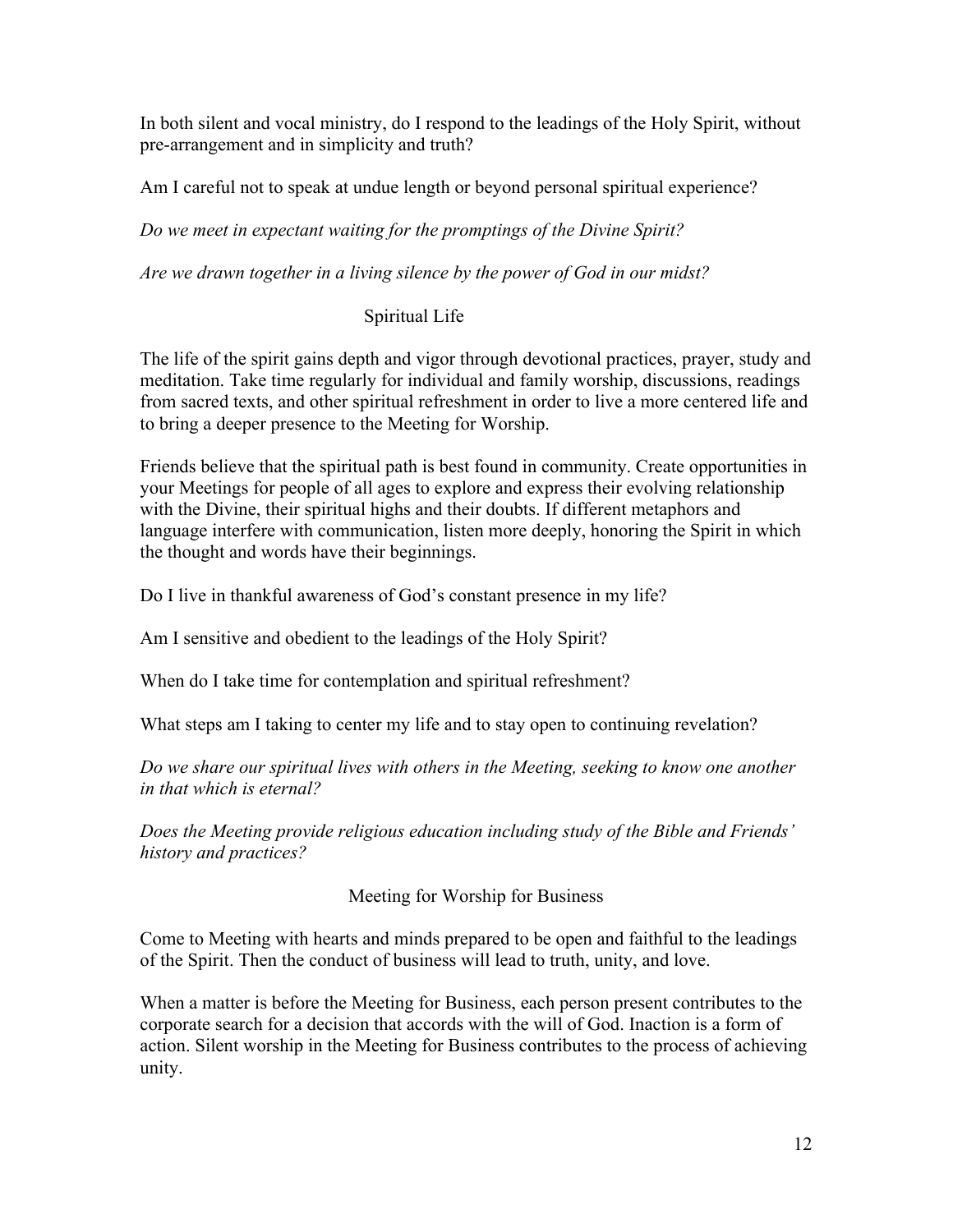In both silent and vocal ministry, do I respond to the leadings of the Holy Spirit, without pre-arrangement and in simplicity and truth?

Am I careful not to speak at undue length or beyond personal spiritual experience?

*Do we meet in expectant waiting for the promptings of the Divine Spirit?*

*Are we drawn together in a living silence by the power of God in our midst?*

# Spiritual Life

The life of the spirit gains depth and vigor through devotional practices, prayer, study and meditation. Take time regularly for individual and family worship, discussions, readings from sacred texts, and other spiritual refreshment in order to live a more centered life and to bring a deeper presence to the Meeting for Worship.

Friends believe that the spiritual path is best found in community. Create opportunities in your Meetings for people of all ages to explore and express their evolving relationship with the Divine, their spiritual highs and their doubts. If different metaphors and language interfere with communication, listen more deeply, honoring the Spirit in which the thought and words have their beginnings.

Do I live in thankful awareness of God's constant presence in my life?

Am I sensitive and obedient to the leadings of the Holy Spirit?

When do I take time for contemplation and spiritual refreshment?

What steps am I taking to center my life and to stay open to continuing revelation?

*Do we share our spiritual lives with others in the Meeting, seeking to know one another in that which is eternal?*

*Does the Meeting provide religious education including study of the Bible and Friends' history and practices?*

Meeting for Worship for Business

Come to Meeting with hearts and minds prepared to be open and faithful to the leadings of the Spirit. Then the conduct of business will lead to truth, unity, and love.

When a matter is before the Meeting for Business, each person present contributes to the corporate search for a decision that accords with the will of God. Inaction is a form of action. Silent worship in the Meeting for Business contributes to the process of achieving unity.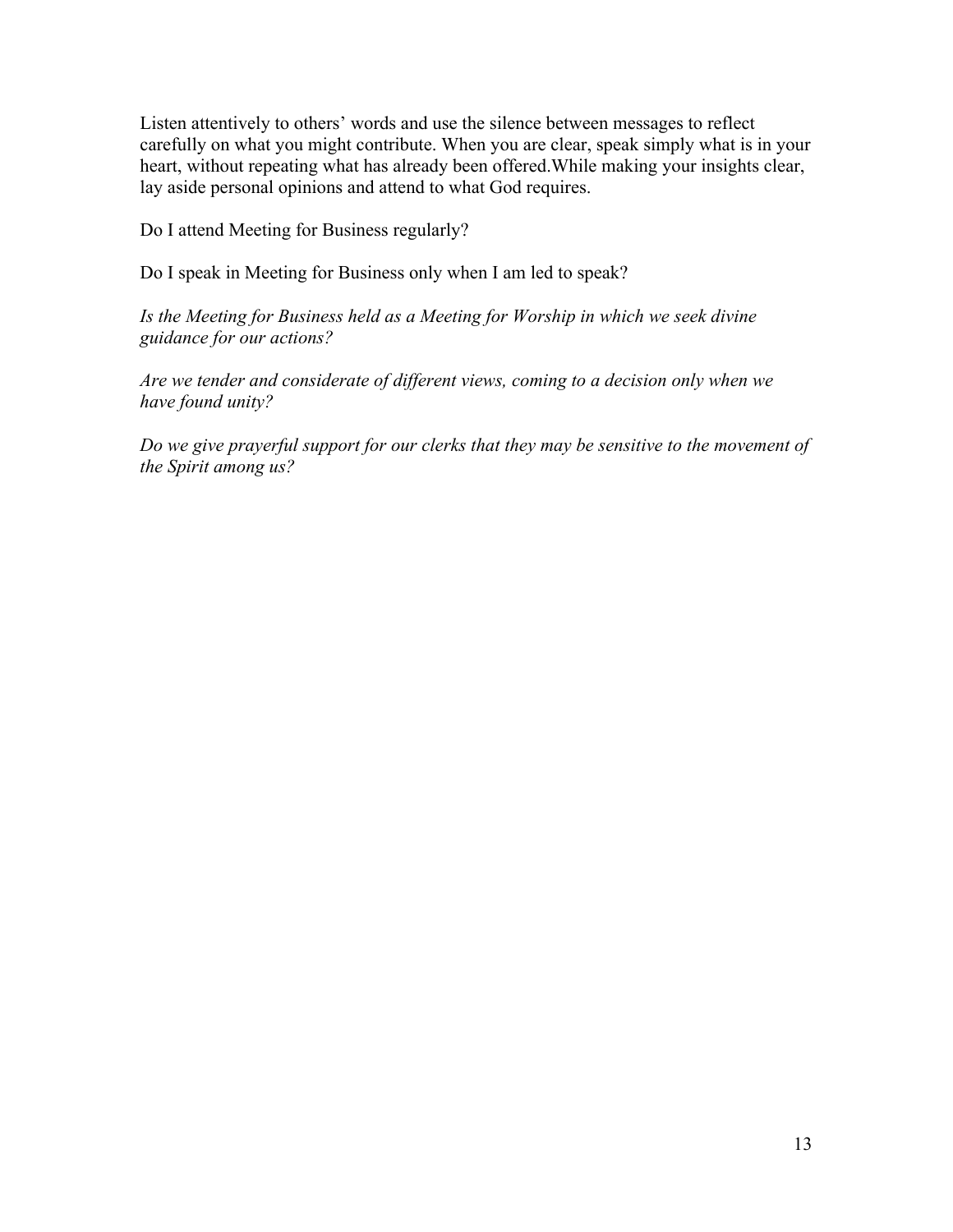Listen attentively to others' words and use the silence between messages to reflect carefully on what you might contribute. When you are clear, speak simply what is in your heart, without repeating what has already been offered.While making your insights clear, lay aside personal opinions and attend to what God requires.

Do I attend Meeting for Business regularly?

Do I speak in Meeting for Business only when I am led to speak?

*Is the Meeting for Business held as a Meeting for Worship in which we seek divine guidance for our actions?*

*Are we tender and considerate of different views, coming to a decision only when we have found unity?*

*Do we give prayerful support for our clerks that they may be sensitive to the movement of the Spirit among us?*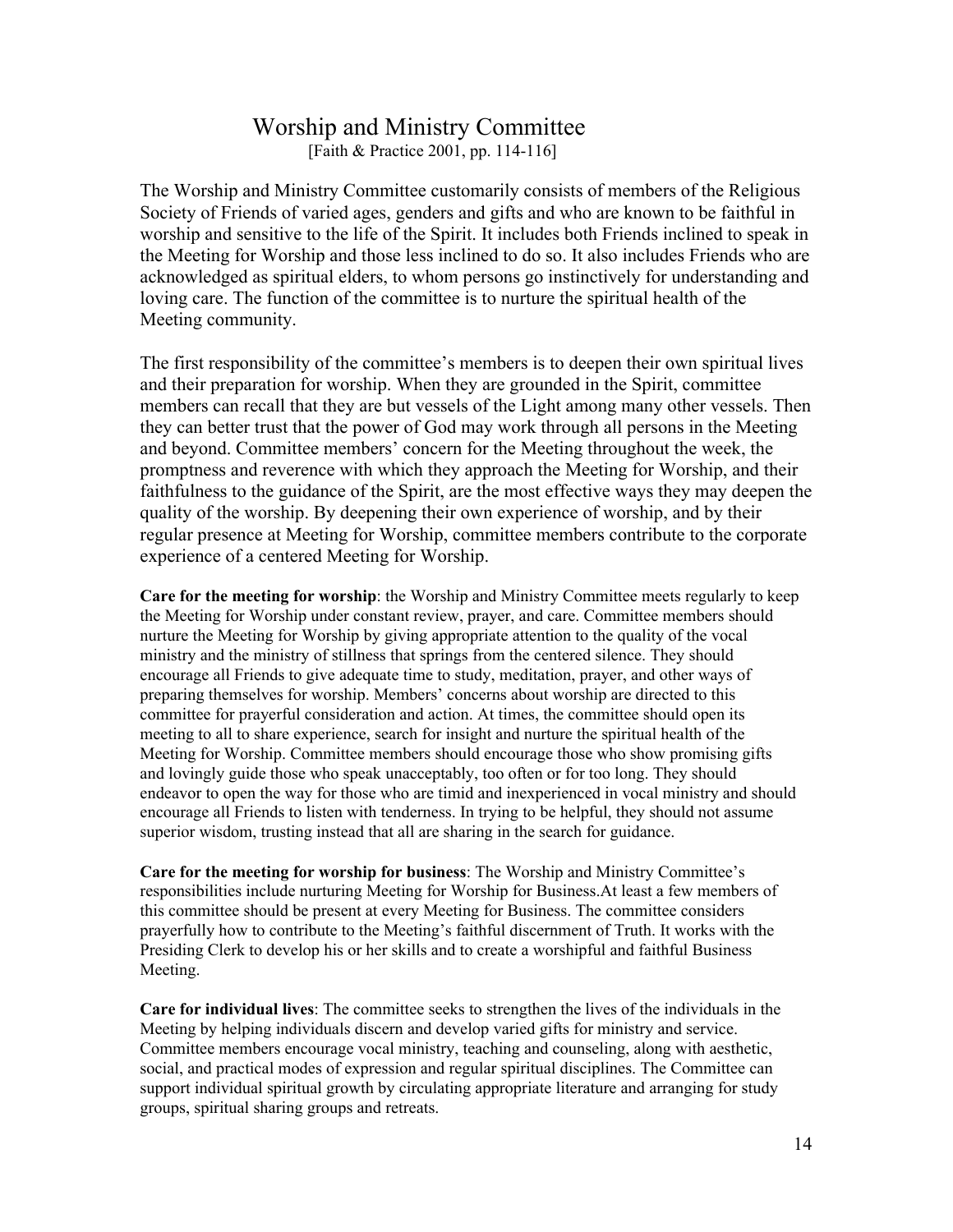# Worship and Ministry Committee [Faith & Practice 2001, pp. 114-116]

The Worship and Ministry Committee customarily consists of members of the Religious Society of Friends of varied ages, genders and gifts and who are known to be faithful in worship and sensitive to the life of the Spirit. It includes both Friends inclined to speak in the Meeting for Worship and those less inclined to do so. It also includes Friends who are acknowledged as spiritual elders, to whom persons go instinctively for understanding and loving care. The function of the committee is to nurture the spiritual health of the Meeting community.

The first responsibility of the committee's members is to deepen their own spiritual lives and their preparation for worship. When they are grounded in the Spirit, committee members can recall that they are but vessels of the Light among many other vessels. Then they can better trust that the power of God may work through all persons in the Meeting and beyond. Committee members' concern for the Meeting throughout the week, the promptness and reverence with which they approach the Meeting for Worship, and their faithfulness to the guidance of the Spirit, are the most effective ways they may deepen the quality of the worship. By deepening their own experience of worship, and by their regular presence at Meeting for Worship, committee members contribute to the corporate experience of a centered Meeting for Worship.

**Care for the meeting for worship**: the Worship and Ministry Committee meets regularly to keep the Meeting for Worship under constant review, prayer, and care. Committee members should nurture the Meeting for Worship by giving appropriate attention to the quality of the vocal ministry and the ministry of stillness that springs from the centered silence. They should encourage all Friends to give adequate time to study, meditation, prayer, and other ways of preparing themselves for worship. Members' concerns about worship are directed to this committee for prayerful consideration and action. At times, the committee should open its meeting to all to share experience, search for insight and nurture the spiritual health of the Meeting for Worship. Committee members should encourage those who show promising gifts and lovingly guide those who speak unacceptably, too often or for too long. They should endeavor to open the way for those who are timid and inexperienced in vocal ministry and should encourage all Friends to listen with tenderness. In trying to be helpful, they should not assume superior wisdom, trusting instead that all are sharing in the search for guidance.

**Care for the meeting for worship for business**: The Worship and Ministry Committee's responsibilities include nurturing Meeting for Worship for Business.At least a few members of this committee should be present at every Meeting for Business. The committee considers prayerfully how to contribute to the Meeting's faithful discernment of Truth. It works with the Presiding Clerk to develop his or her skills and to create a worshipful and faithful Business Meeting.

**Care for individual lives**: The committee seeks to strengthen the lives of the individuals in the Meeting by helping individuals discern and develop varied gifts for ministry and service. Committee members encourage vocal ministry, teaching and counseling, along with aesthetic, social, and practical modes of expression and regular spiritual disciplines. The Committee can support individual spiritual growth by circulating appropriate literature and arranging for study groups, spiritual sharing groups and retreats.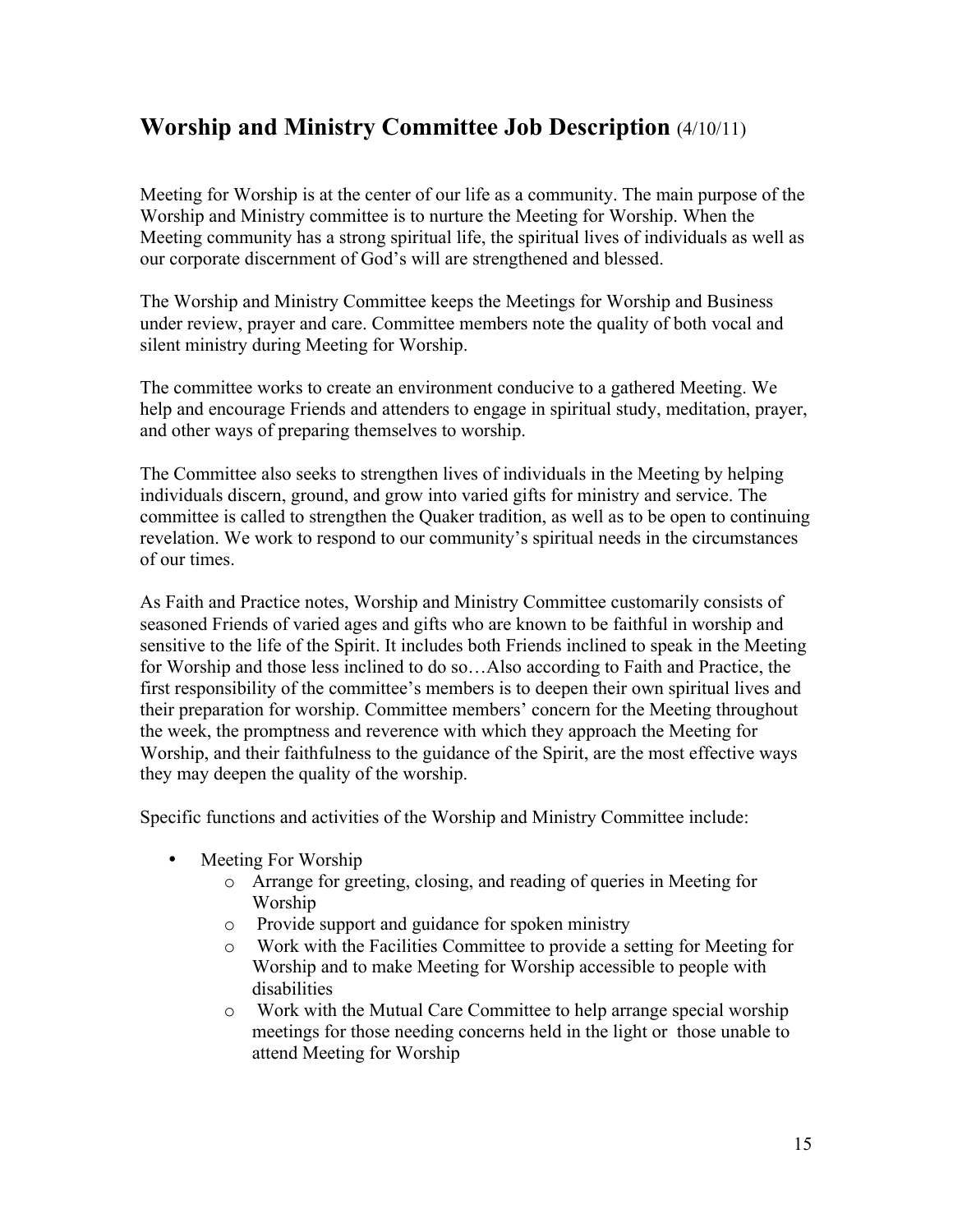# **Worship and Ministry Committee Job Description** (4/10/11)

Meeting for Worship is at the center of our life as a community. The main purpose of the Worship and Ministry committee is to nurture the Meeting for Worship. When the Meeting community has a strong spiritual life, the spiritual lives of individuals as well as our corporate discernment of God's will are strengthened and blessed.

The Worship and Ministry Committee keeps the Meetings for Worship and Business under review, prayer and care. Committee members note the quality of both vocal and silent ministry during Meeting for Worship.

The committee works to create an environment conducive to a gathered Meeting. We help and encourage Friends and attenders to engage in spiritual study, meditation, prayer, and other ways of preparing themselves to worship.

The Committee also seeks to strengthen lives of individuals in the Meeting by helping individuals discern, ground, and grow into varied gifts for ministry and service. The committee is called to strengthen the Quaker tradition, as well as to be open to continuing revelation. We work to respond to our community's spiritual needs in the circumstances of our times.

As Faith and Practice notes, Worship and Ministry Committee customarily consists of seasoned Friends of varied ages and gifts who are known to be faithful in worship and sensitive to the life of the Spirit. It includes both Friends inclined to speak in the Meeting for Worship and those less inclined to do so…Also according to Faith and Practice, the first responsibility of the committee's members is to deepen their own spiritual lives and their preparation for worship. Committee members' concern for the Meeting throughout the week, the promptness and reverence with which they approach the Meeting for Worship, and their faithfulness to the guidance of the Spirit, are the most effective ways they may deepen the quality of the worship.

Specific functions and activities of the Worship and Ministry Committee include:

- Meeting For Worship
	- o Arrange for greeting, closing, and reading of queries in Meeting for Worship
	- o Provide support and guidance for spoken ministry
	- o Work with the Facilities Committee to provide a setting for Meeting for Worship and to make Meeting for Worship accessible to people with disabilities
	- o Work with the Mutual Care Committee to help arrange special worship meetings for those needing concerns held in the light or those unable to attend Meeting for Worship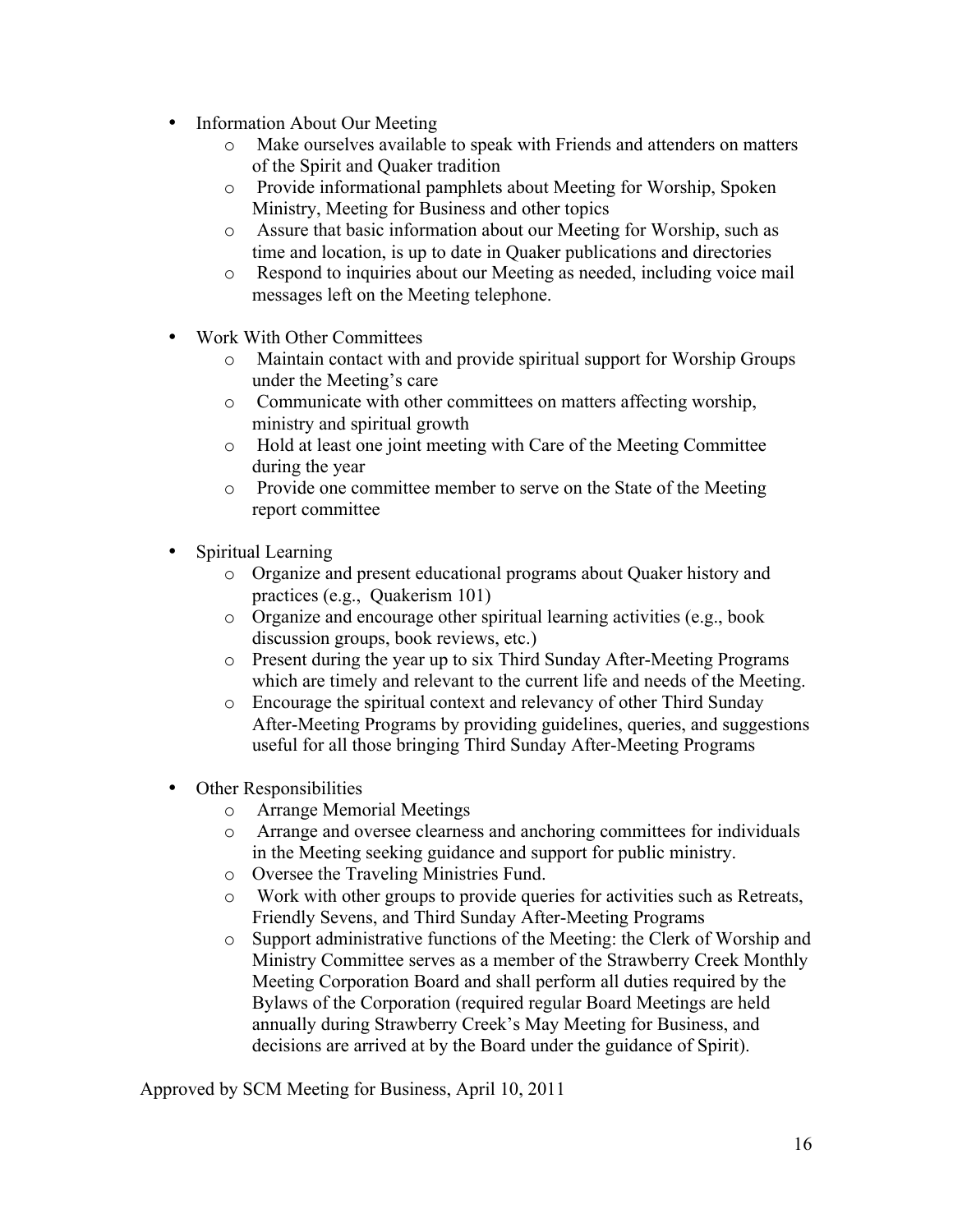- Information About Our Meeting
	- o Make ourselves available to speak with Friends and attenders on matters of the Spirit and Quaker tradition
	- o Provide informational pamphlets about Meeting for Worship, Spoken Ministry, Meeting for Business and other topics
	- o Assure that basic information about our Meeting for Worship, such as time and location, is up to date in Quaker publications and directories
	- o Respond to inquiries about our Meeting as needed, including voice mail messages left on the Meeting telephone.
- Work With Other Committees
	- o Maintain contact with and provide spiritual support for Worship Groups under the Meeting's care
	- o Communicate with other committees on matters affecting worship, ministry and spiritual growth
	- o Hold at least one joint meeting with Care of the Meeting Committee during the year
	- o Provide one committee member to serve on the State of the Meeting report committee
- Spiritual Learning
	- o Organize and present educational programs about Quaker history and practices (e.g., Quakerism 101)
	- o Organize and encourage other spiritual learning activities (e.g., book discussion groups, book reviews, etc.)
	- o Present during the year up to six Third Sunday After-Meeting Programs which are timely and relevant to the current life and needs of the Meeting.
	- o Encourage the spiritual context and relevancy of other Third Sunday After-Meeting Programs by providing guidelines, queries, and suggestions useful for all those bringing Third Sunday After-Meeting Programs
- Other Responsibilities
	- o Arrange Memorial Meetings
	- o Arrange and oversee clearness and anchoring committees for individuals in the Meeting seeking guidance and support for public ministry.
	- o Oversee the Traveling Ministries Fund.
	- o Work with other groups to provide queries for activities such as Retreats, Friendly Sevens, and Third Sunday After-Meeting Programs
	- o Support administrative functions of the Meeting: the Clerk of Worship and Ministry Committee serves as a member of the Strawberry Creek Monthly Meeting Corporation Board and shall perform all duties required by the Bylaws of the Corporation (required regular Board Meetings are held annually during Strawberry Creek's May Meeting for Business, and decisions are arrived at by the Board under the guidance of Spirit).

Approved by SCM Meeting for Business, April 10, 2011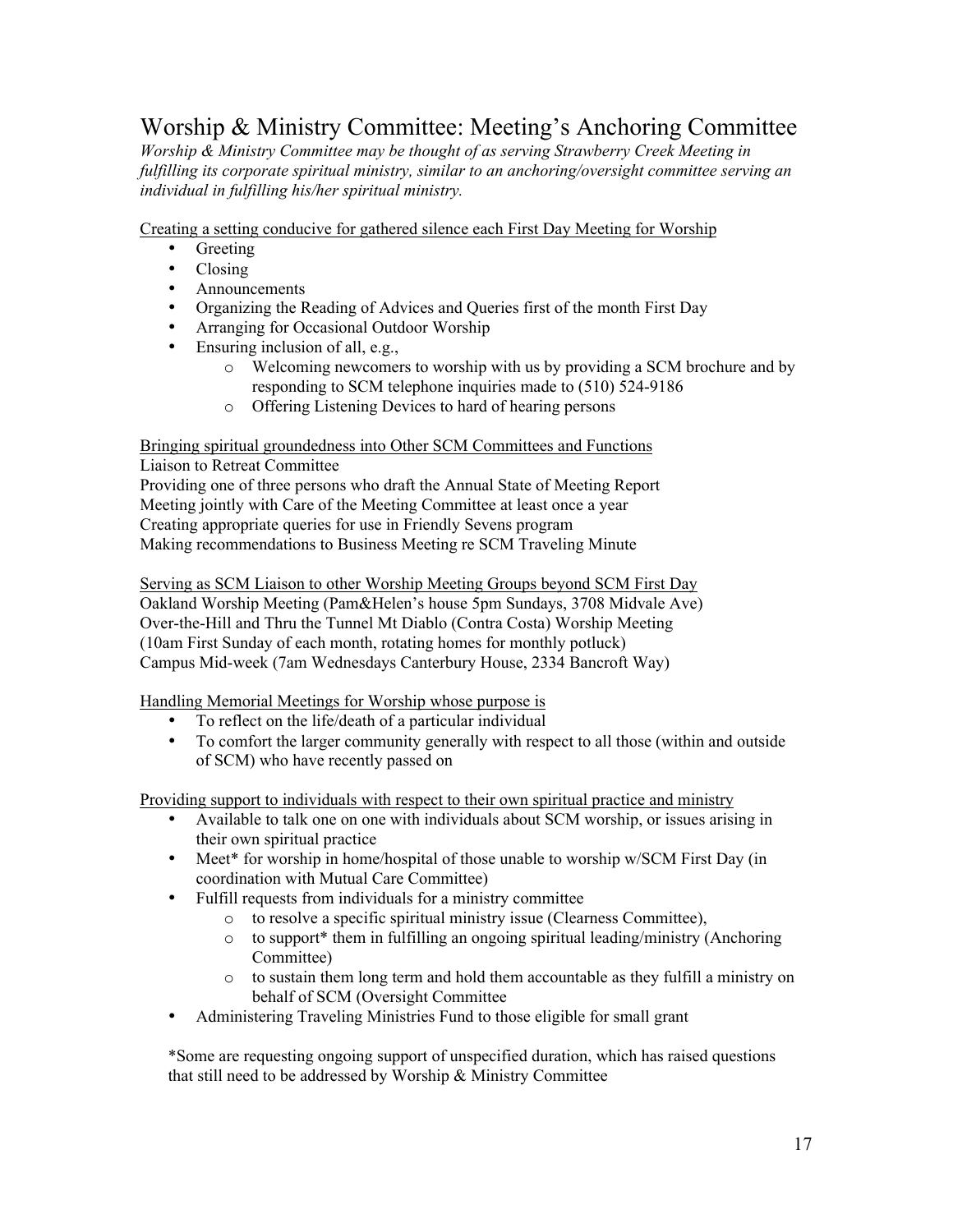# Worship & Ministry Committee: Meeting's Anchoring Committee

*Worship & Ministry Committee may be thought of as serving Strawberry Creek Meeting in fulfilling its corporate spiritual ministry, similar to an anchoring/oversight committee serving an individual in fulfilling his/her spiritual ministry.*

Creating a setting conducive for gathered silence each First Day Meeting for Worship

- Greeting
- Closing
- Announcements
- Organizing the Reading of Advices and Queries first of the month First Day
- Arranging for Occasional Outdoor Worship
- Ensuring inclusion of all, e.g.,
	- o Welcoming newcomers to worship with us by providing a SCM brochure and by responding to SCM telephone inquiries made to (510) 524-9186
	- o Offering Listening Devices to hard of hearing persons

#### Bringing spiritual groundedness into Other SCM Committees and Functions

Liaison to Retreat Committee

Providing one of three persons who draft the Annual State of Meeting Report Meeting jointly with Care of the Meeting Committee at least once a year Creating appropriate queries for use in Friendly Sevens program Making recommendations to Business Meeting re SCM Traveling Minute

Serving as SCM Liaison to other Worship Meeting Groups beyond SCM First Day Oakland Worship Meeting (Pam&Helen's house 5pm Sundays, 3708 Midvale Ave) Over-the-Hill and Thru the Tunnel Mt Diablo (Contra Costa) Worship Meeting (10am First Sunday of each month, rotating homes for monthly potluck) Campus Mid-week (7am Wednesdays Canterbury House, 2334 Bancroft Way)

Handling Memorial Meetings for Worship whose purpose is

- To reflect on the life/death of a particular individual
- To comfort the larger community generally with respect to all those (within and outside of SCM) who have recently passed on

Providing support to individuals with respect to their own spiritual practice and ministry

- Available to talk one on one with individuals about SCM worship, or issues arising in their own spiritual practice
- Meet\* for worship in home/hospital of those unable to worship w/SCM First Day (in coordination with Mutual Care Committee)
- Fulfill requests from individuals for a ministry committee
	- o to resolve a specific spiritual ministry issue (Clearness Committee),
	- o to support\* them in fulfilling an ongoing spiritual leading/ministry (Anchoring Committee)
	- o to sustain them long term and hold them accountable as they fulfill a ministry on behalf of SCM (Oversight Committee
- Administering Traveling Ministries Fund to those eligible for small grant

\*Some are requesting ongoing support of unspecified duration, which has raised questions that still need to be addressed by Worship & Ministry Committee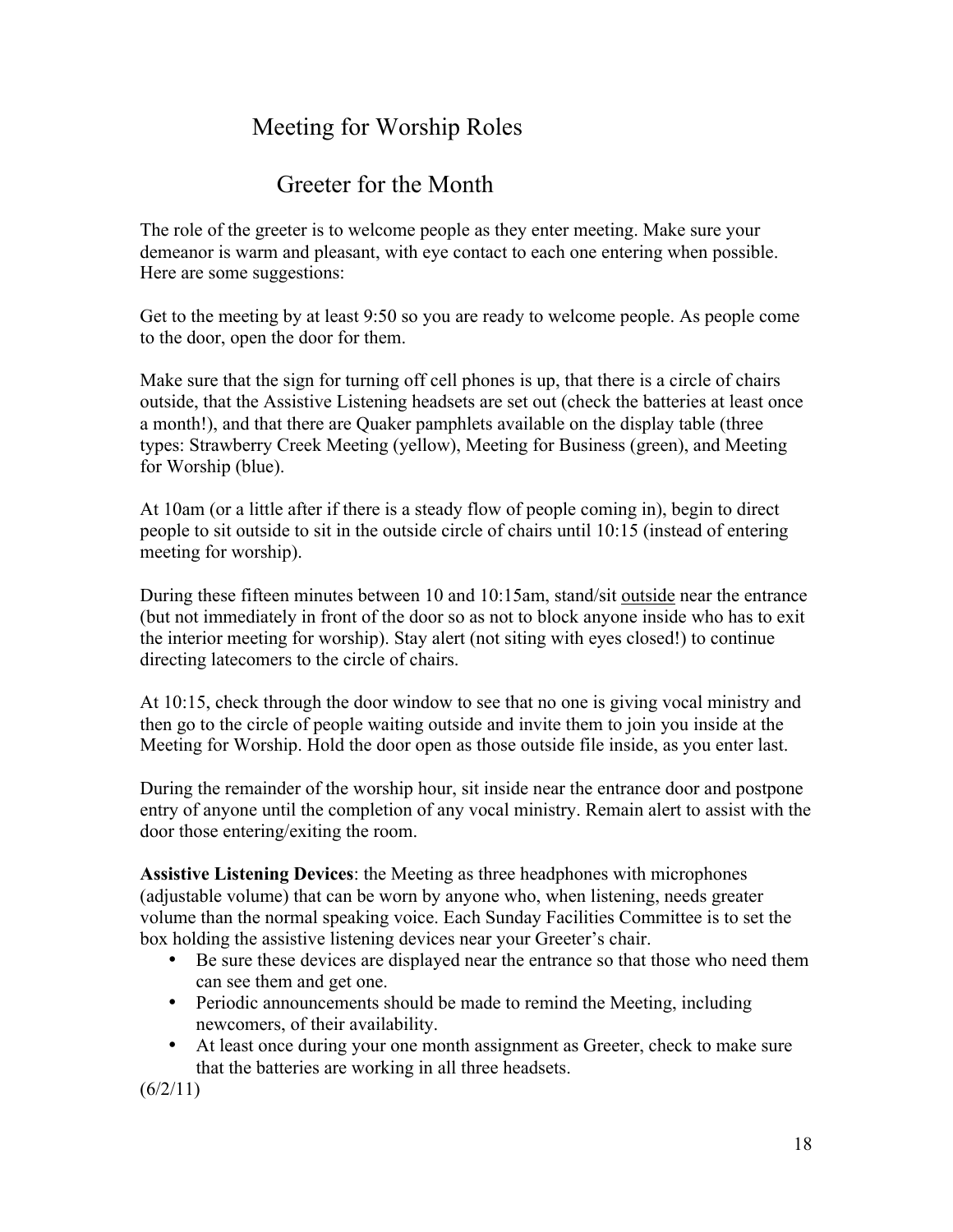# Meeting for Worship Roles

# Greeter for the Month

The role of the greeter is to welcome people as they enter meeting. Make sure your demeanor is warm and pleasant, with eye contact to each one entering when possible. Here are some suggestions:

Get to the meeting by at least 9:50 so you are ready to welcome people. As people come to the door, open the door for them.

Make sure that the sign for turning off cell phones is up, that there is a circle of chairs outside, that the Assistive Listening headsets are set out (check the batteries at least once a month!), and that there are Quaker pamphlets available on the display table (three types: Strawberry Creek Meeting (yellow), Meeting for Business (green), and Meeting for Worship (blue).

At 10am (or a little after if there is a steady flow of people coming in), begin to direct people to sit outside to sit in the outside circle of chairs until 10:15 (instead of entering meeting for worship).

During these fifteen minutes between 10 and 10:15am, stand/sit outside near the entrance (but not immediately in front of the door so as not to block anyone inside who has to exit the interior meeting for worship). Stay alert (not siting with eyes closed!) to continue directing latecomers to the circle of chairs.

At 10:15, check through the door window to see that no one is giving vocal ministry and then go to the circle of people waiting outside and invite them to join you inside at the Meeting for Worship. Hold the door open as those outside file inside, as you enter last.

During the remainder of the worship hour, sit inside near the entrance door and postpone entry of anyone until the completion of any vocal ministry. Remain alert to assist with the door those entering/exiting the room.

**Assistive Listening Devices**: the Meeting as three headphones with microphones (adjustable volume) that can be worn by anyone who, when listening, needs greater volume than the normal speaking voice. Each Sunday Facilities Committee is to set the box holding the assistive listening devices near your Greeter's chair.

- Be sure these devices are displayed near the entrance so that those who need them can see them and get one.
- Periodic announcements should be made to remind the Meeting, including newcomers, of their availability.
- At least once during your one month assignment as Greeter, check to make sure that the batteries are working in all three headsets.

 $(6/2/11)$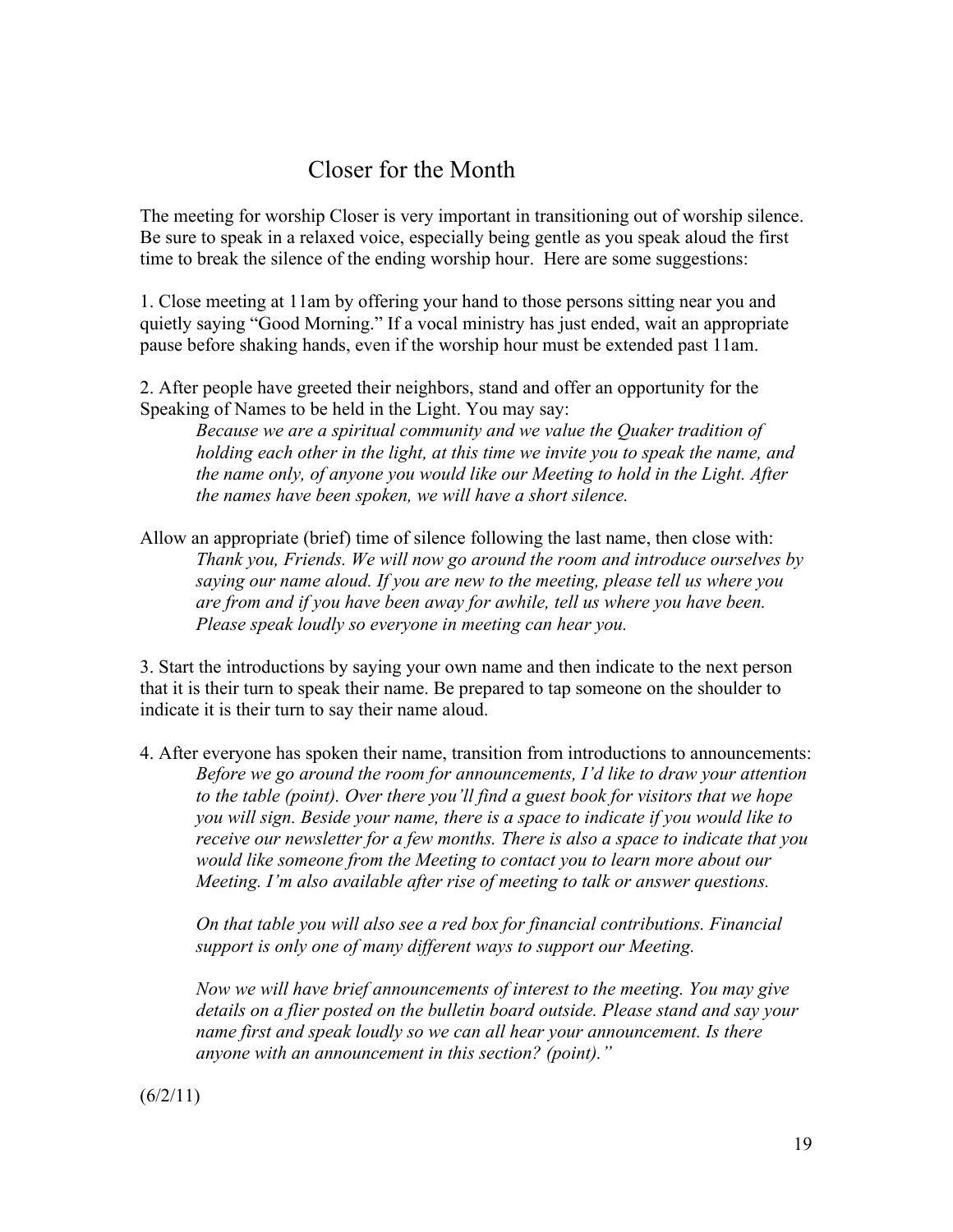# Closer for the Month

The meeting for worship Closer is very important in transitioning out of worship silence. Be sure to speak in a relaxed voice, especially being gentle as you speak aloud the first time to break the silence of the ending worship hour. Here are some suggestions:

1. Close meeting at 11am by offering your hand to those persons sitting near you and quietly saying "Good Morning." If a vocal ministry has just ended, wait an appropriate pause before shaking hands, even if the worship hour must be extended past 11am.

2. After people have greeted their neighbors, stand and offer an opportunity for the Speaking of Names to be held in the Light. You may say:

*Because we are a spiritual community and we value the Quaker tradition of holding each other in the light, at this time we invite you to speak the name, and the name only, of anyone you would like our Meeting to hold in the Light. After the names have been spoken, we will have a short silence.*

Allow an appropriate (brief) time of silence following the last name, then close with: *Thank you, Friends. We will now go around the room and introduce ourselves by saying our name aloud. If you are new to the meeting, please tell us where you are from and if you have been away for awhile, tell us where you have been. Please speak loudly so everyone in meeting can hear you.*

3. Start the introductions by saying your own name and then indicate to the next person that it is their turn to speak their name. Be prepared to tap someone on the shoulder to indicate it is their turn to say their name aloud.

4. After everyone has spoken their name, transition from introductions to announcements: *Before we go around the room for announcements, I'd like to draw your attention to the table (point). Over there you'll find a guest book for visitors that we hope you will sign. Beside your name, there is a space to indicate if you would like to receive our newsletter for a few months. There is also a space to indicate that you would like someone from the Meeting to contact you to learn more about our Meeting. I'm also available after rise of meeting to talk or answer questions.*

*On that table you will also see a red box for financial contributions. Financial support is only one of many different ways to support our Meeting.*

*Now we will have brief announcements of interest to the meeting. You may give details on a flier posted on the bulletin board outside. Please stand and say your name first and speak loudly so we can all hear your announcement. Is there anyone with an announcement in this section? (point)."*

 $(6/2/11)$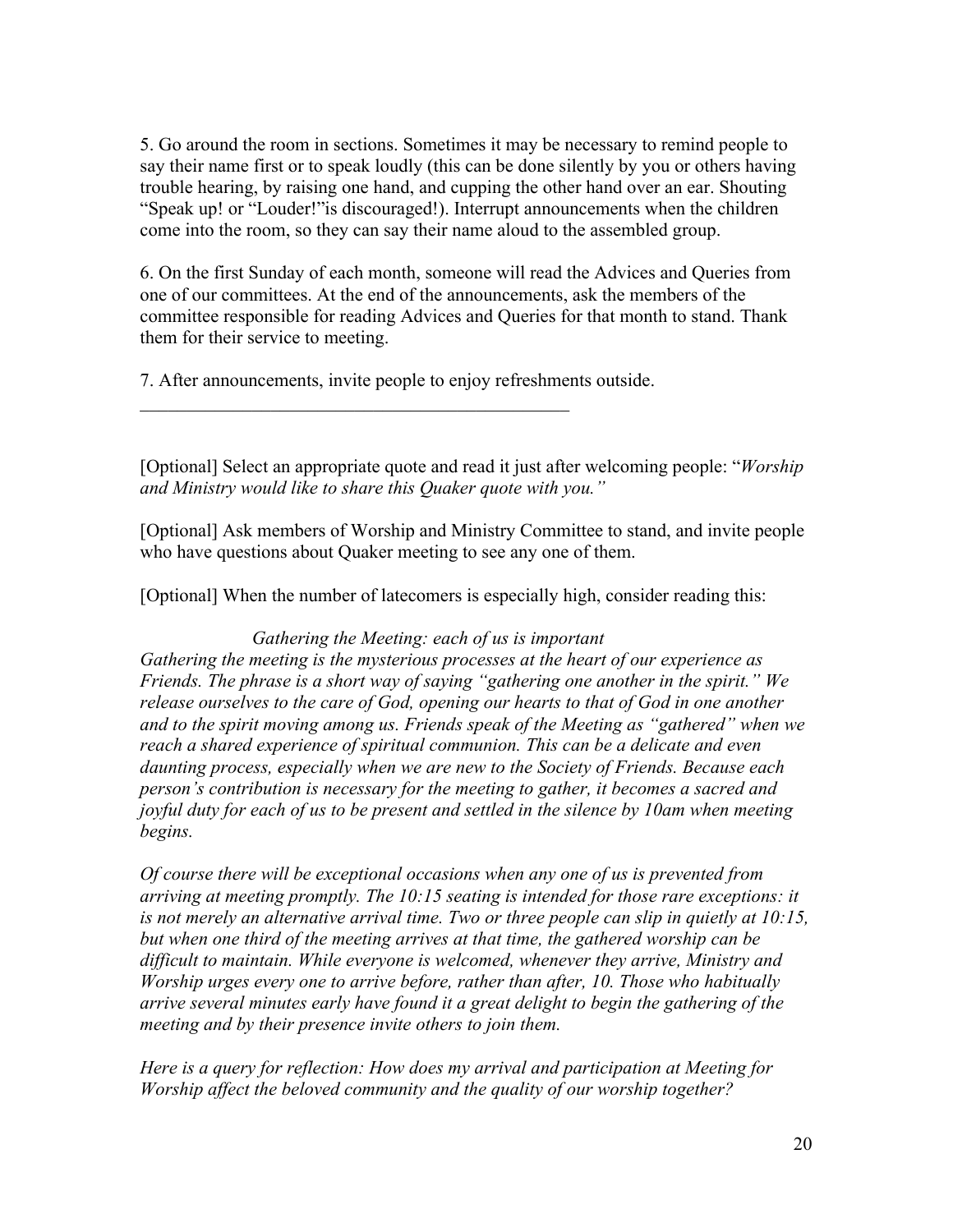5. Go around the room in sections. Sometimes it may be necessary to remind people to say their name first or to speak loudly (this can be done silently by you or others having trouble hearing, by raising one hand, and cupping the other hand over an ear. Shouting "Speak up! or "Louder!"is discouraged!). Interrupt announcements when the children come into the room, so they can say their name aloud to the assembled group.

6. On the first Sunday of each month, someone will read the Advices and Queries from one of our committees. At the end of the announcements, ask the members of the committee responsible for reading Advices and Queries for that month to stand. Thank them for their service to meeting.

7. After announcements, invite people to enjoy refreshments outside.

 $\mathcal{L}_\text{max}$  and the contract of the contract of the contract of the contract of the contract of the contract of the contract of the contract of the contract of the contract of the contract of the contract of the contrac

[Optional] Select an appropriate quote and read it just after welcoming people: "*Worship and Ministry would like to share this Quaker quote with you."*

[Optional] Ask members of Worship and Ministry Committee to stand, and invite people who have questions about Quaker meeting to see any one of them.

[Optional] When the number of latecomers is especially high, consider reading this:

### *Gathering the Meeting: each of us is important*

*Gathering the meeting is the mysterious processes at the heart of our experience as Friends. The phrase is a short way of saying "gathering one another in the spirit." We release ourselves to the care of God, opening our hearts to that of God in one another and to the spirit moving among us. Friends speak of the Meeting as "gathered" when we reach a shared experience of spiritual communion. This can be a delicate and even daunting process, especially when we are new to the Society of Friends. Because each person's contribution is necessary for the meeting to gather, it becomes a sacred and joyful duty for each of us to be present and settled in the silence by 10am when meeting begins.*

*Of course there will be exceptional occasions when any one of us is prevented from arriving at meeting promptly. The 10:15 seating is intended for those rare exceptions: it is not merely an alternative arrival time. Two or three people can slip in quietly at 10:15, but when one third of the meeting arrives at that time, the gathered worship can be difficult to maintain. While everyone is welcomed, whenever they arrive, Ministry and Worship urges every one to arrive before, rather than after, 10. Those who habitually arrive several minutes early have found it a great delight to begin the gathering of the meeting and by their presence invite others to join them.*

*Here is a query for reflection: How does my arrival and participation at Meeting for Worship affect the beloved community and the quality of our worship together?*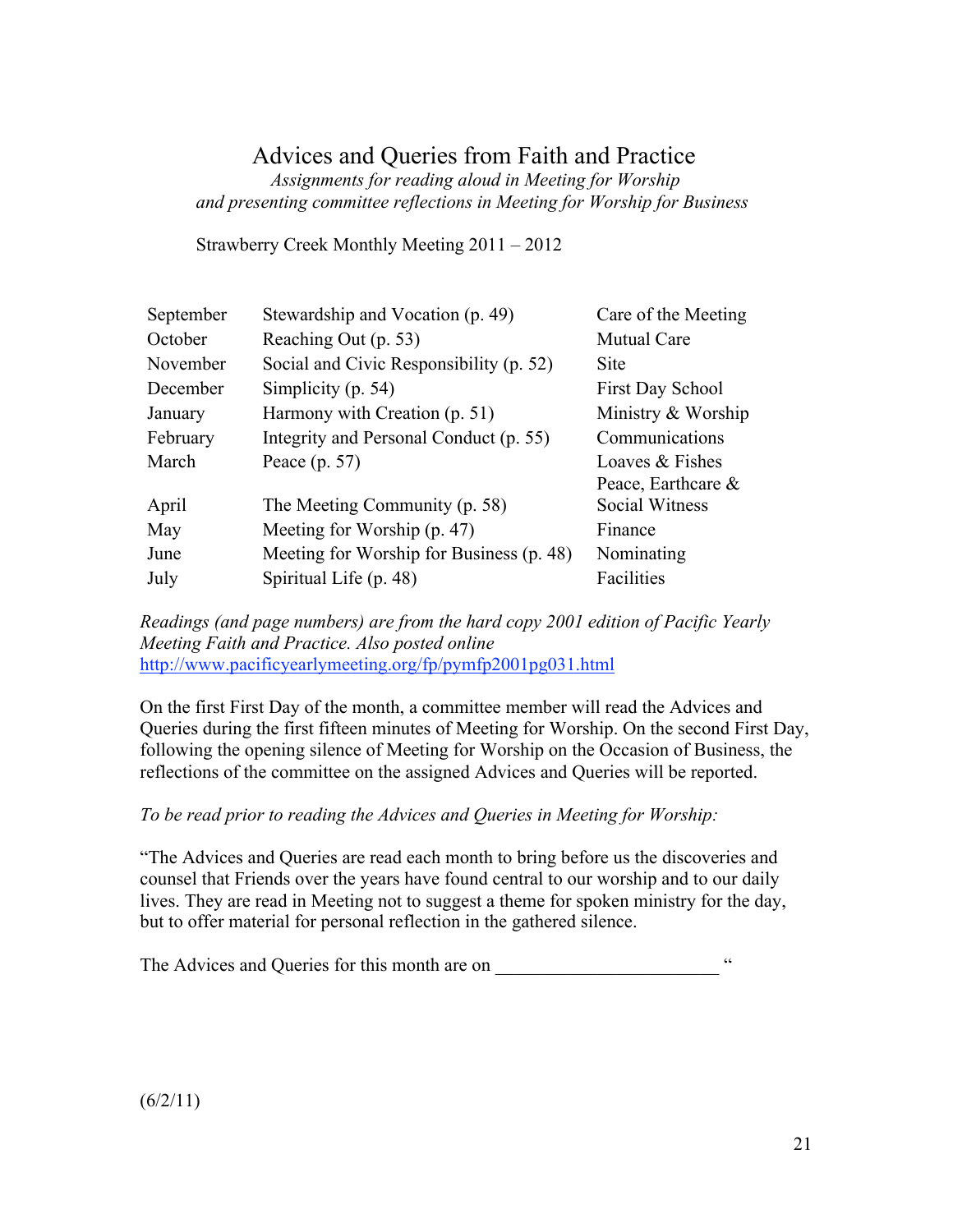# Advices and Queries from Faith and Practice

 *Assignments for reading aloud in Meeting for Worship and presenting committee reflections in Meeting for Worship for Business*

Strawberry Creek Monthly Meeting 2011 – 2012

| September | Stewardship and Vocation (p. 49)         | Care of the Meeting     |
|-----------|------------------------------------------|-------------------------|
| October   | Reaching Out (p. 53)                     | <b>Mutual Care</b>      |
| November  | Social and Civic Responsibility (p. 52)  | <b>Site</b>             |
| December  | Simplicity (p. 54)                       | <b>First Day School</b> |
| January   | Harmony with Creation (p. 51)            | Ministry & Worship      |
| February  | Integrity and Personal Conduct (p. 55)   | Communications          |
| March     | Peace $(p. 57)$                          | Loaves & Fishes         |
|           |                                          | Peace, Earthcare $\&$   |
| April     | The Meeting Community (p. 58)            | Social Witness          |
| May       | Meeting for Worship (p. 47)              | Finance                 |
| June      | Meeting for Worship for Business (p. 48) | Nominating              |
| July      | Spiritual Life (p. 48)                   | Facilities              |

*Readings (and page numbers) are from the hard copy 2001 edition of Pacific Yearly Meeting Faith and Practice. Also posted online* http://www.pacificyearlymeeting.org/fp/pymfp2001pg031.html

On the first First Day of the month, a committee member will read the Advices and Queries during the first fifteen minutes of Meeting for Worship. On the second First Day, following the opening silence of Meeting for Worship on the Occasion of Business, the reflections of the committee on the assigned Advices and Queries will be reported.

### *To be read prior to reading the Advices and Queries in Meeting for Worship:*

"The Advices and Queries are read each month to bring before us the discoveries and counsel that Friends over the years have found central to our worship and to our daily lives. They are read in Meeting not to suggest a theme for spoken ministry for the day, but to offer material for personal reflection in the gathered silence.

The Advices and Queries for this month are on \_\_\_\_\_\_\_\_\_\_\_\_\_\_\_\_\_\_\_\_\_\_\_\_\_\_\_\_ "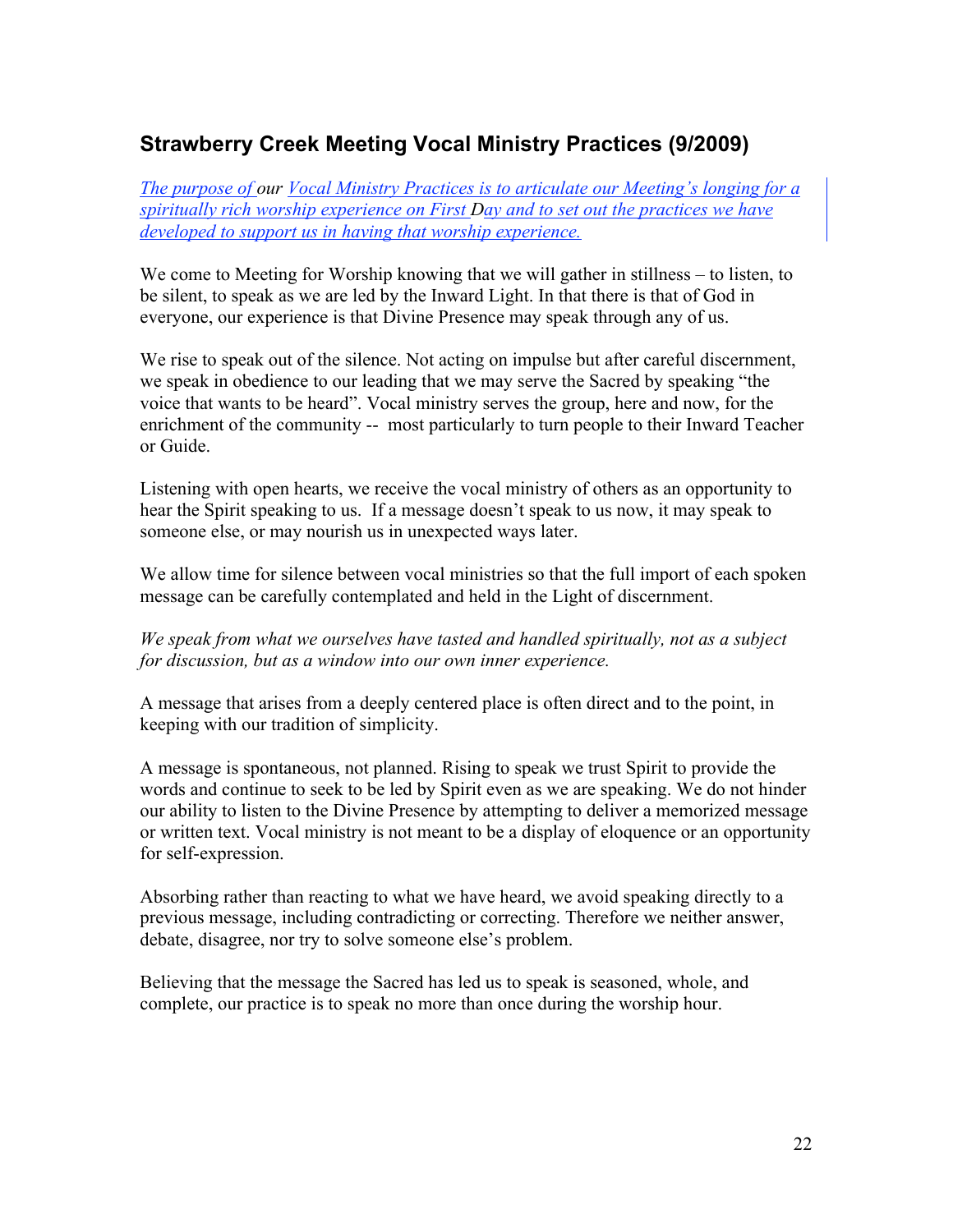# **Strawberry Creek Meeting Vocal Ministry Practices (9/2009)**

*The purpose of our Vocal Ministry Practices is to articulate our Meeting's longing for a spiritually rich worship experience on First Day and to set out the practices we have developed to support us in having that worship experience.*

We come to Meeting for Worship knowing that we will gather in stillness – to listen, to be silent, to speak as we are led by the Inward Light. In that there is that of God in everyone, our experience is that Divine Presence may speak through any of us.

We rise to speak out of the silence. Not acting on impulse but after careful discernment, we speak in obedience to our leading that we may serve the Sacred by speaking "the voice that wants to be heard". Vocal ministry serves the group, here and now, for the enrichment of the community -- most particularly to turn people to their Inward Teacher or Guide.

Listening with open hearts, we receive the vocal ministry of others as an opportunity to hear the Spirit speaking to us. If a message doesn't speak to us now, it may speak to someone else, or may nourish us in unexpected ways later.

We allow time for silence between vocal ministries so that the full import of each spoken message can be carefully contemplated and held in the Light of discernment.

*We speak from what we ourselves have tasted and handled spiritually, not as a subject for discussion, but as a window into our own inner experience.*

A message that arises from a deeply centered place is often direct and to the point, in keeping with our tradition of simplicity.

A message is spontaneous, not planned. Rising to speak we trust Spirit to provide the words and continue to seek to be led by Spirit even as we are speaking. We do not hinder our ability to listen to the Divine Presence by attempting to deliver a memorized message or written text. Vocal ministry is not meant to be a display of eloquence or an opportunity for self-expression.

Absorbing rather than reacting to what we have heard, we avoid speaking directly to a previous message, including contradicting or correcting. Therefore we neither answer, debate, disagree, nor try to solve someone else's problem.

Believing that the message the Sacred has led us to speak is seasoned, whole, and complete, our practice is to speak no more than once during the worship hour.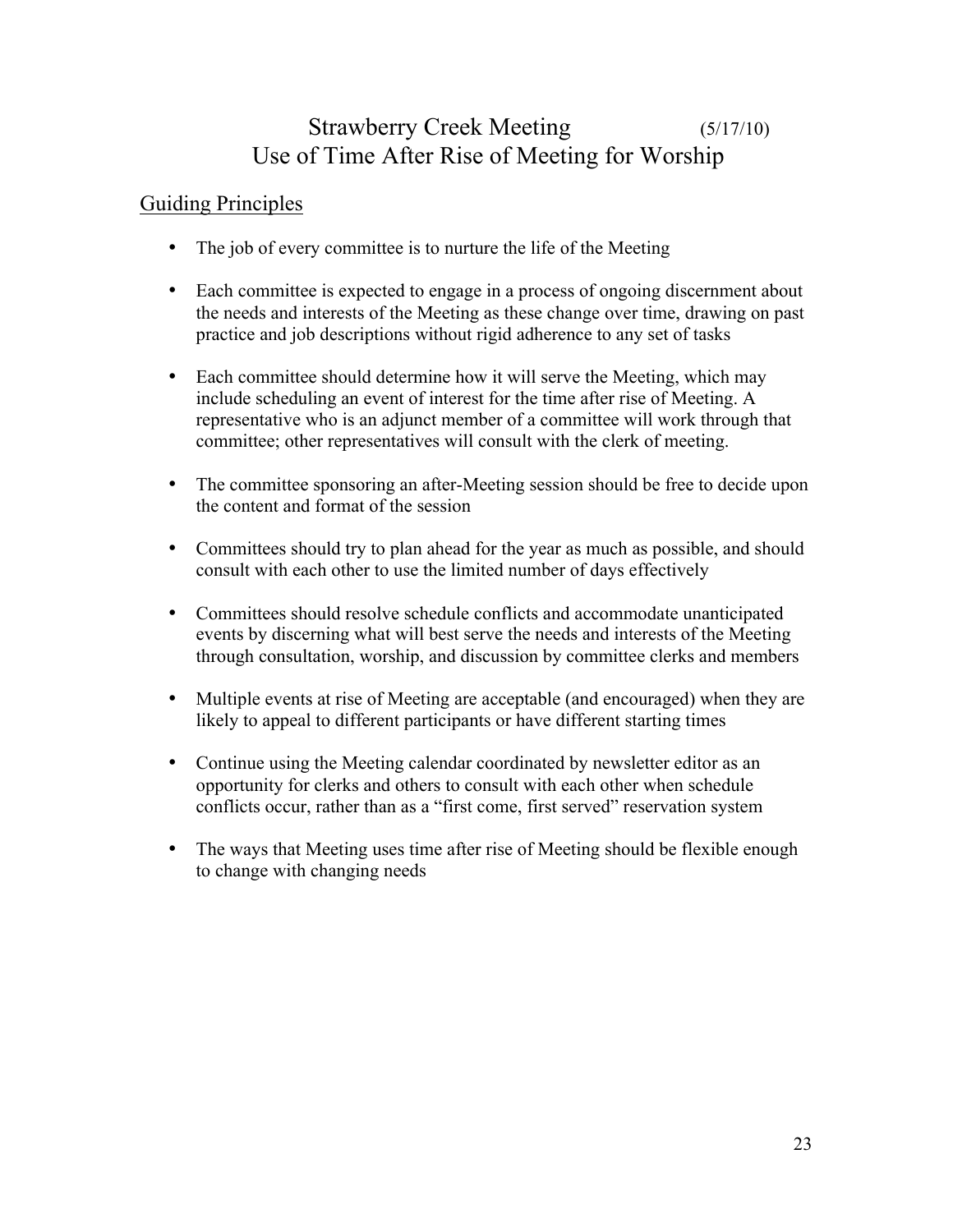# Strawberry Creek Meeting (5/17/10) Use of Time After Rise of Meeting for Worship

# Guiding Principles

- The job of every committee is to nurture the life of the Meeting
- Each committee is expected to engage in a process of ongoing discernment about the needs and interests of the Meeting as these change over time, drawing on past practice and job descriptions without rigid adherence to any set of tasks
- Each committee should determine how it will serve the Meeting, which may include scheduling an event of interest for the time after rise of Meeting. A representative who is an adjunct member of a committee will work through that committee; other representatives will consult with the clerk of meeting.
- The committee sponsoring an after-Meeting session should be free to decide upon the content and format of the session
- Committees should try to plan ahead for the year as much as possible, and should consult with each other to use the limited number of days effectively
- Committees should resolve schedule conflicts and accommodate unanticipated events by discerning what will best serve the needs and interests of the Meeting through consultation, worship, and discussion by committee clerks and members
- Multiple events at rise of Meeting are acceptable (and encouraged) when they are likely to appeal to different participants or have different starting times
- Continue using the Meeting calendar coordinated by newsletter editor as an opportunity for clerks and others to consult with each other when schedule conflicts occur, rather than as a "first come, first served" reservation system
- The ways that Meeting uses time after rise of Meeting should be flexible enough to change with changing needs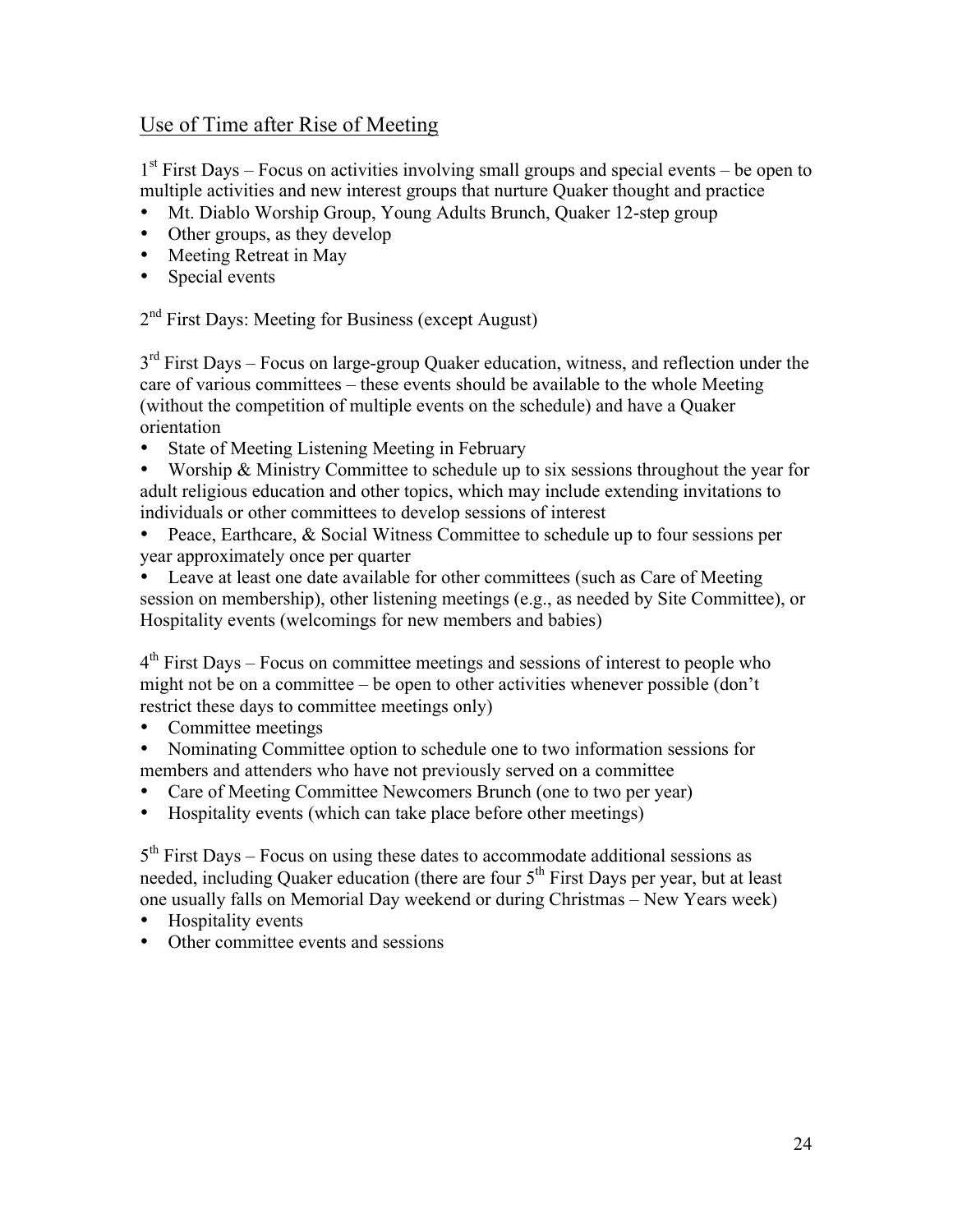# Use of Time after Rise of Meeting

 $1<sup>st</sup>$  First Days – Focus on activities involving small groups and special events – be open to multiple activities and new interest groups that nurture Quaker thought and practice

- Mt. Diablo Worship Group, Young Adults Brunch, Quaker 12-step group
- Other groups, as they develop
- Meeting Retreat in May
- Special events

2<sup>nd</sup> First Days: Meeting for Business (except August)

 $3<sup>rd</sup>$  First Days – Focus on large-group Quaker education, witness, and reflection under the care of various committees – these events should be available to the whole Meeting (without the competition of multiple events on the schedule) and have a Quaker orientation

State of Meeting Listening Meeting in February

• Worship & Ministry Committee to schedule up to six sessions throughout the year for adult religious education and other topics, which may include extending invitations to individuals or other committees to develop sessions of interest

• Peace, Earthcare, & Social Witness Committee to schedule up to four sessions per year approximately once per quarter

Leave at least one date available for other committees (such as Care of Meeting session on membership), other listening meetings (e.g., as needed by Site Committee), or Hospitality events (welcomings for new members and babies)

 $4<sup>th</sup>$  First Days – Focus on committee meetings and sessions of interest to people who might not be on a committee – be open to other activities whenever possible (don't restrict these days to committee meetings only)

- Committee meetings<br>• Nominating Committ
- Nominating Committee option to schedule one to two information sessions for members and attenders who have not previously served on a committee
- Care of Meeting Committee Newcomers Brunch (one to two per year)
- Hospitality events (which can take place before other meetings)

 $5<sup>th</sup>$  First Days – Focus on using these dates to accommodate additional sessions as needed, including Quaker education (there are four 5<sup>th</sup> First Days per year, but at least one usually falls on Memorial Day weekend or during Christmas – New Years week)

- Hospitality events
- Other committee events and sessions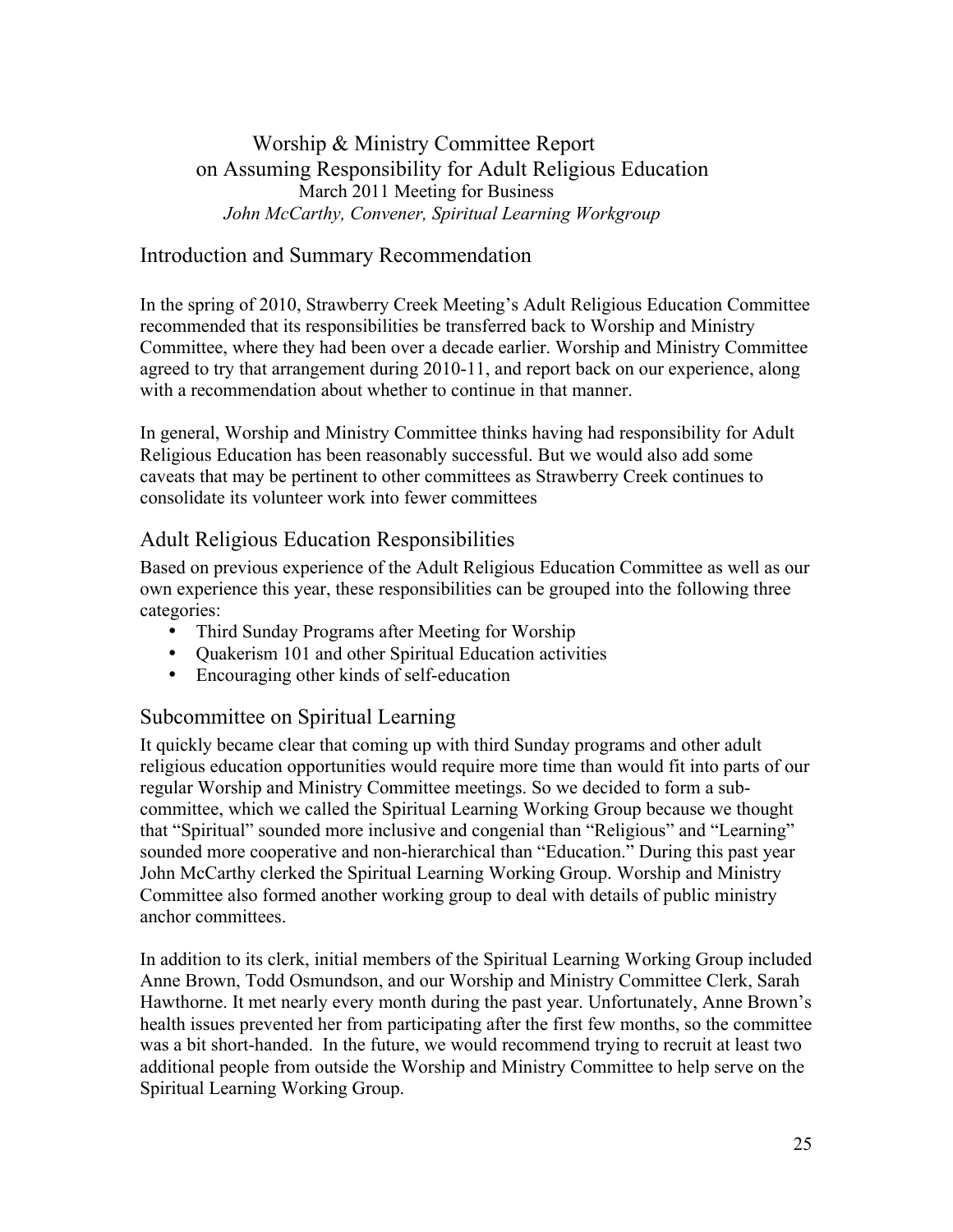# Worship & Ministry Committee Report on Assuming Responsibility for Adult Religious Education March 2011 Meeting for Business  *John McCarthy, Convener, Spiritual Learning Workgroup*

# Introduction and Summary Recommendation

In the spring of 2010, Strawberry Creek Meeting's Adult Religious Education Committee recommended that its responsibilities be transferred back to Worship and Ministry Committee, where they had been over a decade earlier. Worship and Ministry Committee agreed to try that arrangement during 2010-11, and report back on our experience, along with a recommendation about whether to continue in that manner.

In general, Worship and Ministry Committee thinks having had responsibility for Adult Religious Education has been reasonably successful. But we would also add some caveats that may be pertinent to other committees as Strawberry Creek continues to consolidate its volunteer work into fewer committees

# Adult Religious Education Responsibilities

Based on previous experience of the Adult Religious Education Committee as well as our own experience this year, these responsibilities can be grouped into the following three categories:

- Third Sunday Programs after Meeting for Worship
- Ouakerism 101 and other Spiritual Education activities
- Encouraging other kinds of self-education

# Subcommittee on Spiritual Learning

It quickly became clear that coming up with third Sunday programs and other adult religious education opportunities would require more time than would fit into parts of our regular Worship and Ministry Committee meetings. So we decided to form a subcommittee, which we called the Spiritual Learning Working Group because we thought that "Spiritual" sounded more inclusive and congenial than "Religious" and "Learning" sounded more cooperative and non-hierarchical than "Education." During this past year John McCarthy clerked the Spiritual Learning Working Group. Worship and Ministry Committee also formed another working group to deal with details of public ministry anchor committees.

In addition to its clerk, initial members of the Spiritual Learning Working Group included Anne Brown, Todd Osmundson, and our Worship and Ministry Committee Clerk, Sarah Hawthorne. It met nearly every month during the past year. Unfortunately, Anne Brown's health issues prevented her from participating after the first few months, so the committee was a bit short-handed. In the future, we would recommend trying to recruit at least two additional people from outside the Worship and Ministry Committee to help serve on the Spiritual Learning Working Group.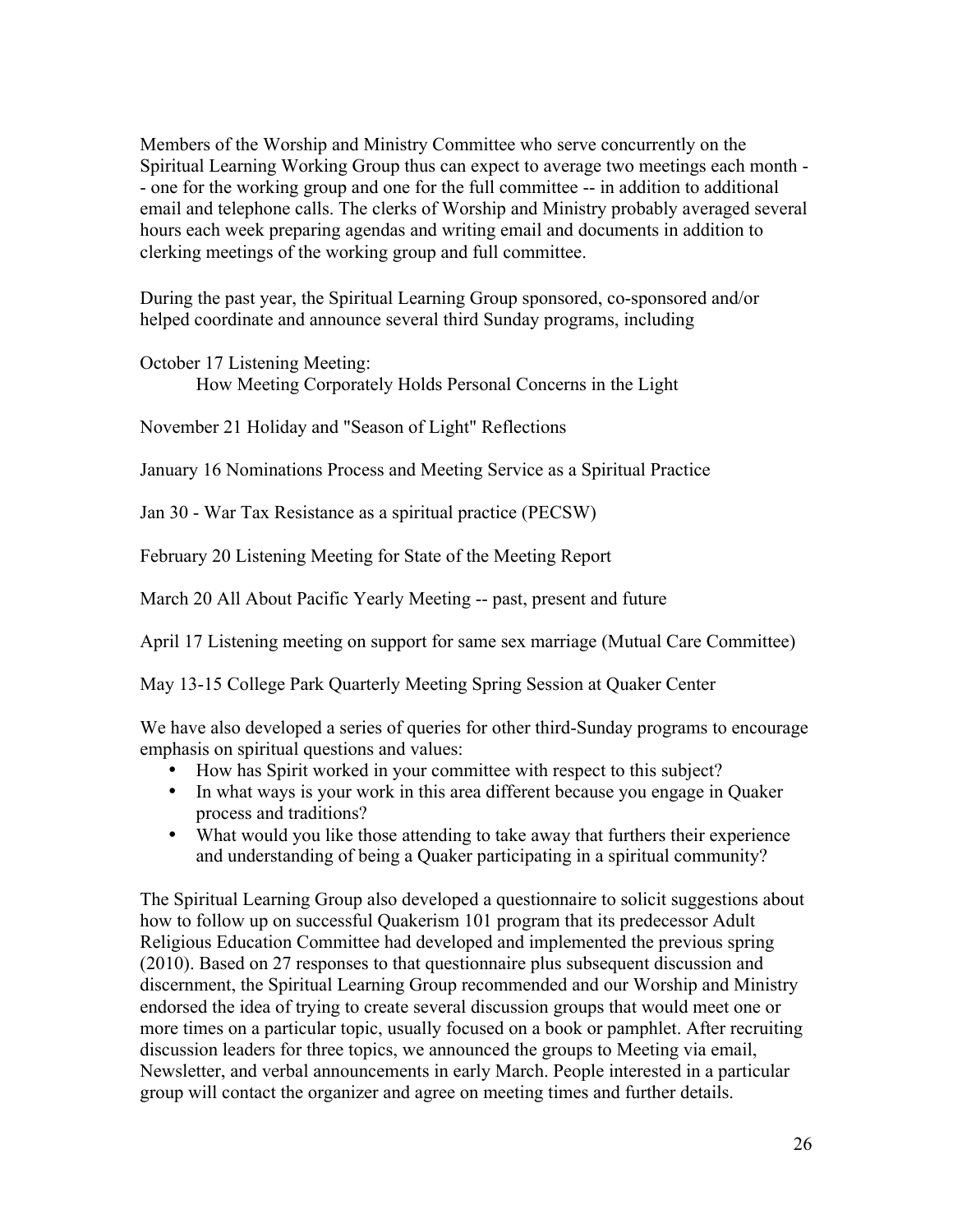Members of the Worship and Ministry Committee who serve concurrently on the Spiritual Learning Working Group thus can expect to average two meetings each month - - one for the working group and one for the full committee -- in addition to additional email and telephone calls. The clerks of Worship and Ministry probably averaged several hours each week preparing agendas and writing email and documents in addition to clerking meetings of the working group and full committee.

During the past year, the Spiritual Learning Group sponsored, co-sponsored and/or helped coordinate and announce several third Sunday programs, including

October 17 Listening Meeting:

How Meeting Corporately Holds Personal Concerns in the Light

November 21 Holiday and "Season of Light" Reflections

January 16 Nominations Process and Meeting Service as a Spiritual Practice

Jan 30 - War Tax Resistance as a spiritual practice (PECSW)

February 20 Listening Meeting for State of the Meeting Report

March 20 All About Pacific Yearly Meeting -- past, present and future

April 17 Listening meeting on support for same sex marriage (Mutual Care Committee)

May 13-15 College Park Quarterly Meeting Spring Session at Quaker Center

We have also developed a series of queries for other third-Sunday programs to encourage emphasis on spiritual questions and values:

- How has Spirit worked in your committee with respect to this subject?
- In what ways is your work in this area different because you engage in Quaker process and traditions?
- What would you like those attending to take away that furthers their experience and understanding of being a Quaker participating in a spiritual community?

The Spiritual Learning Group also developed a questionnaire to solicit suggestions about how to follow up on successful Quakerism 101 program that its predecessor Adult Religious Education Committee had developed and implemented the previous spring (2010). Based on 27 responses to that questionnaire plus subsequent discussion and discernment, the Spiritual Learning Group recommended and our Worship and Ministry endorsed the idea of trying to create several discussion groups that would meet one or more times on a particular topic, usually focused on a book or pamphlet. After recruiting discussion leaders for three topics, we announced the groups to Meeting via email, Newsletter, and verbal announcements in early March. People interested in a particular group will contact the organizer and agree on meeting times and further details.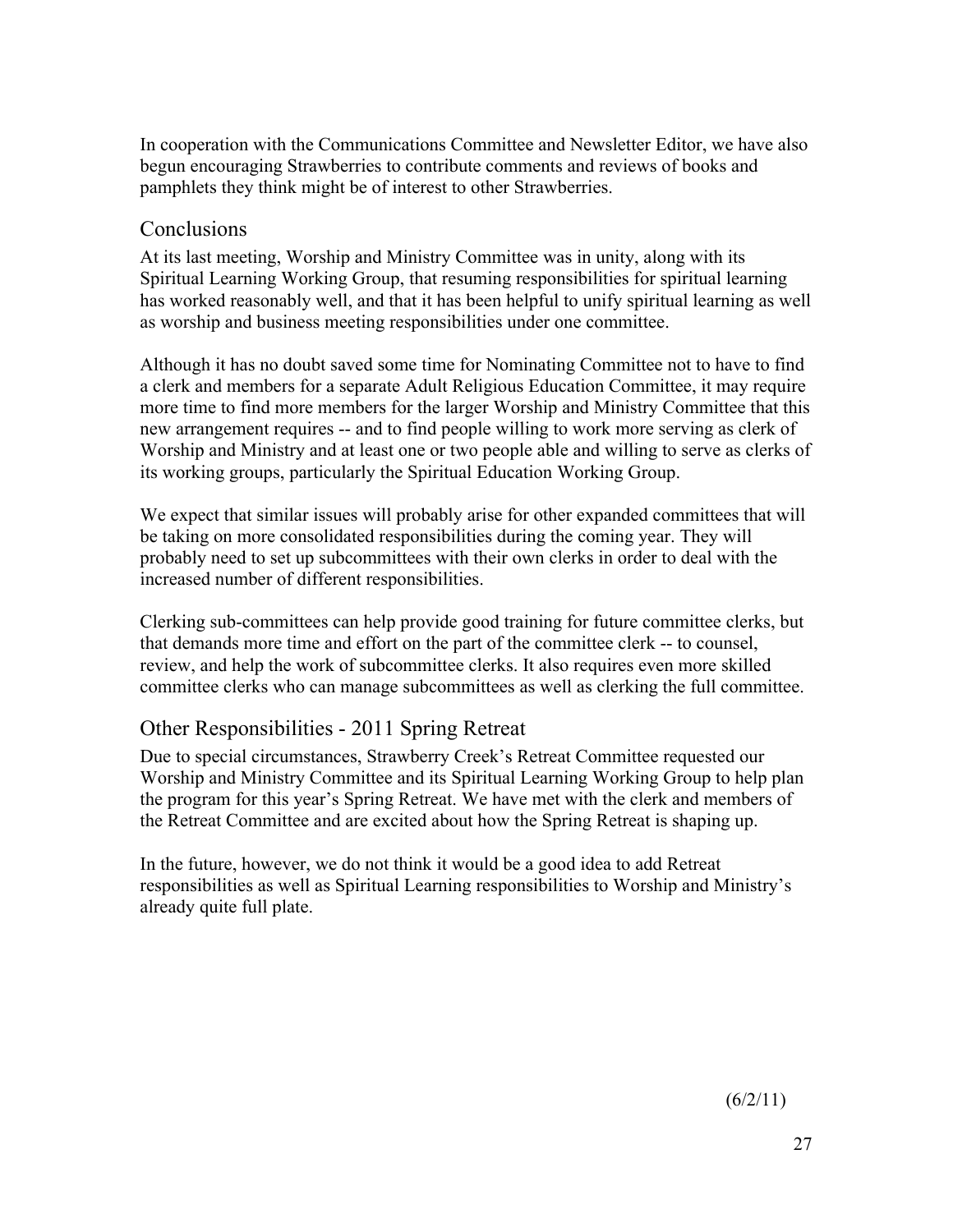In cooperation with the Communications Committee and Newsletter Editor, we have also begun encouraging Strawberries to contribute comments and reviews of books and pamphlets they think might be of interest to other Strawberries.

# Conclusions

At its last meeting, Worship and Ministry Committee was in unity, along with its Spiritual Learning Working Group, that resuming responsibilities for spiritual learning has worked reasonably well, and that it has been helpful to unify spiritual learning as well as worship and business meeting responsibilities under one committee.

Although it has no doubt saved some time for Nominating Committee not to have to find a clerk and members for a separate Adult Religious Education Committee, it may require more time to find more members for the larger Worship and Ministry Committee that this new arrangement requires -- and to find people willing to work more serving as clerk of Worship and Ministry and at least one or two people able and willing to serve as clerks of its working groups, particularly the Spiritual Education Working Group.

We expect that similar issues will probably arise for other expanded committees that will be taking on more consolidated responsibilities during the coming year. They will probably need to set up subcommittees with their own clerks in order to deal with the increased number of different responsibilities.

Clerking sub-committees can help provide good training for future committee clerks, but that demands more time and effort on the part of the committee clerk -- to counsel, review, and help the work of subcommittee clerks. It also requires even more skilled committee clerks who can manage subcommittees as well as clerking the full committee.

# Other Responsibilities - 2011 Spring Retreat

Due to special circumstances, Strawberry Creek's Retreat Committee requested our Worship and Ministry Committee and its Spiritual Learning Working Group to help plan the program for this year's Spring Retreat. We have met with the clerk and members of the Retreat Committee and are excited about how the Spring Retreat is shaping up.

In the future, however, we do not think it would be a good idea to add Retreat responsibilities as well as Spiritual Learning responsibilities to Worship and Ministry's already quite full plate.

 $(6/2/11)$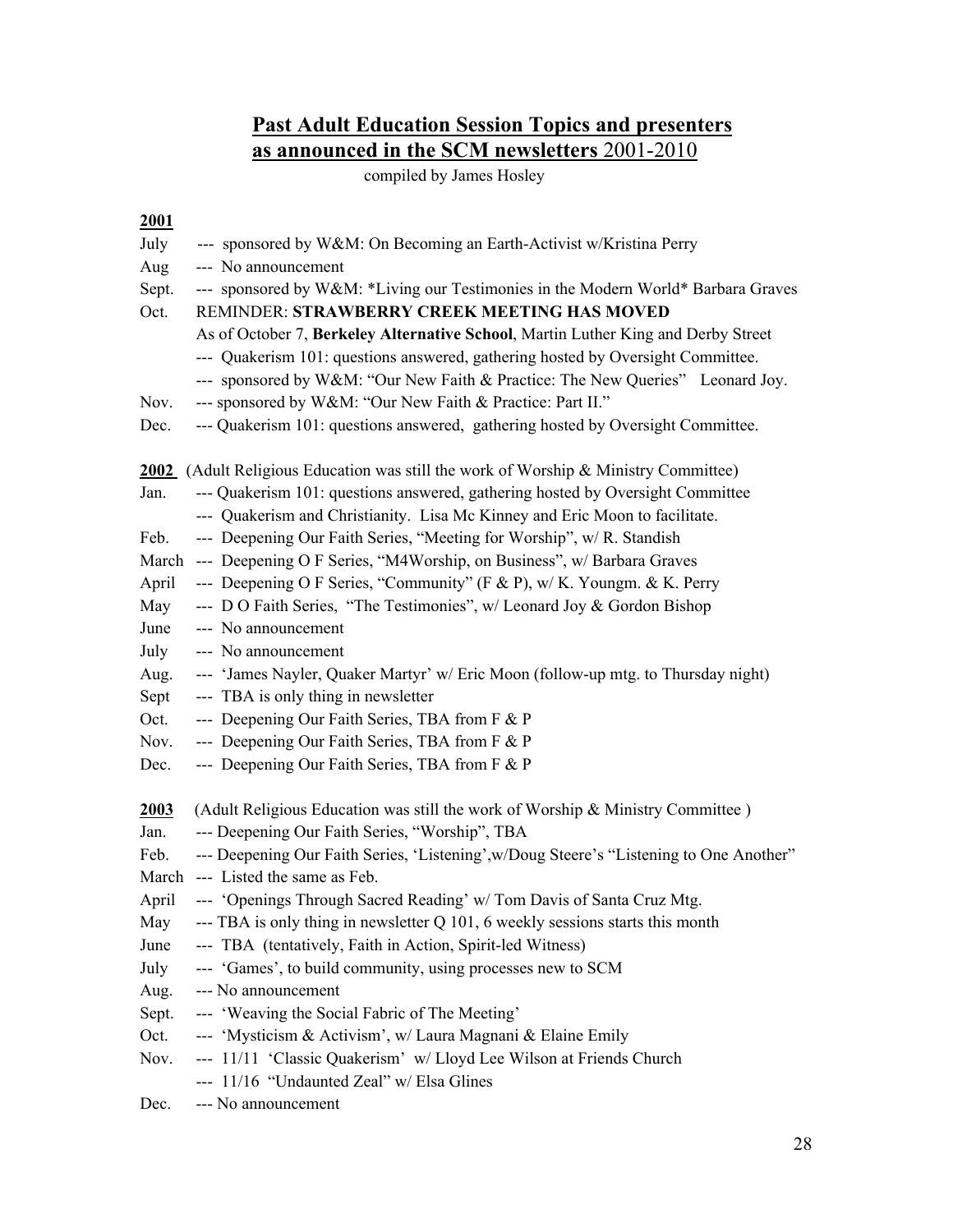# **Past Adult Education Session Topics and presenters as announced in the SCM newsletters** 2001-2010

compiled by James Hosley

#### **2001**

| July  | --- sponsored by W&M: On Becoming an Earth-Activist w/Kristina Perry                       |
|-------|--------------------------------------------------------------------------------------------|
| Aug   | --- No announcement                                                                        |
| Sept. | --- sponsored by W&M: *Living our Testimonies in the Modern World* Barbara Graves          |
| Oct.  | REMINDER: STRAWBERRY CREEK MEETING HAS MOVED                                               |
|       | As of October 7, Berkeley Alternative School, Martin Luther King and Derby Street          |
|       | --- Quakerism 101: questions answered, gathering hosted by Oversight Committee.            |
|       | --- sponsored by W&M: "Our New Faith & Practice: The New Queries" Leonard Joy.             |
| Nov.  | --- sponsored by W&M: "Our New Faith & Practice: Part II."                                 |
| Dec.  | --- Quakerism 101: questions answered, gathering hosted by Oversight Committee.            |
|       | <b>2002</b> (Adult Religious Education was still the work of Worship & Ministry Committee) |
| Jan.  | --- Quakerism 101: questions answered, gathering hosted by Oversight Committee             |
|       | --- Quakerism and Christianity. Lisa Mc Kinney and Eric Moon to facilitate.                |
| Feb.  | --- Deepening Our Faith Series, "Meeting for Worship", w/R. Standish                       |
|       | March --- Deepening O F Series, "M4Worship, on Business", w/ Barbara Graves                |
| April | --- Deepening O F Series, "Community" (F & P), w/ K. Youngm. & K. Perry                    |
| May   | --- D O Faith Series, "The Testimonies", w/ Leonard Joy & Gordon Bishop                    |
| June  | --- No announcement                                                                        |
| July  | --- No announcement                                                                        |
| Aug.  | --- 'James Nayler, Quaker Martyr' w/ Eric Moon (follow-up mtg. to Thursday night)          |
| Sept  | --- TBA is only thing in newsletter                                                        |
| Oct.  | --- Deepening Our Faith Series, TBA from F & P                                             |
| Nov.  | --- Deepening Our Faith Series, TBA from F & P                                             |
| Dec.  | --- Deepening Our Faith Series, TBA from F & P                                             |
| 2003  | (Adult Religious Education was still the work of Worship & Ministry Committee)             |
| Jan.  | --- Deepening Our Faith Series, "Worship", TBA                                             |
| Feb.  | --- Deepening Our Faith Series, 'Listening', w/Doug Steere's "Listening to One Another"    |
| March | --- Listed the same as Feb.                                                                |
| April | --- 'Openings Through Sacred Reading' w/ Tom Davis of Santa Cruz Mtg.                      |
| May   | --- TBA is only thing in newsletter Q 101, 6 weekly sessions starts this month             |
| June  | --- TBA (tentatively, Faith in Action, Spirit-led Witness)                                 |
| July  | --- 'Games', to build community, using processes new to SCM                                |
| Aug.  | --- No announcement                                                                        |
| Sept. | --- 'Weaving the Social Fabric of The Meeting'                                             |
| Oct.  | --- 'Mysticism & Activism', w/ Laura Magnani & Elaine Emily                                |
| Nov.  | --- 11/11 'Classic Quakerism' w/ Lloyd Lee Wilson at Friends Church                        |
|       | --- 11/16 "Undaunted Zeal" w/ Elsa Glines                                                  |
| Dec.  | --- No announcement                                                                        |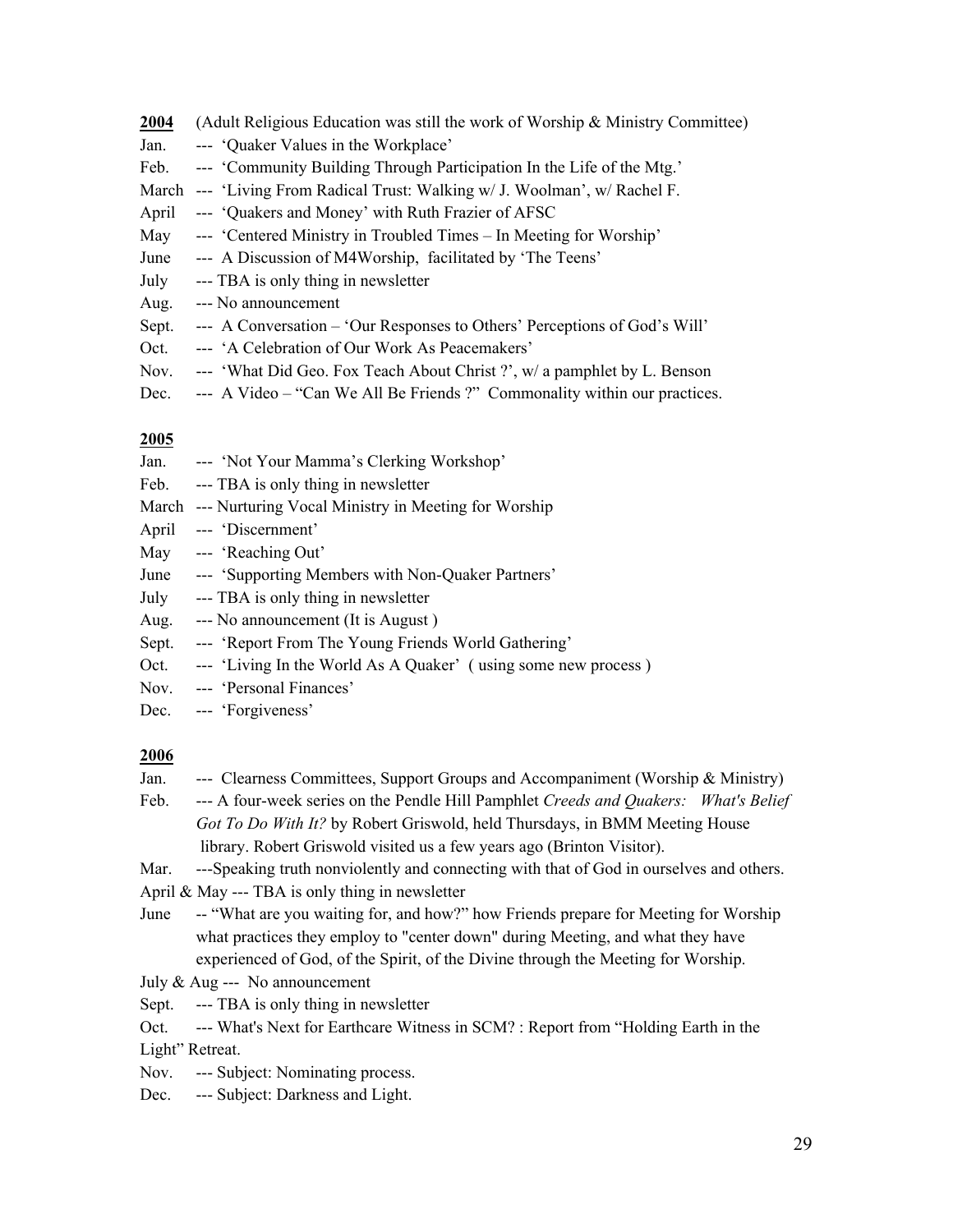| 2004  | (Adult Religious Education was still the work of Worship $\&$ Ministry Committee) |
|-------|-----------------------------------------------------------------------------------|
| Jan.  | --- 'Quaker Values in the Workplace'                                              |
| Feb.  | --- 'Community Building Through Participation In the Life of the Mtg.'            |
| March | --- 'Living From Radical Trust: Walking w/ J. Woolman', w/ Rachel F.              |
| April | --- 'Quakers and Money' with Ruth Frazier of AFSC                                 |
| May   | --- 'Centered Ministry in Troubled Times – In Meeting for Worship'                |
| June  | --- A Discussion of M4Worship, facilitated by 'The Teens'                         |
| July  | --- TBA is only thing in newsletter                                               |
| Aug.  | --- No announcement                                                               |
| Sept. | --- A Conversation – 'Our Responses to Others' Perceptions of God's Will'         |
| Oct.  | --- 'A Celebration of Our Work As Peacemakers'                                    |
|       |                                                                                   |

- Nov. --- 'What Did Geo. Fox Teach About Christ ?', w/ a pamphlet by L. Benson
- Dec. --- A Video "Can We All Be Friends ?" Commonality within our practices.

#### **2005**

| Jan. |  |  |  | --- 'Not Your Mamma's Clerking Workshop' |  |
|------|--|--|--|------------------------------------------|--|
|      |  |  |  |                                          |  |

- Feb. --- TBA is only thing in newsletter
- March --- Nurturing Vocal Ministry in Meeting for Worship
- April --- 'Discernment'
- May --- 'Reaching Out'
- June --- 'Supporting Members with Non-Quaker Partners'
- July --- TBA is only thing in newsletter
- Aug. --- No announcement (It is August )
- Sept. --- 'Report From The Young Friends World Gathering'
- Oct. --- 'Living In the World As A Quaker' (using some new process)
- Nov. --- 'Personal Finances'
- Dec. --- 'Forgiveness'

#### **2006**

- Jan. --- Clearness Committees, Support Groups and Accompaniment (Worship & Ministry)
- Feb. --- A four-week series on the Pendle Hill Pamphlet *Creeds and Quakers: What's Belief Got To Do With It?* by Robert Griswold, held Thursdays, in BMM Meeting House library. Robert Griswold visited us a few years ago (Brinton Visitor).

Mar. ---Speaking truth nonviolently and connecting with that of God in ourselves and others.

April & May --- TBA is only thing in newsletter

- June -- "What are you waiting for, and how?" how Friends prepare for Meeting for Worship what practices they employ to "center down" during Meeting, and what they have experienced of God, of the Spirit, of the Divine through the Meeting for Worship.
- July & Aug --- No announcement
- Sept. --- TBA is only thing in newsletter
- Oct. --- What's Next for Earthcare Witness in SCM? : Report from "Holding Earth in the Light" Retreat.
- Nov. --- Subject: Nominating process.
- Dec. --- Subject: Darkness and Light.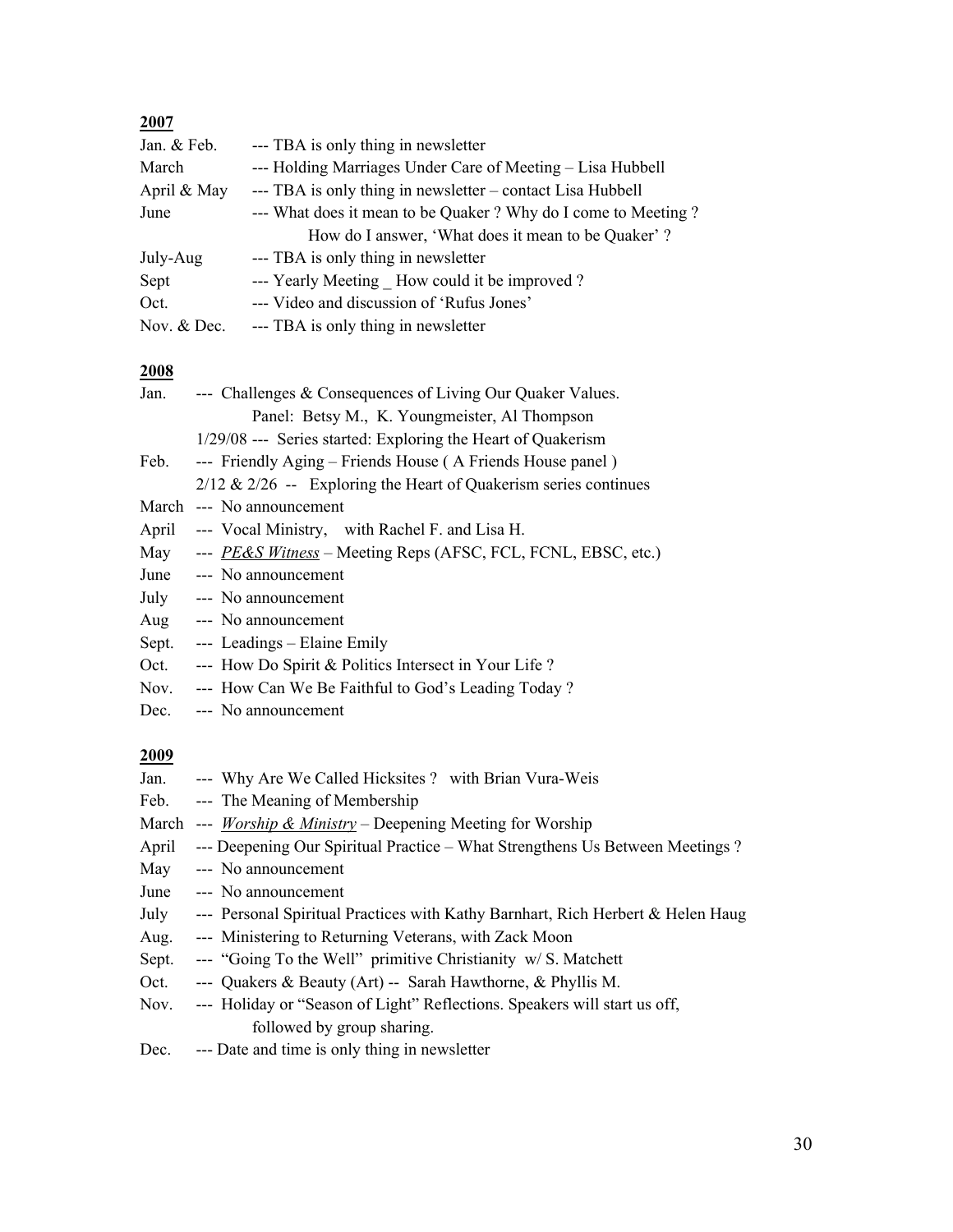# **2007**

| Jan. & Feb.   | --- TBA is only thing in newsletter                           |
|---------------|---------------------------------------------------------------|
| March         | --- Holding Marriages Under Care of Meeting – Lisa Hubbell    |
| April & May   | --- TBA is only thing in newsletter – contact Lisa Hubbell    |
| June          | --- What does it mean to be Quaker? Why do I come to Meeting? |
|               | How do I answer, 'What does it mean to be Quaker'?            |
| July-Aug      | --- TBA is only thing in newsletter                           |
| Sept          | --- Yearly Meeting How could it be improved?                  |
| Oct.          | --- Video and discussion of 'Rufus Jones'                     |
| Nov. $&$ Dec. | --- TBA is only thing in newsletter                           |

#### **2008**

| Jan.        | --- Challenges & Consequences of Living Our Quaker Values.                    |
|-------------|-------------------------------------------------------------------------------|
|             | Panel: Betsy M., K. Youngmeister, Al Thompson                                 |
|             | 1/29/08 --- Series started: Exploring the Heart of Quakerism                  |
| Feb.        | --- Friendly Aging – Friends House (A Friends House panel)                    |
|             | $2/12 \& 2/26$ -- Exploring the Heart of Quakerism series continues           |
|             | March --- No announcement                                                     |
| April       | --- Vocal Ministry, with Rachel F. and Lisa H.                                |
| May         | --- PE&S Witness – Meeting Reps (AFSC, FCL, FCNL, EBSC, etc.)                 |
| June        | --- No announcement                                                           |
| July        | --- No announcement                                                           |
| Aug         | --- No announcement                                                           |
| Sept.       | --- Leadings – Elaine Emily                                                   |
| Oct.        | --- How Do Spirit & Politics Intersect in Your Life?                          |
| Nov.        | --- How Can We Be Faithful to God's Leading Today?                            |
| Dec.        | --- No announcement                                                           |
| <u>2009</u> |                                                                               |
| Jan.        | --- Why Are We Called Hicksites ? with Brian Vura-Weis                        |
|             | Feb. --- The Meaning of Membership                                            |
|             | March --- <i>Worship &amp; Ministry</i> – Deepening Meeting for Worship       |
| April       | --- Deepening Our Spiritual Practice – What Strengthens Us Between Meetings ? |
|             |                                                                               |

- May --- No announcement
- June --- No announcement

| July | --- Personal Spiritual Practices with Kathy Barnhart, Rich Herbert & Helen Haug |  |  |  |  |  |
|------|---------------------------------------------------------------------------------|--|--|--|--|--|
|      |                                                                                 |  |  |  |  |  |

- Aug. --- Ministering to Returning Veterans, with Zack Moon
- Sept. --- "Going To the Well" primitive Christianity w/ S. Matchett
- Oct. --- Quakers & Beauty (Art) -- Sarah Hawthorne, & Phyllis M.
- Nov. --- Holiday or "Season of Light" Reflections. Speakers will start us off, followed by group sharing.
- Dec. --- Date and time is only thing in newsletter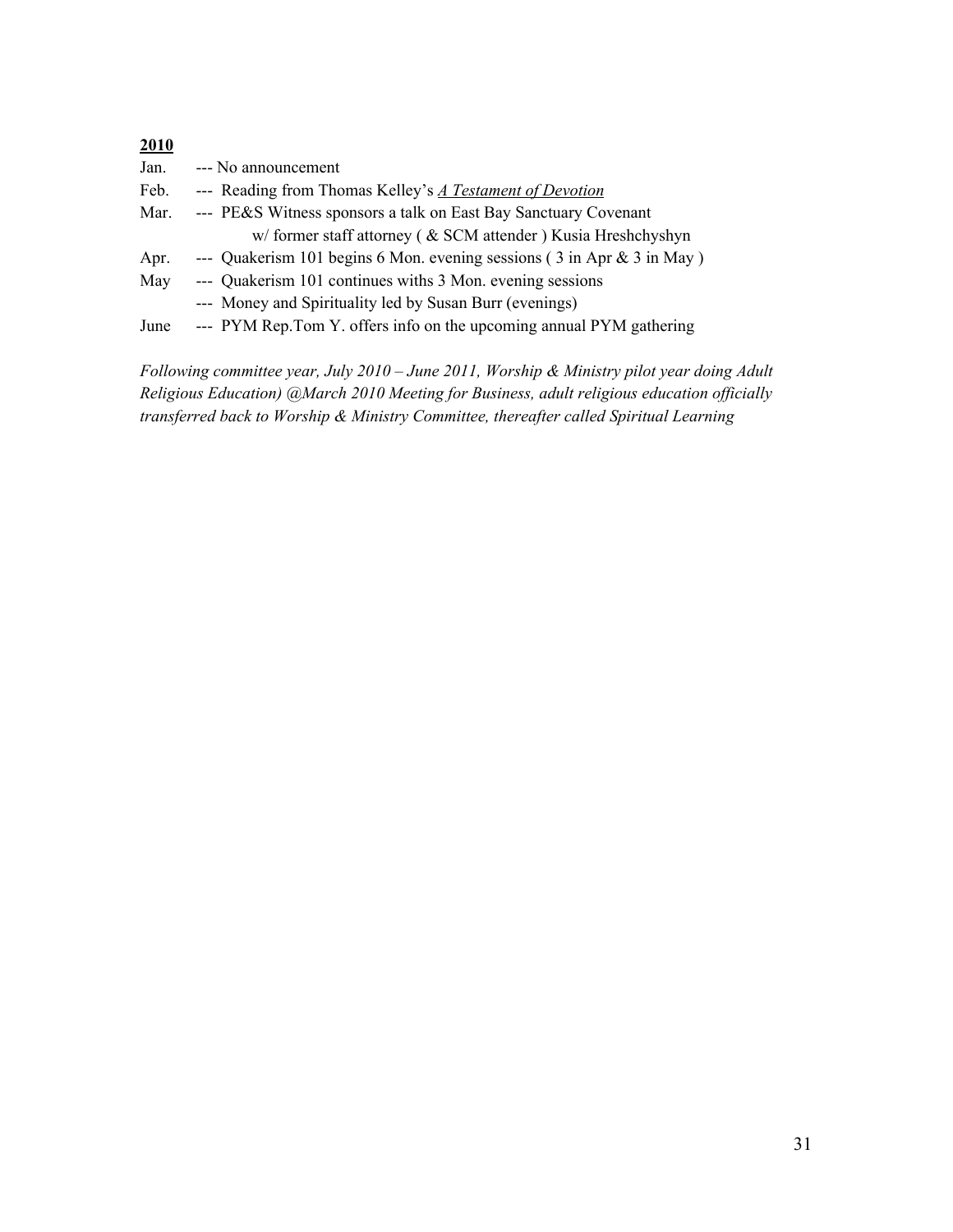| 2010 |                                                                                            |
|------|--------------------------------------------------------------------------------------------|
| Jan. | --- No announcement                                                                        |
| Feb. | --- Reading from Thomas Kelley's A Testament of Devotion                                   |
| Mar. | --- PE&S Witness sponsors a talk on East Bay Sanctuary Covenant                            |
|      | w/former staff attorney ( & SCM attender ) Kusia Hreshchyshyn                              |
| Apr. | --- Quakerism 101 begins 6 Mon. evening sessions $(3 \text{ in Apr } \& 3 \text{ in May})$ |
| May  | --- Quakerism 101 continues withs 3 Mon. evening sessions                                  |
|      | --- Money and Spirituality led by Susan Burr (evenings)                                    |
| June | --- PYM Rep.Tom Y. offers info on the upcoming annual PYM gathering                        |
|      |                                                                                            |

*Following committee year, July 2010 – June 2011, Worship & Ministry pilot year doing Adult Religious Education) @March 2010 Meeting for Business, adult religious education officially transferred back to Worship & Ministry Committee, thereafter called Spiritual Learning*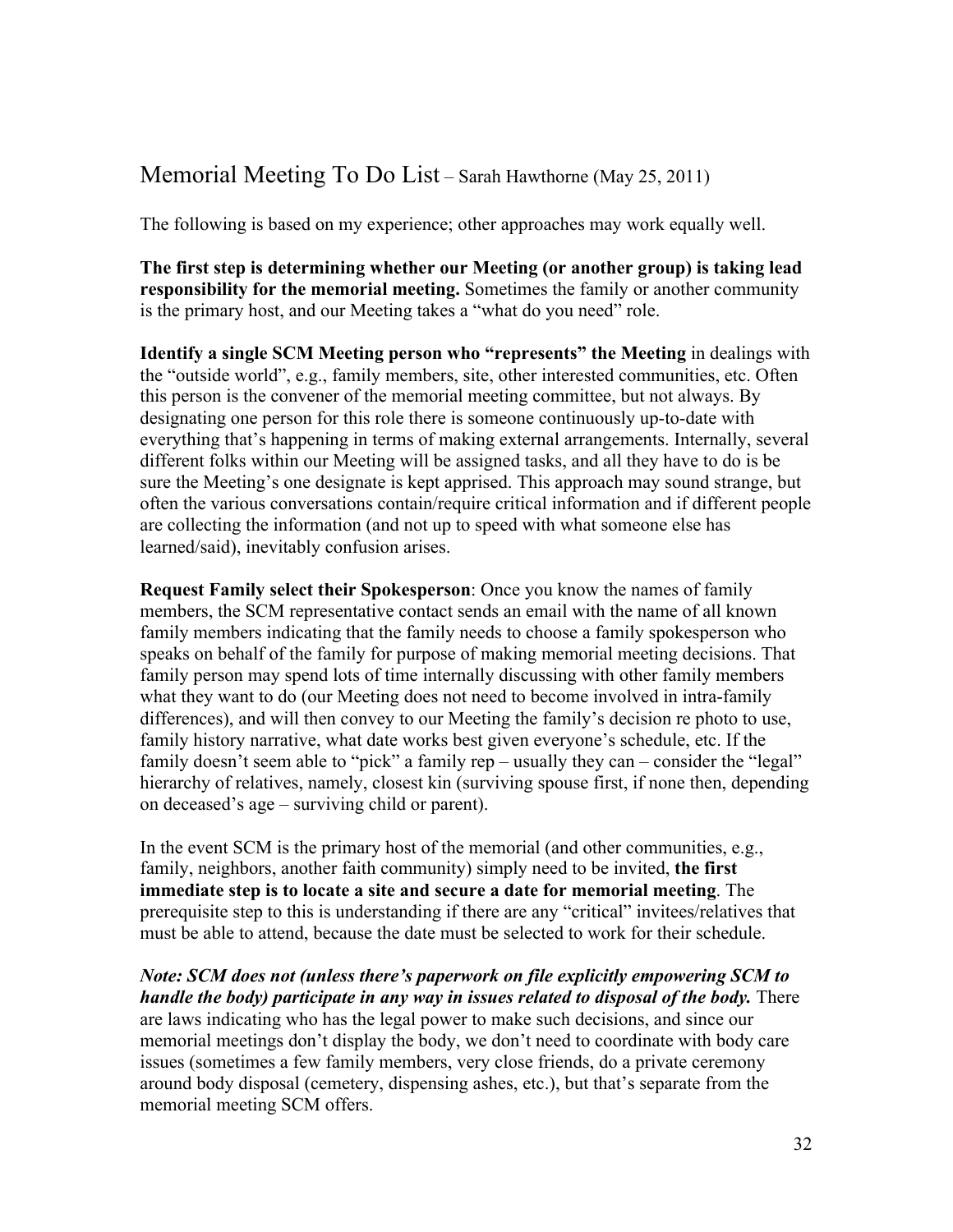# Memorial Meeting To Do List – Sarah Hawthorne (May 25, 2011)

The following is based on my experience; other approaches may work equally well.

**The first step is determining whether our Meeting (or another group) is taking lead responsibility for the memorial meeting.** Sometimes the family or another community is the primary host, and our Meeting takes a "what do you need" role.

**Identify a single SCM Meeting person who "represents" the Meeting** in dealings with the "outside world", e.g., family members, site, other interested communities, etc. Often this person is the convener of the memorial meeting committee, but not always. By designating one person for this role there is someone continuously up-to-date with everything that's happening in terms of making external arrangements. Internally, several different folks within our Meeting will be assigned tasks, and all they have to do is be sure the Meeting's one designate is kept apprised. This approach may sound strange, but often the various conversations contain/require critical information and if different people are collecting the information (and not up to speed with what someone else has learned/said), inevitably confusion arises.

**Request Family select their Spokesperson**: Once you know the names of family members, the SCM representative contact sends an email with the name of all known family members indicating that the family needs to choose a family spokesperson who speaks on behalf of the family for purpose of making memorial meeting decisions. That family person may spend lots of time internally discussing with other family members what they want to do (our Meeting does not need to become involved in intra-family differences), and will then convey to our Meeting the family's decision re photo to use, family history narrative, what date works best given everyone's schedule, etc. If the family doesn't seem able to "pick" a family rep – usually they can – consider the "legal" hierarchy of relatives, namely, closest kin (surviving spouse first, if none then, depending on deceased's age – surviving child or parent).

In the event SCM is the primary host of the memorial (and other communities, e.g., family, neighbors, another faith community) simply need to be invited, **the first immediate step is to locate a site and secure a date for memorial meeting**. The prerequisite step to this is understanding if there are any "critical" invitees/relatives that must be able to attend, because the date must be selected to work for their schedule.

*Note: SCM does not (unless there's paperwork on file explicitly empowering SCM to handle the body) participate in any way in issues related to disposal of the body.* There are laws indicating who has the legal power to make such decisions, and since our memorial meetings don't display the body, we don't need to coordinate with body care issues (sometimes a few family members, very close friends, do a private ceremony around body disposal (cemetery, dispensing ashes, etc.), but that's separate from the memorial meeting SCM offers.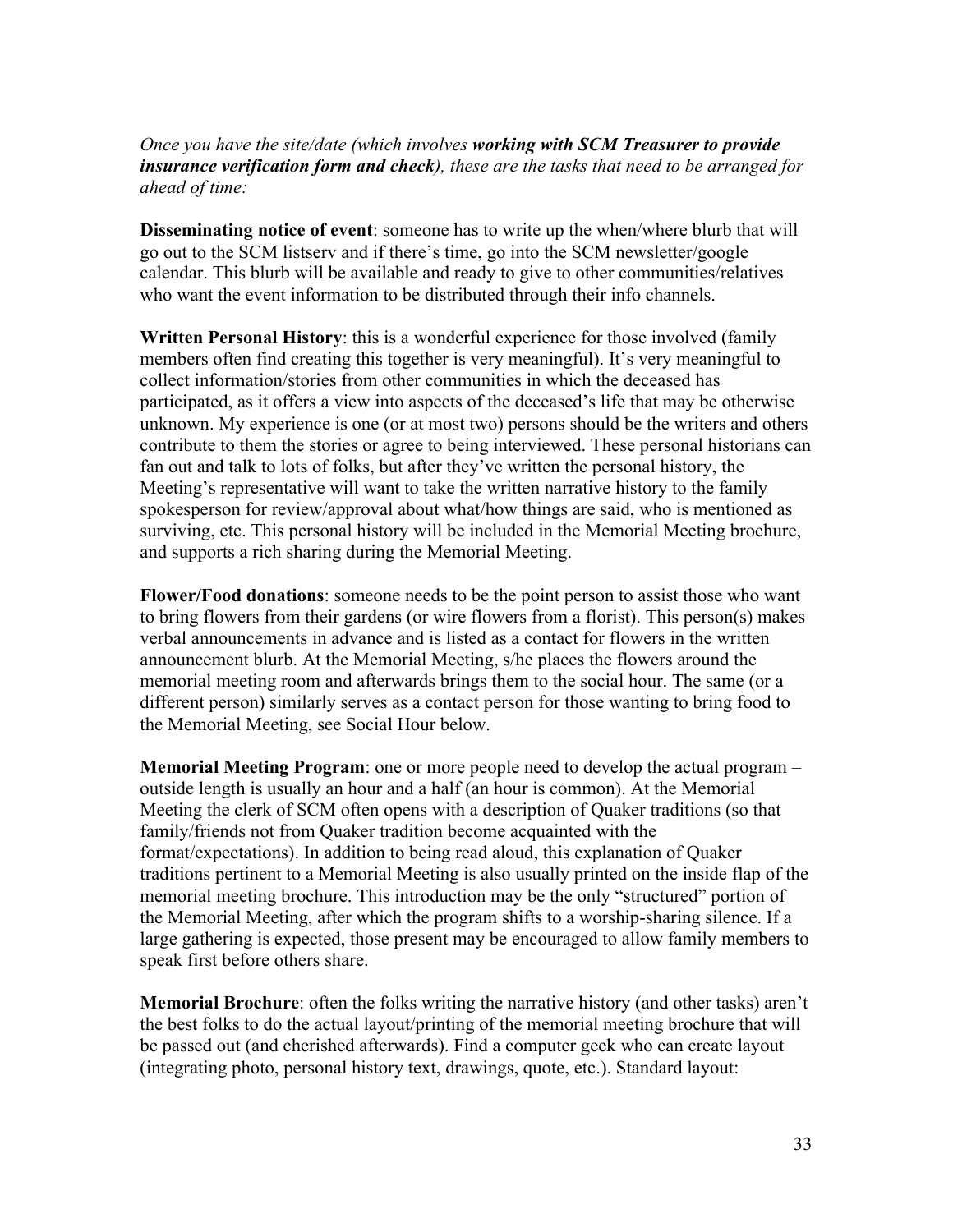#### *Once you have the site/date (which involves working with SCM Treasurer to provide insurance verification form and check), these are the tasks that need to be arranged for ahead of time:*

**Disseminating notice of event**: someone has to write up the when/where blurb that will go out to the SCM listserv and if there's time, go into the SCM newsletter/google calendar. This blurb will be available and ready to give to other communities/relatives who want the event information to be distributed through their info channels.

**Written Personal History**: this is a wonderful experience for those involved (family members often find creating this together is very meaningful). It's very meaningful to collect information/stories from other communities in which the deceased has participated, as it offers a view into aspects of the deceased's life that may be otherwise unknown. My experience is one (or at most two) persons should be the writers and others contribute to them the stories or agree to being interviewed. These personal historians can fan out and talk to lots of folks, but after they've written the personal history, the Meeting's representative will want to take the written narrative history to the family spokesperson for review/approval about what/how things are said, who is mentioned as surviving, etc. This personal history will be included in the Memorial Meeting brochure, and supports a rich sharing during the Memorial Meeting.

**Flower/Food donations**: someone needs to be the point person to assist those who want to bring flowers from their gardens (or wire flowers from a florist). This person(s) makes verbal announcements in advance and is listed as a contact for flowers in the written announcement blurb. At the Memorial Meeting, s/he places the flowers around the memorial meeting room and afterwards brings them to the social hour. The same (or a different person) similarly serves as a contact person for those wanting to bring food to the Memorial Meeting, see Social Hour below.

**Memorial Meeting Program**: one or more people need to develop the actual program – outside length is usually an hour and a half (an hour is common). At the Memorial Meeting the clerk of SCM often opens with a description of Quaker traditions (so that family/friends not from Quaker tradition become acquainted with the format/expectations). In addition to being read aloud, this explanation of Quaker traditions pertinent to a Memorial Meeting is also usually printed on the inside flap of the memorial meeting brochure. This introduction may be the only "structured" portion of the Memorial Meeting, after which the program shifts to a worship-sharing silence. If a large gathering is expected, those present may be encouraged to allow family members to speak first before others share.

**Memorial Brochure**: often the folks writing the narrative history (and other tasks) aren't the best folks to do the actual layout/printing of the memorial meeting brochure that will be passed out (and cherished afterwards). Find a computer geek who can create layout (integrating photo, personal history text, drawings, quote, etc.). Standard layout: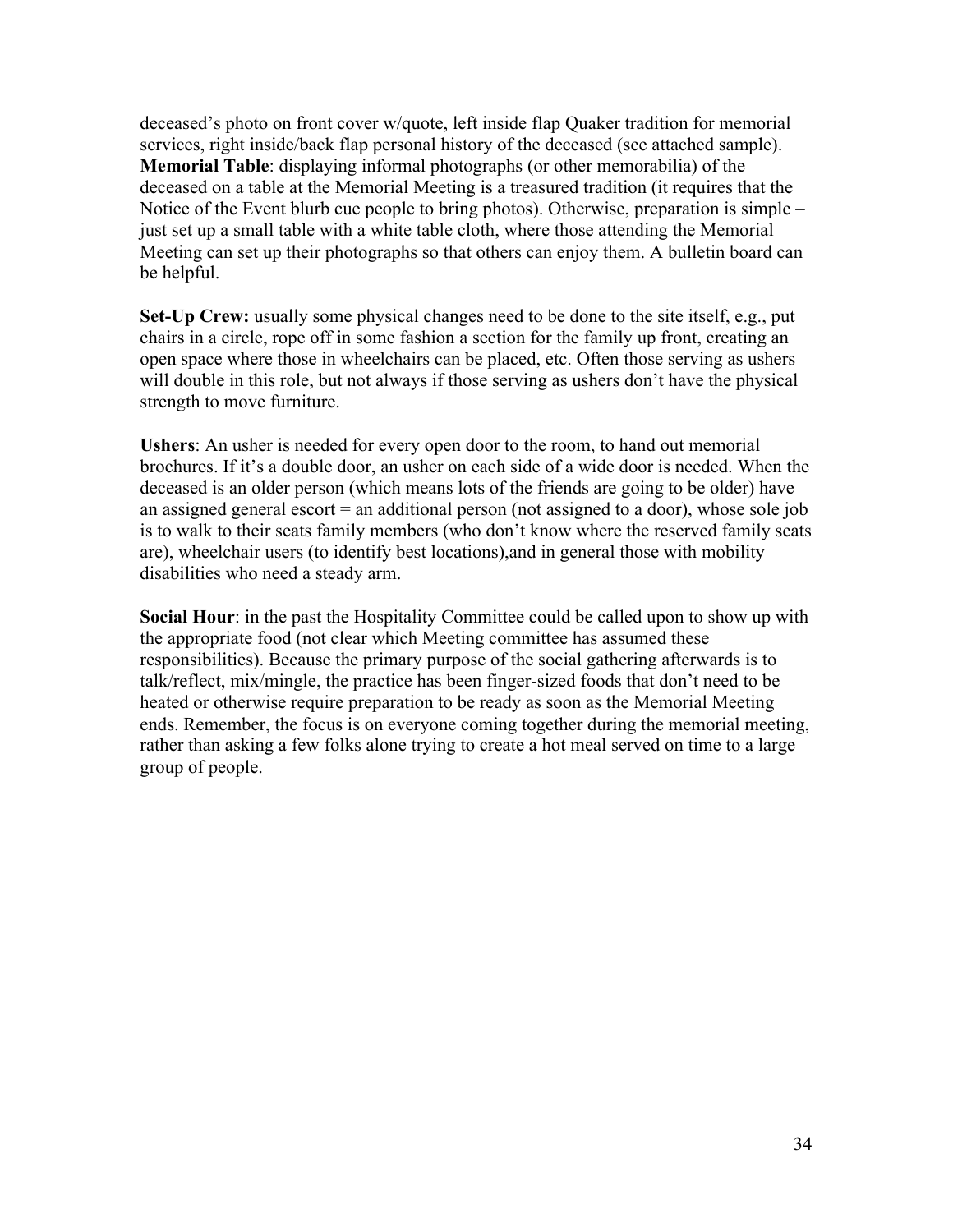deceased's photo on front cover w/quote, left inside flap Quaker tradition for memorial services, right inside/back flap personal history of the deceased (see attached sample). **Memorial Table**: displaying informal photographs (or other memorabilia) of the deceased on a table at the Memorial Meeting is a treasured tradition (it requires that the Notice of the Event blurb cue people to bring photos). Otherwise, preparation is simple – just set up a small table with a white table cloth, where those attending the Memorial Meeting can set up their photographs so that others can enjoy them. A bulletin board can be helpful.

**Set-Up Crew:** usually some physical changes need to be done to the site itself, e.g., put chairs in a circle, rope off in some fashion a section for the family up front, creating an open space where those in wheelchairs can be placed, etc. Often those serving as ushers will double in this role, but not always if those serving as ushers don't have the physical strength to move furniture.

**Ushers**: An usher is needed for every open door to the room, to hand out memorial brochures. If it's a double door, an usher on each side of a wide door is needed. When the deceased is an older person (which means lots of the friends are going to be older) have an assigned general escort = an additional person (not assigned to a door), whose sole job is to walk to their seats family members (who don't know where the reserved family seats are), wheelchair users (to identify best locations),and in general those with mobility disabilities who need a steady arm.

**Social Hour**: in the past the Hospitality Committee could be called upon to show up with the appropriate food (not clear which Meeting committee has assumed these responsibilities). Because the primary purpose of the social gathering afterwards is to talk/reflect, mix/mingle, the practice has been finger-sized foods that don't need to be heated or otherwise require preparation to be ready as soon as the Memorial Meeting ends. Remember, the focus is on everyone coming together during the memorial meeting, rather than asking a few folks alone trying to create a hot meal served on time to a large group of people.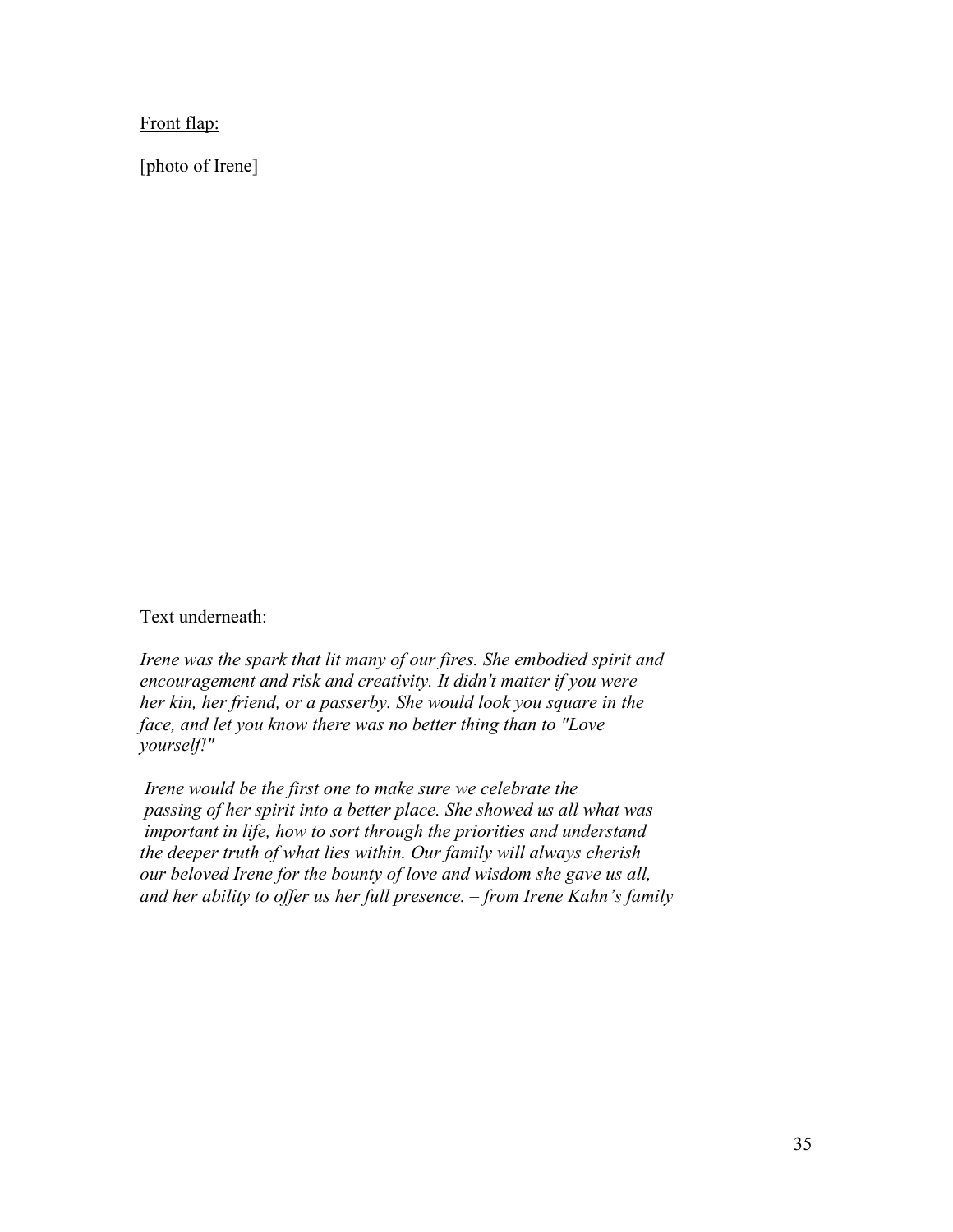Front flap:

[photo of Irene]

Text underneath:

*Irene was the spark that lit many of our fires. She embodied spirit and encouragement and risk and creativity. It didn't matter if you were her kin, her friend, or a passerby. She would look you square in the face, and let you know there was no better thing than to "Love yourself!"* 

 *Irene would be the first one to make sure we celebrate the passing of her spirit into a better place. She showed us all what was important in life, how to sort through the priorities and understand the deeper truth of what lies within. Our family will always cherish our beloved Irene for the bounty of love and wisdom she gave us all, and her ability to offer us her full presence. – from Irene Kahn's family*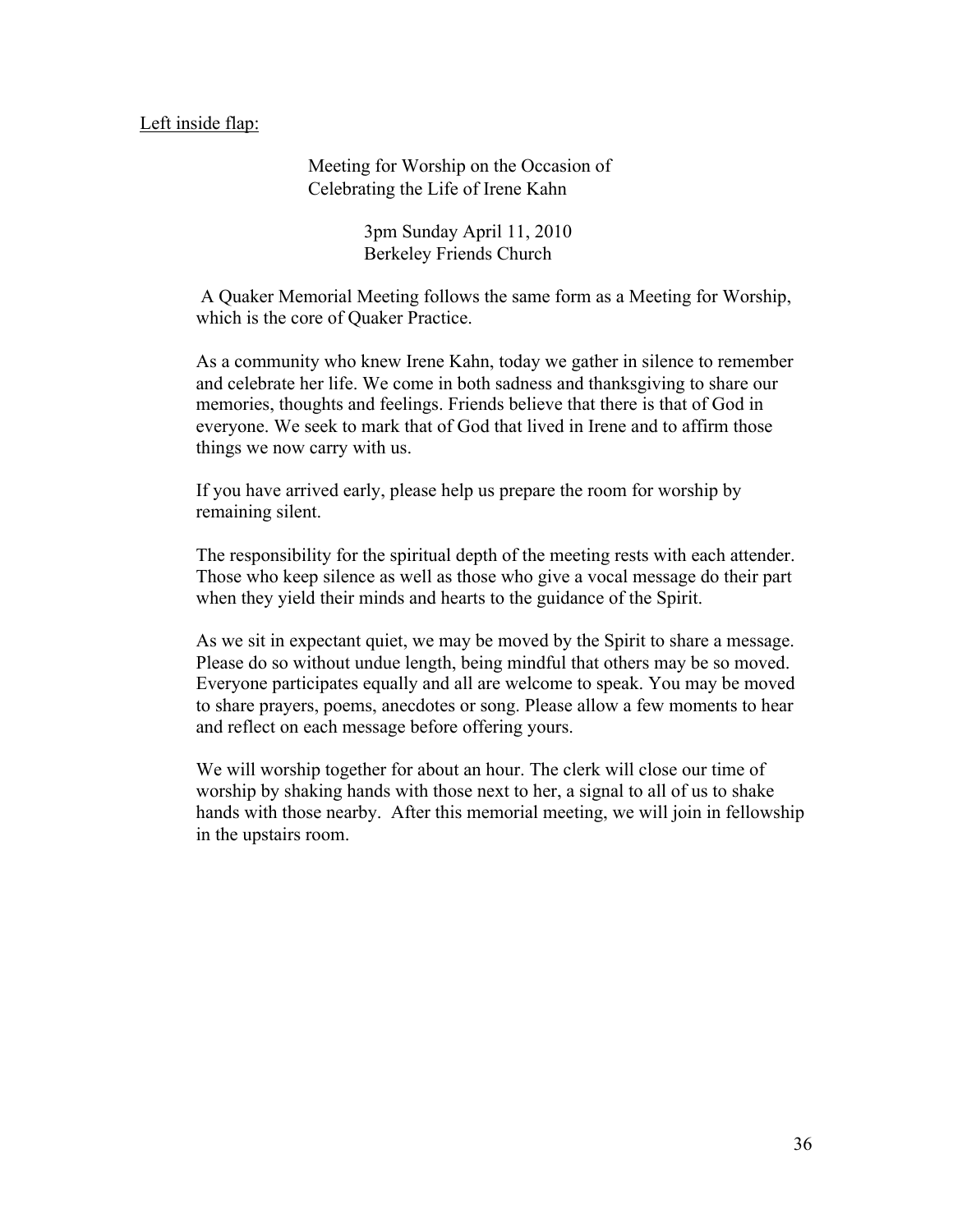#### Left inside flap:

Meeting for Worship on the Occasion of Celebrating the Life of Irene Kahn

> 3pm Sunday April 11, 2010 Berkeley Friends Church

 A Quaker Memorial Meeting follows the same form as a Meeting for Worship, which is the core of Quaker Practice.

As a community who knew Irene Kahn, today we gather in silence to remember and celebrate her life. We come in both sadness and thanksgiving to share our memories, thoughts and feelings. Friends believe that there is that of God in everyone. We seek to mark that of God that lived in Irene and to affirm those things we now carry with us.

If you have arrived early, please help us prepare the room for worship by remaining silent.

The responsibility for the spiritual depth of the meeting rests with each attender. Those who keep silence as well as those who give a vocal message do their part when they yield their minds and hearts to the guidance of the Spirit.

As we sit in expectant quiet, we may be moved by the Spirit to share a message. Please do so without undue length, being mindful that others may be so moved. Everyone participates equally and all are welcome to speak. You may be moved to share prayers, poems, anecdotes or song. Please allow a few moments to hear and reflect on each message before offering yours.

We will worship together for about an hour. The clerk will close our time of worship by shaking hands with those next to her, a signal to all of us to shake hands with those nearby. After this memorial meeting, we will join in fellowship in the upstairs room.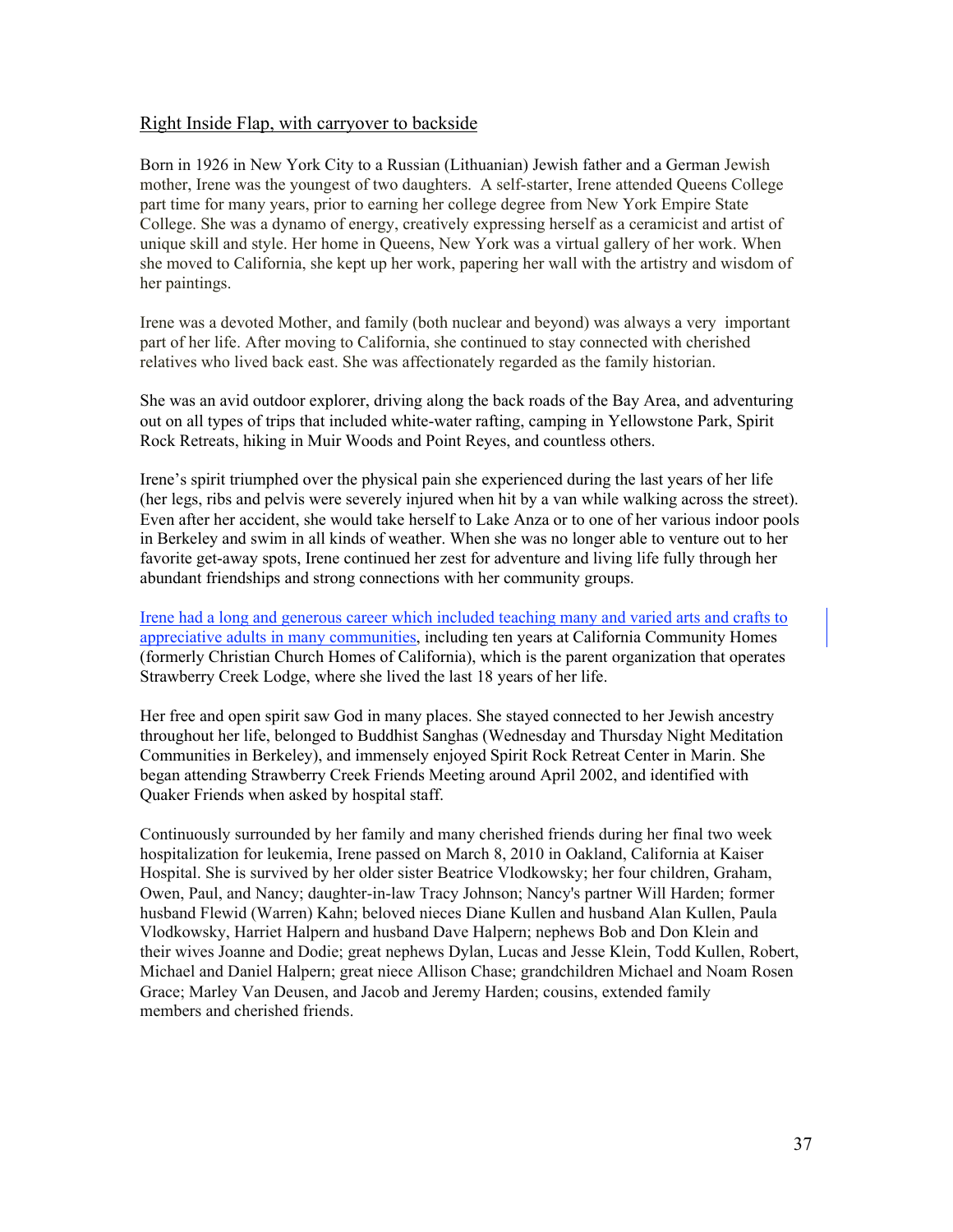#### Right Inside Flap, with carryover to backside

Born in 1926 in New York City to a Russian (Lithuanian) Jewish father and a German Jewish mother, Irene was the youngest of two daughters. A self-starter, Irene attended Queens College part time for many years, prior to earning her college degree from New York Empire State College. She was a dynamo of energy, creatively expressing herself as a ceramicist and artist of unique skill and style. Her home in Queens, New York was a virtual gallery of her work. When she moved to California, she kept up her work, papering her wall with the artistry and wisdom of her paintings.

Irene was a devoted Mother, and family (both nuclear and beyond) was always a very important part of her life. After moving to California, she continued to stay connected with cherished relatives who lived back east. She was affectionately regarded as the family historian.

She was an avid outdoor explorer, driving along the back roads of the Bay Area, and adventuring out on all types of trips that included white-water rafting, camping in Yellowstone Park, Spirit Rock Retreats, hiking in Muir Woods and Point Reyes, and countless others.

Irene's spirit triumphed over the physical pain she experienced during the last years of her life (her legs, ribs and pelvis were severely injured when hit by a van while walking across the street). Even after her accident, she would take herself to Lake Anza or to one of her various indoor pools in Berkeley and swim in all kinds of weather. When she was no longer able to venture out to her favorite get-away spots, Irene continued her zest for adventure and living life fully through her abundant friendships and strong connections with her community groups.

Irene had a long and generous career which included teaching many and varied arts and crafts to appreciative adults in many communities, including ten years at California Community Homes (formerly Christian Church Homes of California), which is the parent organization that operates Strawberry Creek Lodge, where she lived the last 18 years of her life.

Her free and open spirit saw God in many places. She stayed connected to her Jewish ancestry throughout her life, belonged to Buddhist Sanghas (Wednesday and Thursday Night Meditation Communities in Berkeley), and immensely enjoyed Spirit Rock Retreat Center in Marin. She began attending Strawberry Creek Friends Meeting around April 2002, and identified with Quaker Friends when asked by hospital staff.

Continuously surrounded by her family and many cherished friends during her final two week hospitalization for leukemia, Irene passed on March 8, 2010 in Oakland, California at Kaiser Hospital. She is survived by her older sister Beatrice Vlodkowsky; her four children, Graham, Owen, Paul, and Nancy; daughter-in-law Tracy Johnson; Nancy's partner Will Harden; former husband Flewid (Warren) Kahn; beloved nieces Diane Kullen and husband Alan Kullen, Paula Vlodkowsky, Harriet Halpern and husband Dave Halpern; nephews Bob and Don Klein and their wives Joanne and Dodie; great nephews Dylan, Lucas and Jesse Klein, Todd Kullen, Robert, Michael and Daniel Halpern; great niece Allison Chase; grandchildren Michael and Noam Rosen Grace; Marley Van Deusen, and Jacob and Jeremy Harden; cousins, extended family members and cherished friends.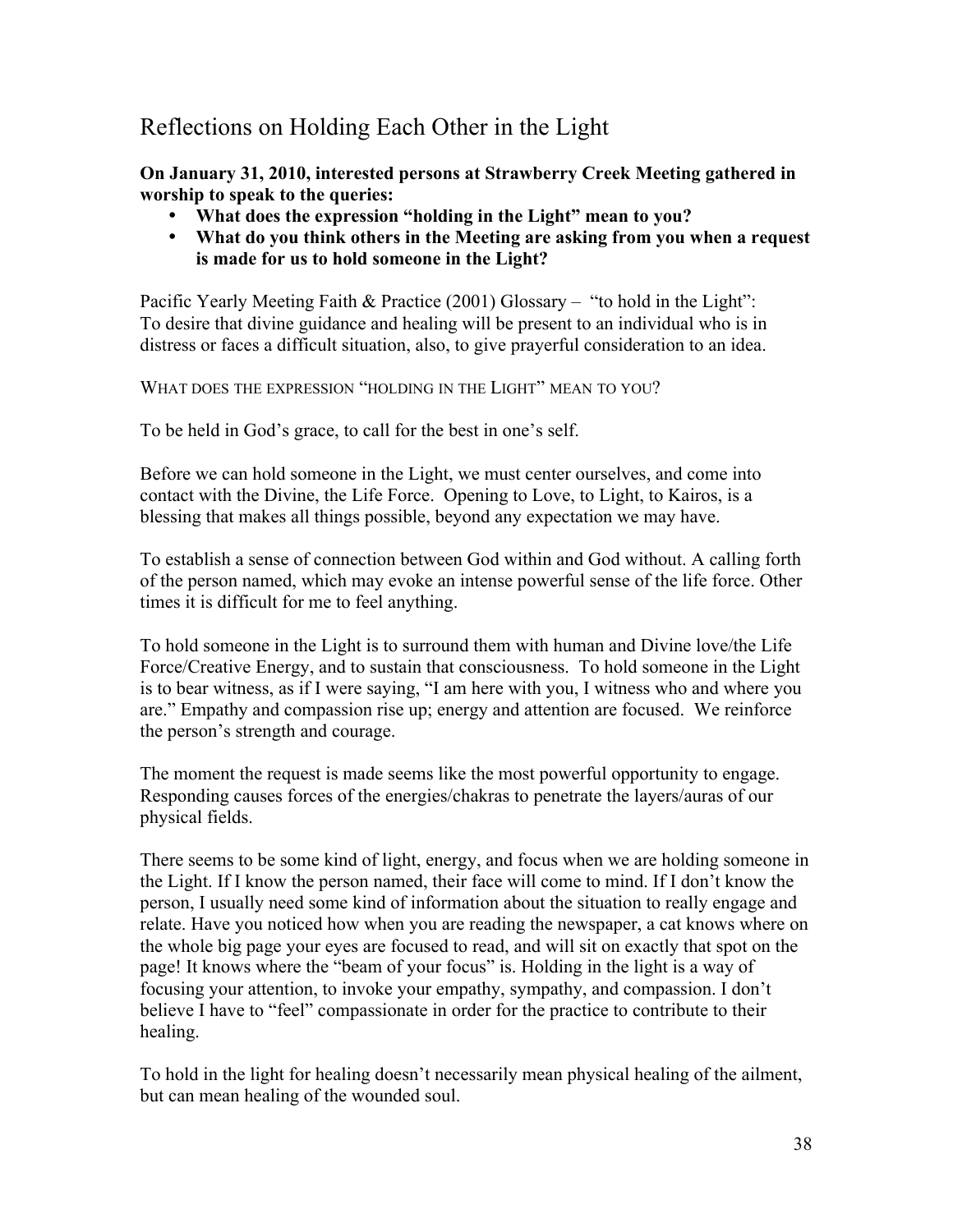# Reflections on Holding Each Other in the Light

**On January 31, 2010, interested persons at Strawberry Creek Meeting gathered in worship to speak to the queries:**

- **What does the expression "holding in the Light" mean to you?**
- **What do you think others in the Meeting are asking from you when a request is made for us to hold someone in the Light?**

Pacific Yearly Meeting Faith & Practice (2001) Glossary – "to hold in the Light": To desire that divine guidance and healing will be present to an individual who is in distress or faces a difficult situation, also, to give prayerful consideration to an idea.

WHAT DOES THE EXPRESSION "HOLDING IN THE LIGHT" MEAN TO YOU?

To be held in God's grace, to call for the best in one's self.

Before we can hold someone in the Light, we must center ourselves, and come into contact with the Divine, the Life Force. Opening to Love, to Light, to Kairos, is a blessing that makes all things possible, beyond any expectation we may have.

To establish a sense of connection between God within and God without. A calling forth of the person named, which may evoke an intense powerful sense of the life force. Other times it is difficult for me to feel anything.

To hold someone in the Light is to surround them with human and Divine love/the Life Force/Creative Energy, and to sustain that consciousness. To hold someone in the Light is to bear witness, as if I were saying, "I am here with you, I witness who and where you are." Empathy and compassion rise up; energy and attention are focused. We reinforce the person's strength and courage.

The moment the request is made seems like the most powerful opportunity to engage. Responding causes forces of the energies/chakras to penetrate the layers/auras of our physical fields.

There seems to be some kind of light, energy, and focus when we are holding someone in the Light. If I know the person named, their face will come to mind. If I don't know the person, I usually need some kind of information about the situation to really engage and relate. Have you noticed how when you are reading the newspaper, a cat knows where on the whole big page your eyes are focused to read, and will sit on exactly that spot on the page! It knows where the "beam of your focus" is. Holding in the light is a way of focusing your attention, to invoke your empathy, sympathy, and compassion. I don't believe I have to "feel" compassionate in order for the practice to contribute to their healing.

To hold in the light for healing doesn't necessarily mean physical healing of the ailment, but can mean healing of the wounded soul.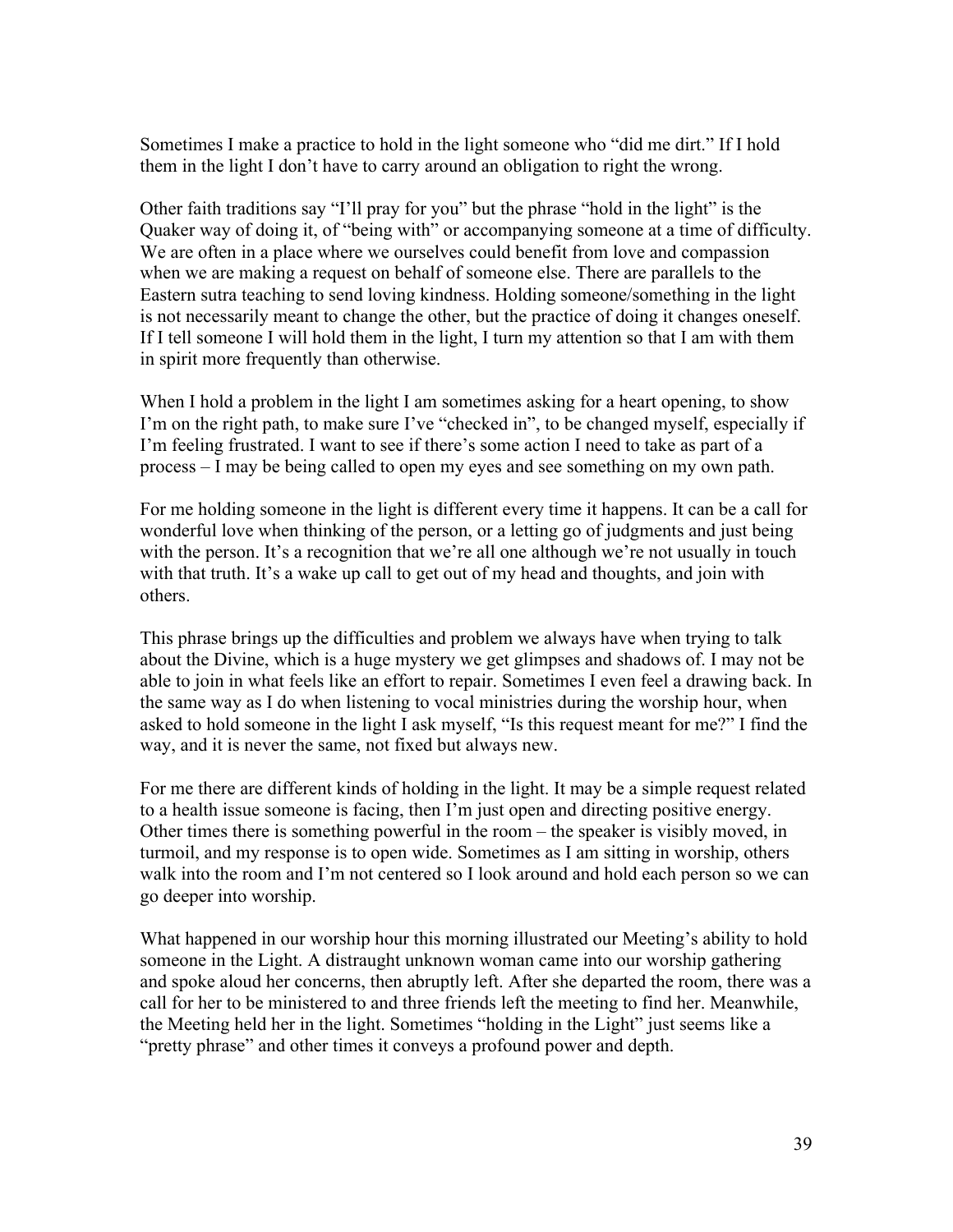Sometimes I make a practice to hold in the light someone who "did me dirt." If I hold them in the light I don't have to carry around an obligation to right the wrong.

Other faith traditions say "I'll pray for you" but the phrase "hold in the light" is the Quaker way of doing it, of "being with" or accompanying someone at a time of difficulty. We are often in a place where we ourselves could benefit from love and compassion when we are making a request on behalf of someone else. There are parallels to the Eastern sutra teaching to send loving kindness. Holding someone/something in the light is not necessarily meant to change the other, but the practice of doing it changes oneself. If I tell someone I will hold them in the light, I turn my attention so that I am with them in spirit more frequently than otherwise.

When I hold a problem in the light I am sometimes asking for a heart opening, to show I'm on the right path, to make sure I've "checked in", to be changed myself, especially if I'm feeling frustrated. I want to see if there's some action I need to take as part of a process – I may be being called to open my eyes and see something on my own path.

For me holding someone in the light is different every time it happens. It can be a call for wonderful love when thinking of the person, or a letting go of judgments and just being with the person. It's a recognition that we're all one although we're not usually in touch with that truth. It's a wake up call to get out of my head and thoughts, and join with others.

This phrase brings up the difficulties and problem we always have when trying to talk about the Divine, which is a huge mystery we get glimpses and shadows of. I may not be able to join in what feels like an effort to repair. Sometimes I even feel a drawing back. In the same way as I do when listening to vocal ministries during the worship hour, when asked to hold someone in the light I ask myself, "Is this request meant for me?" I find the way, and it is never the same, not fixed but always new.

For me there are different kinds of holding in the light. It may be a simple request related to a health issue someone is facing, then I'm just open and directing positive energy. Other times there is something powerful in the room – the speaker is visibly moved, in turmoil, and my response is to open wide. Sometimes as I am sitting in worship, others walk into the room and I'm not centered so I look around and hold each person so we can go deeper into worship.

What happened in our worship hour this morning illustrated our Meeting's ability to hold someone in the Light. A distraught unknown woman came into our worship gathering and spoke aloud her concerns, then abruptly left. After she departed the room, there was a call for her to be ministered to and three friends left the meeting to find her. Meanwhile, the Meeting held her in the light. Sometimes "holding in the Light" just seems like a "pretty phrase" and other times it conveys a profound power and depth.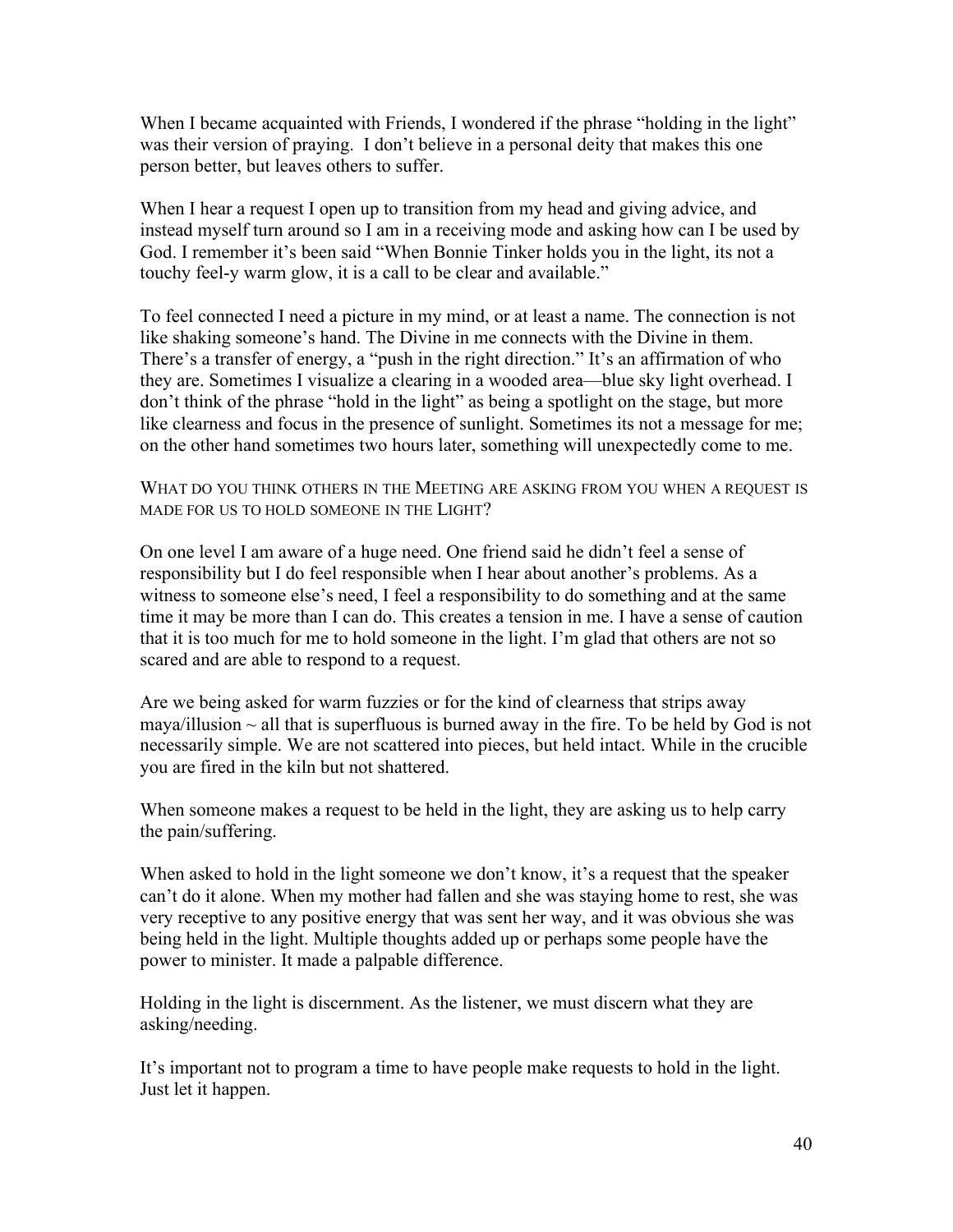When I became acquainted with Friends, I wondered if the phrase "holding in the light" was their version of praying. I don't believe in a personal deity that makes this one person better, but leaves others to suffer.

When I hear a request I open up to transition from my head and giving advice, and instead myself turn around so I am in a receiving mode and asking how can I be used by God. I remember it's been said "When Bonnie Tinker holds you in the light, its not a touchy feel-y warm glow, it is a call to be clear and available."

To feel connected I need a picture in my mind, or at least a name. The connection is not like shaking someone's hand. The Divine in me connects with the Divine in them. There's a transfer of energy, a "push in the right direction." It's an affirmation of who they are. Sometimes I visualize a clearing in a wooded area—blue sky light overhead. I don't think of the phrase "hold in the light" as being a spotlight on the stage, but more like clearness and focus in the presence of sunlight. Sometimes its not a message for me; on the other hand sometimes two hours later, something will unexpectedly come to me.

WHAT DO YOU THINK OTHERS IN THE MEETING ARE ASKING FROM YOU WHEN A REQUEST IS MADE FOR US TO HOLD SOMEONE IN THE LIGHT?

On one level I am aware of a huge need. One friend said he didn't feel a sense of responsibility but I do feel responsible when I hear about another's problems. As a witness to someone else's need, I feel a responsibility to do something and at the same time it may be more than I can do. This creates a tension in me. I have a sense of caution that it is too much for me to hold someone in the light. I'm glad that others are not so scared and are able to respond to a request.

Are we being asked for warm fuzzies or for the kind of clearness that strips away maya/illusion  $\sim$  all that is superfluous is burned away in the fire. To be held by God is not necessarily simple. We are not scattered into pieces, but held intact. While in the crucible you are fired in the kiln but not shattered.

When someone makes a request to be held in the light, they are asking us to help carry the pain/suffering.

When asked to hold in the light someone we don't know, it's a request that the speaker can't do it alone. When my mother had fallen and she was staying home to rest, she was very receptive to any positive energy that was sent her way, and it was obvious she was being held in the light. Multiple thoughts added up or perhaps some people have the power to minister. It made a palpable difference.

Holding in the light is discernment. As the listener, we must discern what they are asking/needing.

It's important not to program a time to have people make requests to hold in the light. Just let it happen.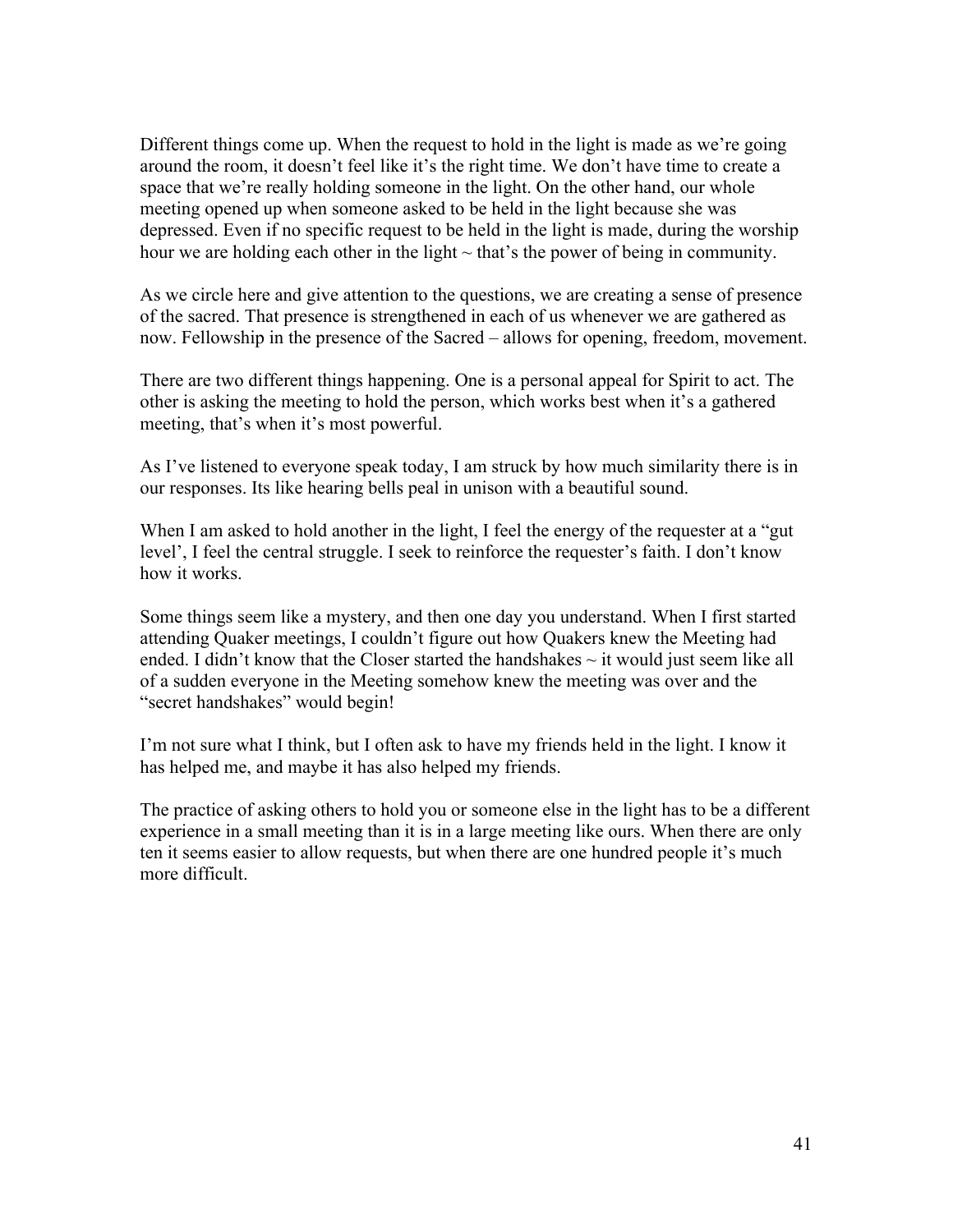Different things come up. When the request to hold in the light is made as we're going around the room, it doesn't feel like it's the right time. We don't have time to create a space that we're really holding someone in the light. On the other hand, our whole meeting opened up when someone asked to be held in the light because she was depressed. Even if no specific request to be held in the light is made, during the worship hour we are holding each other in the light  $\sim$  that's the power of being in community.

As we circle here and give attention to the questions, we are creating a sense of presence of the sacred. That presence is strengthened in each of us whenever we are gathered as now. Fellowship in the presence of the Sacred – allows for opening, freedom, movement.

There are two different things happening. One is a personal appeal for Spirit to act. The other is asking the meeting to hold the person, which works best when it's a gathered meeting, that's when it's most powerful.

As I've listened to everyone speak today, I am struck by how much similarity there is in our responses. Its like hearing bells peal in unison with a beautiful sound.

When I am asked to hold another in the light, I feel the energy of the requester at a "gut" level', I feel the central struggle. I seek to reinforce the requester's faith. I don't know how it works.

Some things seem like a mystery, and then one day you understand. When I first started attending Quaker meetings, I couldn't figure out how Quakers knew the Meeting had ended. I didn't know that the Closer started the handshakes  $\sim$  it would just seem like all of a sudden everyone in the Meeting somehow knew the meeting was over and the "secret handshakes" would begin!

I'm not sure what I think, but I often ask to have my friends held in the light. I know it has helped me, and maybe it has also helped my friends.

The practice of asking others to hold you or someone else in the light has to be a different experience in a small meeting than it is in a large meeting like ours. When there are only ten it seems easier to allow requests, but when there are one hundred people it's much more difficult.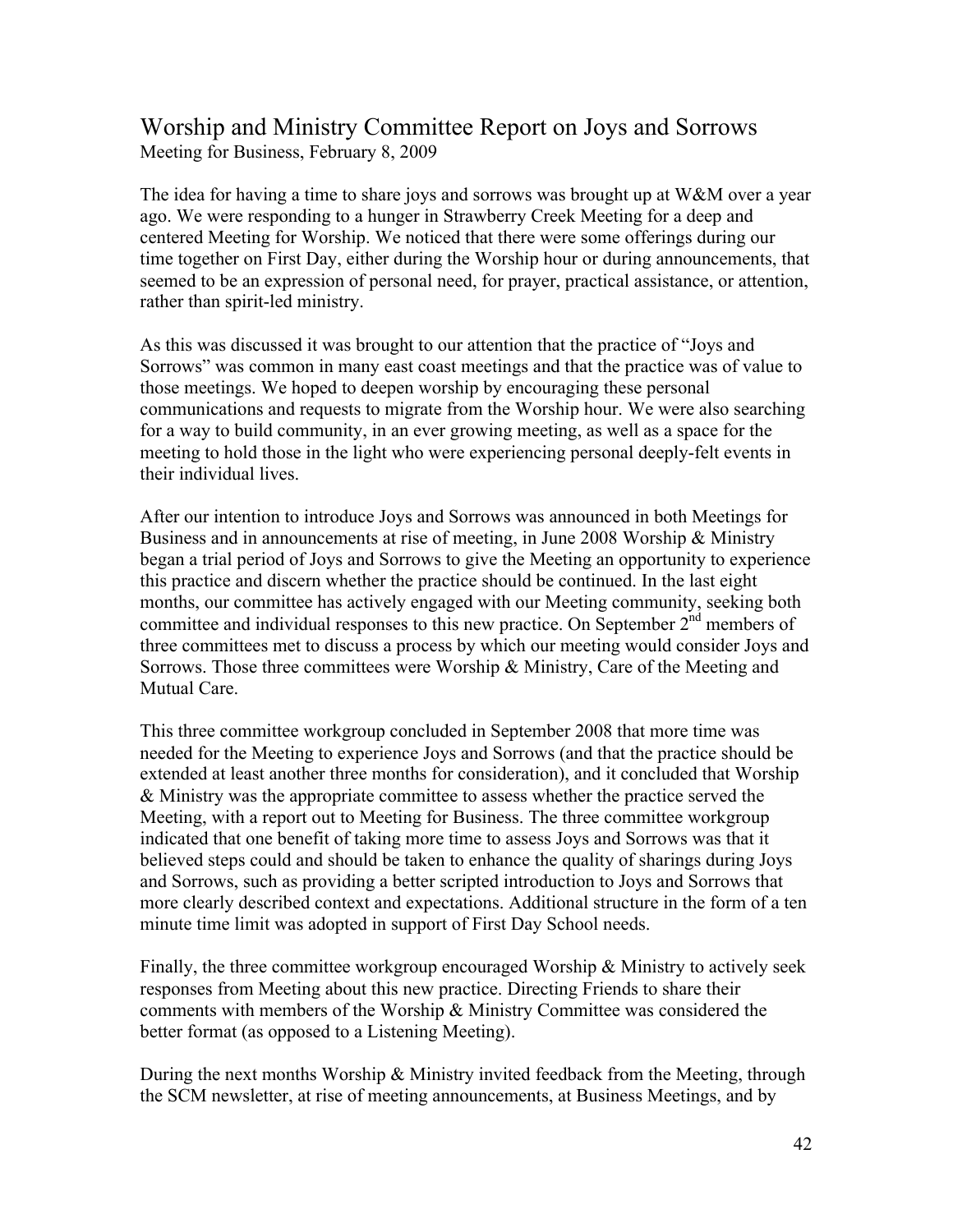# Worship and Ministry Committee Report on Joys and Sorrows Meeting for Business, February 8, 2009

The idea for having a time to share joys and sorrows was brought up at  $W\&M$  over a year ago. We were responding to a hunger in Strawberry Creek Meeting for a deep and centered Meeting for Worship. We noticed that there were some offerings during our time together on First Day, either during the Worship hour or during announcements, that seemed to be an expression of personal need, for prayer, practical assistance, or attention, rather than spirit-led ministry.

As this was discussed it was brought to our attention that the practice of "Joys and Sorrows" was common in many east coast meetings and that the practice was of value to those meetings. We hoped to deepen worship by encouraging these personal communications and requests to migrate from the Worship hour. We were also searching for a way to build community, in an ever growing meeting, as well as a space for the meeting to hold those in the light who were experiencing personal deeply-felt events in their individual lives.

After our intention to introduce Joys and Sorrows was announced in both Meetings for Business and in announcements at rise of meeting, in June 2008 Worship & Ministry began a trial period of Joys and Sorrows to give the Meeting an opportunity to experience this practice and discern whether the practice should be continued. In the last eight months, our committee has actively engaged with our Meeting community, seeking both committee and individual responses to this new practice. On September 2<sup>nd</sup> members of three committees met to discuss a process by which our meeting would consider Joys and Sorrows. Those three committees were Worship & Ministry, Care of the Meeting and Mutual Care.

This three committee workgroup concluded in September 2008 that more time was needed for the Meeting to experience Joys and Sorrows (and that the practice should be extended at least another three months for consideration), and it concluded that Worship & Ministry was the appropriate committee to assess whether the practice served the Meeting, with a report out to Meeting for Business. The three committee workgroup indicated that one benefit of taking more time to assess Joys and Sorrows was that it believed steps could and should be taken to enhance the quality of sharings during Joys and Sorrows, such as providing a better scripted introduction to Joys and Sorrows that more clearly described context and expectations. Additional structure in the form of a ten minute time limit was adopted in support of First Day School needs.

Finally, the three committee workgroup encouraged Worship & Ministry to actively seek responses from Meeting about this new practice. Directing Friends to share their comments with members of the Worship & Ministry Committee was considered the better format (as opposed to a Listening Meeting).

During the next months Worship  $\&$  Ministry invited feedback from the Meeting, through the SCM newsletter, at rise of meeting announcements, at Business Meetings, and by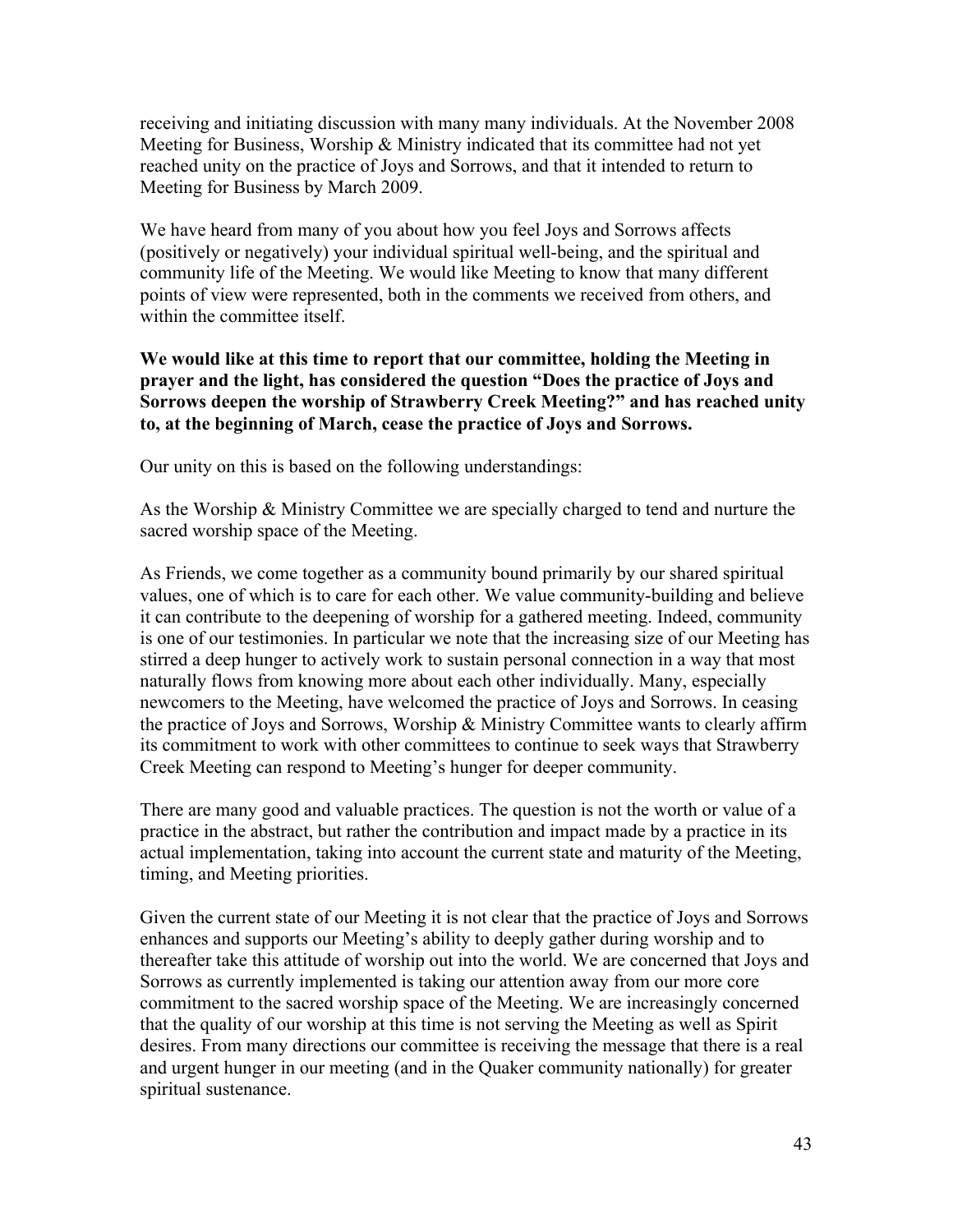receiving and initiating discussion with many many individuals. At the November 2008 Meeting for Business, Worship & Ministry indicated that its committee had not yet reached unity on the practice of Joys and Sorrows, and that it intended to return to Meeting for Business by March 2009.

We have heard from many of you about how you feel Joys and Sorrows affects (positively or negatively) your individual spiritual well-being, and the spiritual and community life of the Meeting. We would like Meeting to know that many different points of view were represented, both in the comments we received from others, and within the committee itself.

**We would like at this time to report that our committee, holding the Meeting in prayer and the light, has considered the question "Does the practice of Joys and Sorrows deepen the worship of Strawberry Creek Meeting?" and has reached unity to, at the beginning of March, cease the practice of Joys and Sorrows.**

Our unity on this is based on the following understandings:

As the Worship & Ministry Committee we are specially charged to tend and nurture the sacred worship space of the Meeting.

As Friends, we come together as a community bound primarily by our shared spiritual values, one of which is to care for each other. We value community-building and believe it can contribute to the deepening of worship for a gathered meeting. Indeed, community is one of our testimonies. In particular we note that the increasing size of our Meeting has stirred a deep hunger to actively work to sustain personal connection in a way that most naturally flows from knowing more about each other individually. Many, especially newcomers to the Meeting, have welcomed the practice of Joys and Sorrows. In ceasing the practice of Joys and Sorrows, Worship & Ministry Committee wants to clearly affirm its commitment to work with other committees to continue to seek ways that Strawberry Creek Meeting can respond to Meeting's hunger for deeper community.

There are many good and valuable practices. The question is not the worth or value of a practice in the abstract, but rather the contribution and impact made by a practice in its actual implementation, taking into account the current state and maturity of the Meeting, timing, and Meeting priorities.

Given the current state of our Meeting it is not clear that the practice of Joys and Sorrows enhances and supports our Meeting's ability to deeply gather during worship and to thereafter take this attitude of worship out into the world. We are concerned that Joys and Sorrows as currently implemented is taking our attention away from our more core commitment to the sacred worship space of the Meeting. We are increasingly concerned that the quality of our worship at this time is not serving the Meeting as well as Spirit desires. From many directions our committee is receiving the message that there is a real and urgent hunger in our meeting (and in the Quaker community nationally) for greater spiritual sustenance.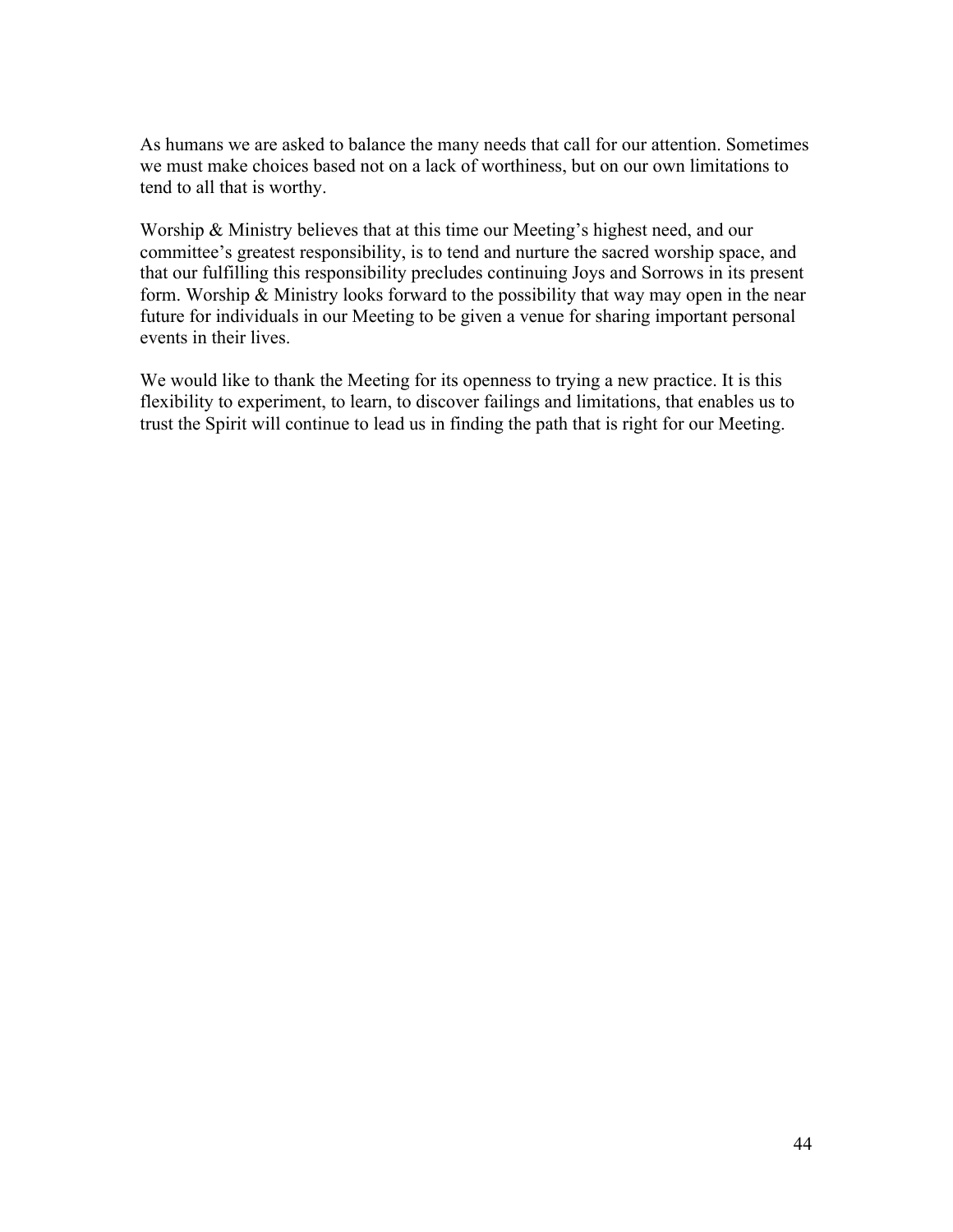As humans we are asked to balance the many needs that call for our attention. Sometimes we must make choices based not on a lack of worthiness, but on our own limitations to tend to all that is worthy.

Worship & Ministry believes that at this time our Meeting's highest need, and our committee's greatest responsibility, is to tend and nurture the sacred worship space, and that our fulfilling this responsibility precludes continuing Joys and Sorrows in its present form. Worship  $\&$  Ministry looks forward to the possibility that way may open in the near future for individuals in our Meeting to be given a venue for sharing important personal events in their lives.

We would like to thank the Meeting for its openness to trying a new practice. It is this flexibility to experiment, to learn, to discover failings and limitations, that enables us to trust the Spirit will continue to lead us in finding the path that is right for our Meeting.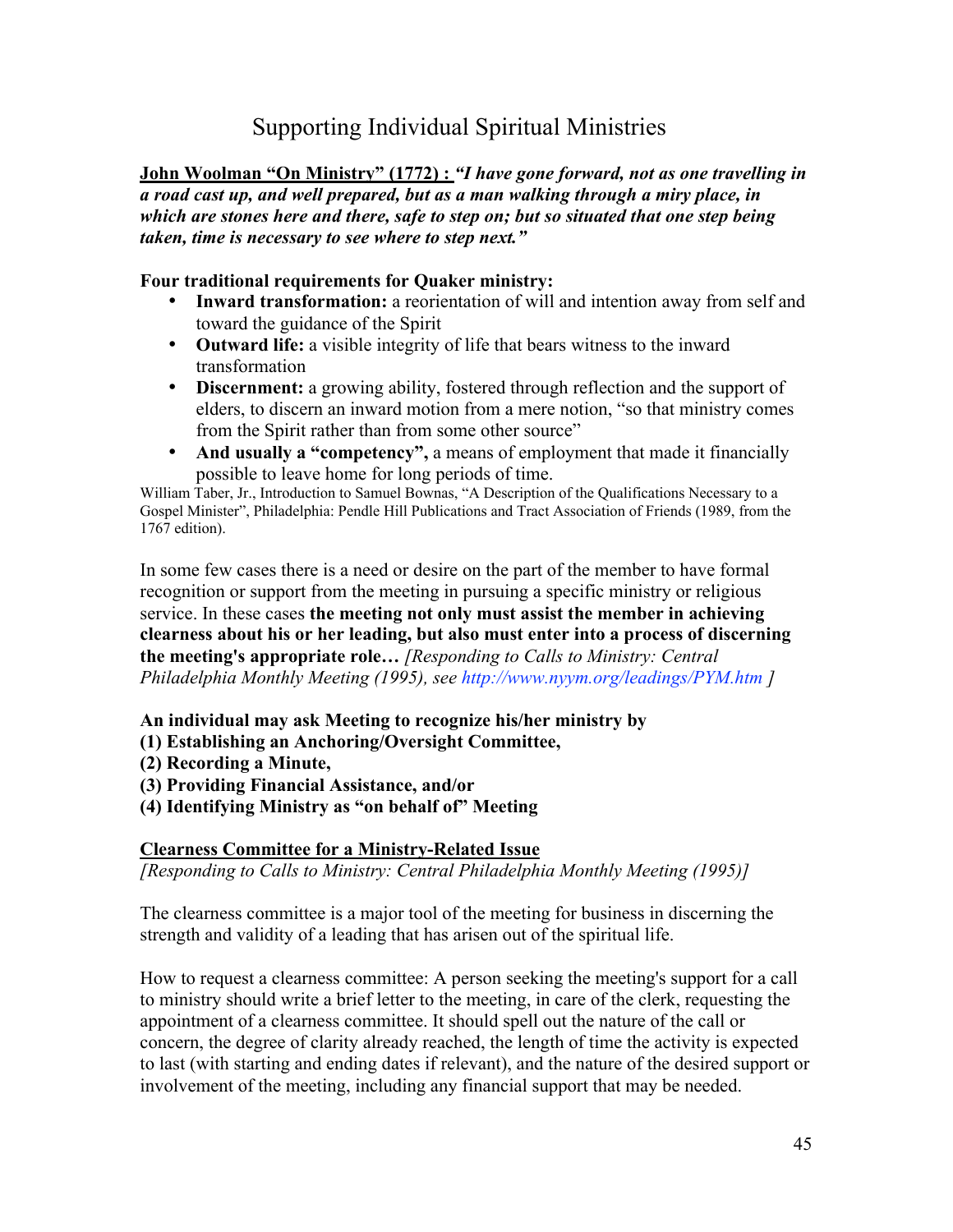# Supporting Individual Spiritual Ministries

**John Woolman "On Ministry" (1772) :** *"I have gone forward, not as one travelling in a road cast up, and well prepared, but as a man walking through a miry place, in which are stones here and there, safe to step on; but so situated that one step being taken, time is necessary to see where to step next."*

### **Four traditional requirements for Quaker ministry:**

- **Inward transformation:** a reorientation of will and intention away from self and toward the guidance of the Spirit
- **Outward life:** a visible integrity of life that bears witness to the inward transformation
- **Discernment:** a growing ability, fostered through reflection and the support of elders, to discern an inward motion from a mere notion, "so that ministry comes from the Spirit rather than from some other source"
- **And usually a "competency",** a means of employment that made it financially possible to leave home for long periods of time.

William Taber, Jr., Introduction to Samuel Bownas, "A Description of the Qualifications Necessary to a Gospel Minister", Philadelphia: Pendle Hill Publications and Tract Association of Friends (1989, from the 1767 edition).

In some few cases there is a need or desire on the part of the member to have formal recognition or support from the meeting in pursuing a specific ministry or religious service. In these cases **the meeting not only must assist the member in achieving clearness about his or her leading, but also must enter into a process of discerning the meeting's appropriate role…** *[Responding to Calls to Ministry: Central Philadelphia Monthly Meeting (1995), see http://www.nyym.org/leadings/PYM.htm ]*

**An individual may ask Meeting to recognize his/her ministry by**

- **(1) Establishing an Anchoring/Oversight Committee,**
- **(2) Recording a Minute,**
- **(3) Providing Financial Assistance, and/or**
- **(4) Identifying Ministry as "on behalf of" Meeting**

### **Clearness Committee for a Ministry-Related Issue**

*[Responding to Calls to Ministry: Central Philadelphia Monthly Meeting (1995)]*

The clearness committee is a major tool of the meeting for business in discerning the strength and validity of a leading that has arisen out of the spiritual life.

How to request a clearness committee: A person seeking the meeting's support for a call to ministry should write a brief letter to the meeting, in care of the clerk, requesting the appointment of a clearness committee. It should spell out the nature of the call or concern, the degree of clarity already reached, the length of time the activity is expected to last (with starting and ending dates if relevant), and the nature of the desired support or involvement of the meeting, including any financial support that may be needed.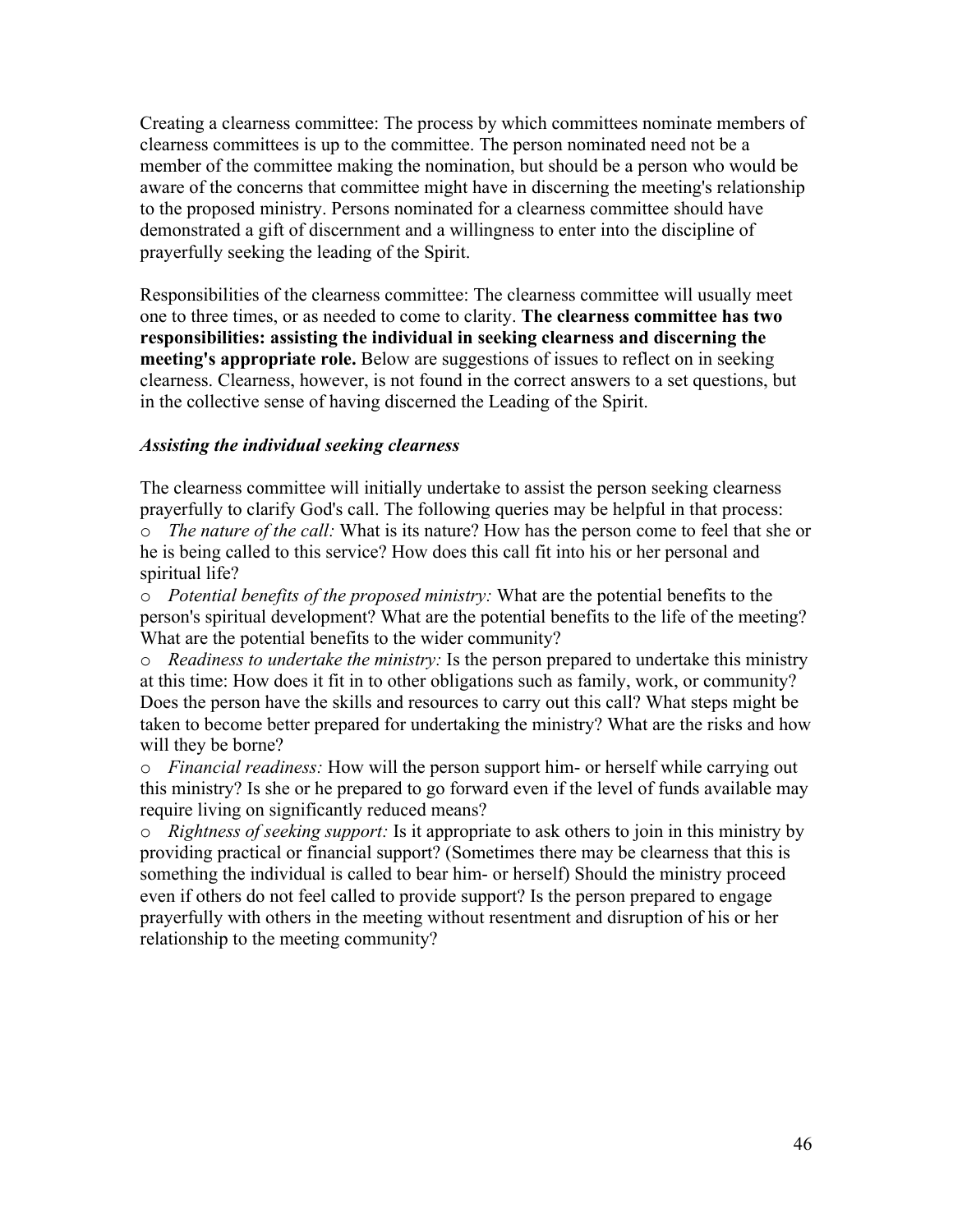Creating a clearness committee: The process by which committees nominate members of clearness committees is up to the committee. The person nominated need not be a member of the committee making the nomination, but should be a person who would be aware of the concerns that committee might have in discerning the meeting's relationship to the proposed ministry. Persons nominated for a clearness committee should have demonstrated a gift of discernment and a willingness to enter into the discipline of prayerfully seeking the leading of the Spirit.

Responsibilities of the clearness committee: The clearness committee will usually meet one to three times, or as needed to come to clarity. **The clearness committee has two responsibilities: assisting the individual in seeking clearness and discerning the meeting's appropriate role.** Below are suggestions of issues to reflect on in seeking clearness. Clearness, however, is not found in the correct answers to a set questions, but in the collective sense of having discerned the Leading of the Spirit.

#### *Assisting the individual seeking clearness*

The clearness committee will initially undertake to assist the person seeking clearness prayerfully to clarify God's call. The following queries may be helpful in that process: o *The nature of the call:* What is its nature? How has the person come to feel that she or he is being called to this service? How does this call fit into his or her personal and spiritual life?

o *Potential benefits of the proposed ministry:* What are the potential benefits to the person's spiritual development? What are the potential benefits to the life of the meeting? What are the potential benefits to the wider community?

o *Readiness to undertake the ministry:* Is the person prepared to undertake this ministry at this time: How does it fit in to other obligations such as family, work, or community? Does the person have the skills and resources to carry out this call? What steps might be taken to become better prepared for undertaking the ministry? What are the risks and how will they be borne?

o *Financial readiness:* How will the person support him- or herself while carrying out this ministry? Is she or he prepared to go forward even if the level of funds available may require living on significantly reduced means?

o *Rightness of seeking support:* Is it appropriate to ask others to join in this ministry by providing practical or financial support? (Sometimes there may be clearness that this is something the individual is called to bear him- or herself) Should the ministry proceed even if others do not feel called to provide support? Is the person prepared to engage prayerfully with others in the meeting without resentment and disruption of his or her relationship to the meeting community?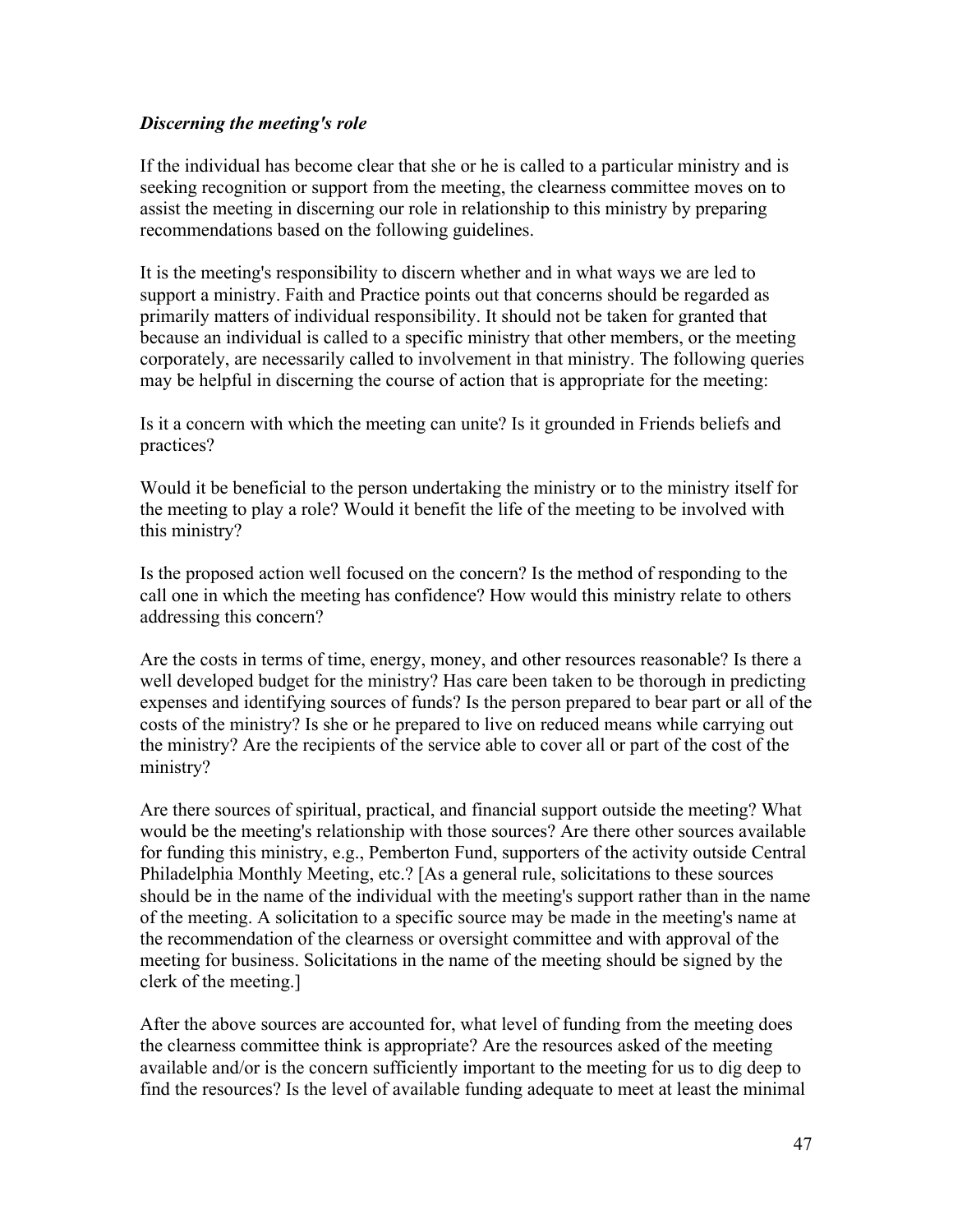#### *Discerning the meeting's role*

If the individual has become clear that she or he is called to a particular ministry and is seeking recognition or support from the meeting, the clearness committee moves on to assist the meeting in discerning our role in relationship to this ministry by preparing recommendations based on the following guidelines.

It is the meeting's responsibility to discern whether and in what ways we are led to support a ministry. Faith and Practice points out that concerns should be regarded as primarily matters of individual responsibility. It should not be taken for granted that because an individual is called to a specific ministry that other members, or the meeting corporately, are necessarily called to involvement in that ministry. The following queries may be helpful in discerning the course of action that is appropriate for the meeting:

Is it a concern with which the meeting can unite? Is it grounded in Friends beliefs and practices?

Would it be beneficial to the person undertaking the ministry or to the ministry itself for the meeting to play a role? Would it benefit the life of the meeting to be involved with this ministry?

Is the proposed action well focused on the concern? Is the method of responding to the call one in which the meeting has confidence? How would this ministry relate to others addressing this concern?

Are the costs in terms of time, energy, money, and other resources reasonable? Is there a well developed budget for the ministry? Has care been taken to be thorough in predicting expenses and identifying sources of funds? Is the person prepared to bear part or all of the costs of the ministry? Is she or he prepared to live on reduced means while carrying out the ministry? Are the recipients of the service able to cover all or part of the cost of the ministry?

Are there sources of spiritual, practical, and financial support outside the meeting? What would be the meeting's relationship with those sources? Are there other sources available for funding this ministry, e.g., Pemberton Fund, supporters of the activity outside Central Philadelphia Monthly Meeting, etc.? [As a general rule, solicitations to these sources should be in the name of the individual with the meeting's support rather than in the name of the meeting. A solicitation to a specific source may be made in the meeting's name at the recommendation of the clearness or oversight committee and with approval of the meeting for business. Solicitations in the name of the meeting should be signed by the clerk of the meeting.]

After the above sources are accounted for, what level of funding from the meeting does the clearness committee think is appropriate? Are the resources asked of the meeting available and/or is the concern sufficiently important to the meeting for us to dig deep to find the resources? Is the level of available funding adequate to meet at least the minimal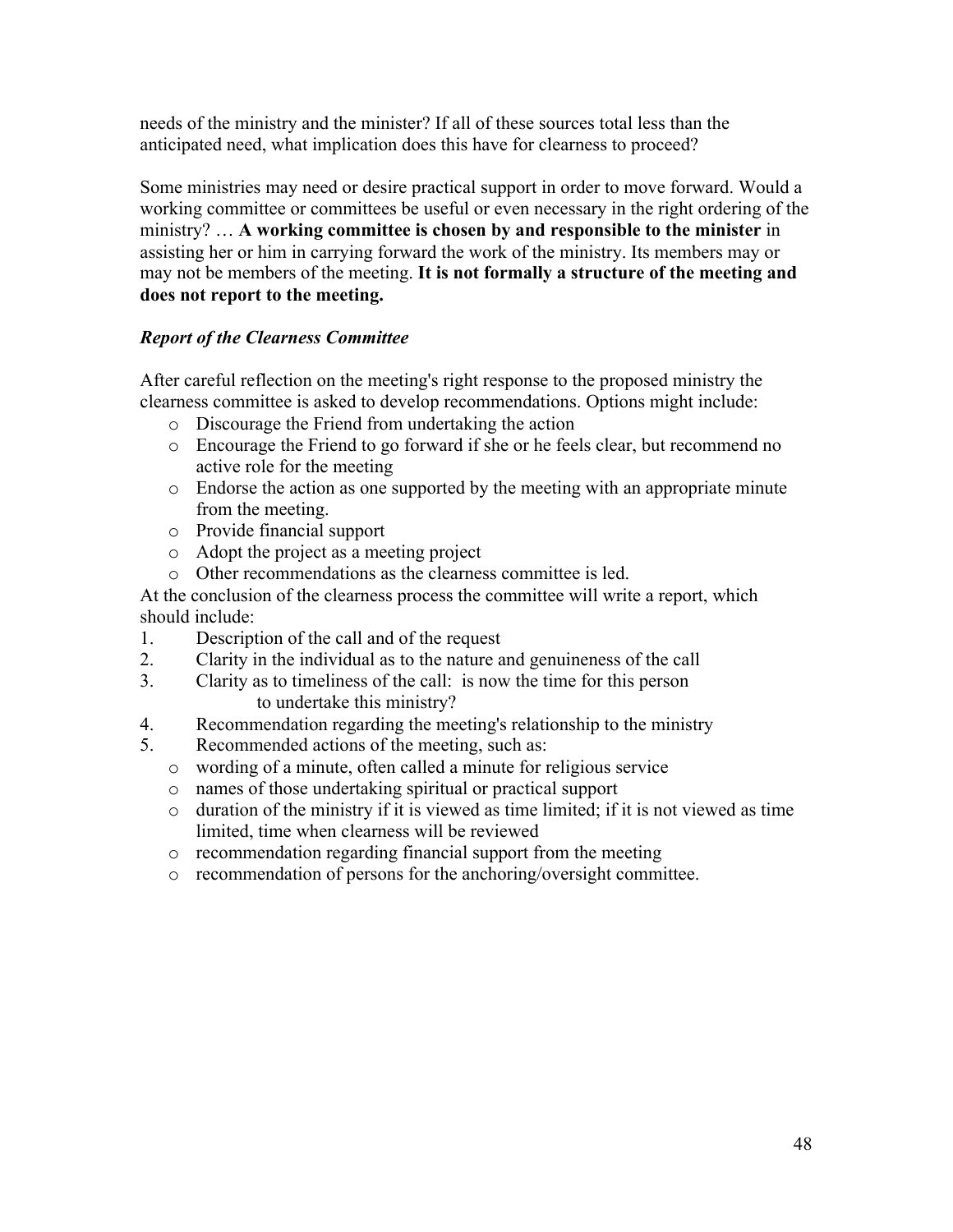needs of the ministry and the minister? If all of these sources total less than the anticipated need, what implication does this have for clearness to proceed?

Some ministries may need or desire practical support in order to move forward. Would a working committee or committees be useful or even necessary in the right ordering of the ministry? … **A working committee is chosen by and responsible to the minister** in assisting her or him in carrying forward the work of the ministry. Its members may or may not be members of the meeting. **It is not formally a structure of the meeting and does not report to the meeting.**

# *Report of the Clearness Committee*

After careful reflection on the meeting's right response to the proposed ministry the clearness committee is asked to develop recommendations. Options might include:

- o Discourage the Friend from undertaking the action
- o Encourage the Friend to go forward if she or he feels clear, but recommend no active role for the meeting
- o Endorse the action as one supported by the meeting with an appropriate minute from the meeting.
- o Provide financial support
- o Adopt the project as a meeting project
- o Other recommendations as the clearness committee is led.

At the conclusion of the clearness process the committee will write a report, which should include:

- 1. Description of the call and of the request
- 2. Clarity in the individual as to the nature and genuineness of the call
- 3. Clarity as to timeliness of the call: is now the time for this person to undertake this ministry?
- 4. Recommendation regarding the meeting's relationship to the ministry
- 5. Recommended actions of the meeting, such as:
	- o wording of a minute, often called a minute for religious service
	- o names of those undertaking spiritual or practical support
	- o duration of the ministry if it is viewed as time limited; if it is not viewed as time limited, time when clearness will be reviewed
	- o recommendation regarding financial support from the meeting
	- o recommendation of persons for the anchoring/oversight committee.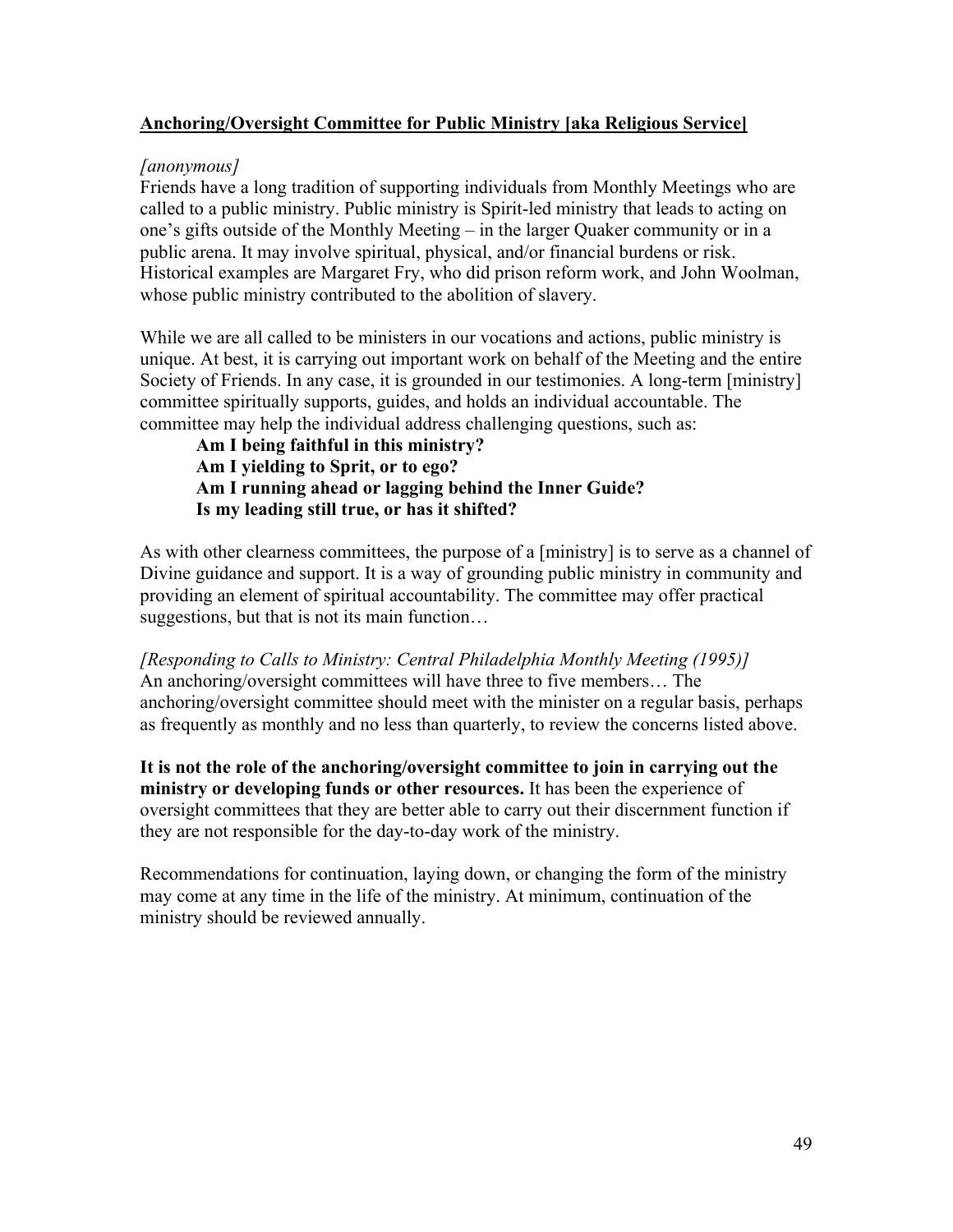### **Anchoring/Oversight Committee for Public Ministry [aka Religious Service]**

### *[anonymous]*

Friends have a long tradition of supporting individuals from Monthly Meetings who are called to a public ministry. Public ministry is Spirit-led ministry that leads to acting on one's gifts outside of the Monthly Meeting – in the larger Quaker community or in a public arena. It may involve spiritual, physical, and/or financial burdens or risk. Historical examples are Margaret Fry, who did prison reform work, and John Woolman, whose public ministry contributed to the abolition of slavery.

While we are all called to be ministers in our vocations and actions, public ministry is unique. At best, it is carrying out important work on behalf of the Meeting and the entire Society of Friends. In any case, it is grounded in our testimonies. A long-term [ministry] committee spiritually supports, guides, and holds an individual accountable. The committee may help the individual address challenging questions, such as:

**Am I being faithful in this ministry? Am I yielding to Sprit, or to ego? Am I running ahead or lagging behind the Inner Guide? Is my leading still true, or has it shifted?**

As with other clearness committees, the purpose of a [ministry] is to serve as a channel of Divine guidance and support. It is a way of grounding public ministry in community and providing an element of spiritual accountability. The committee may offer practical suggestions, but that is not its main function…

*[Responding to Calls to Ministry: Central Philadelphia Monthly Meeting (1995)]* An anchoring/oversight committees will have three to five members… The anchoring/oversight committee should meet with the minister on a regular basis, perhaps as frequently as monthly and no less than quarterly, to review the concerns listed above.

**It is not the role of the anchoring/oversight committee to join in carrying out the ministry or developing funds or other resources.** It has been the experience of oversight committees that they are better able to carry out their discernment function if they are not responsible for the day-to-day work of the ministry.

Recommendations for continuation, laying down, or changing the form of the ministry may come at any time in the life of the ministry. At minimum, continuation of the ministry should be reviewed annually.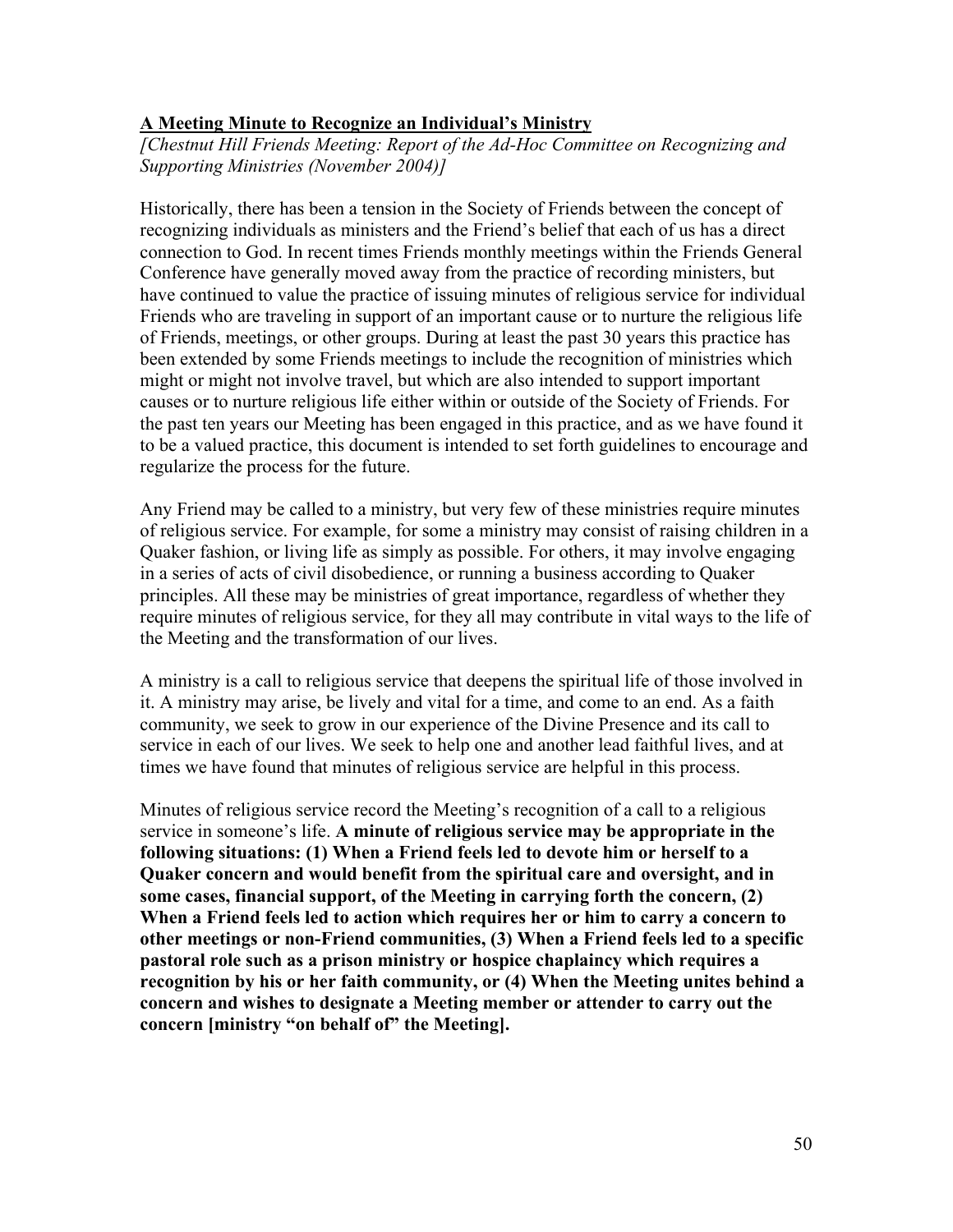#### **A Meeting Minute to Recognize an Individual's Ministry**

*[Chestnut Hill Friends Meeting: Report of the Ad-Hoc Committee on Recognizing and Supporting Ministries (November 2004)]*

Historically, there has been a tension in the Society of Friends between the concept of recognizing individuals as ministers and the Friend's belief that each of us has a direct connection to God. In recent times Friends monthly meetings within the Friends General Conference have generally moved away from the practice of recording ministers, but have continued to value the practice of issuing minutes of religious service for individual Friends who are traveling in support of an important cause or to nurture the religious life of Friends, meetings, or other groups. During at least the past 30 years this practice has been extended by some Friends meetings to include the recognition of ministries which might or might not involve travel, but which are also intended to support important causes or to nurture religious life either within or outside of the Society of Friends. For the past ten years our Meeting has been engaged in this practice, and as we have found it to be a valued practice, this document is intended to set forth guidelines to encourage and regularize the process for the future.

Any Friend may be called to a ministry, but very few of these ministries require minutes of religious service. For example, for some a ministry may consist of raising children in a Quaker fashion, or living life as simply as possible. For others, it may involve engaging in a series of acts of civil disobedience, or running a business according to Quaker principles. All these may be ministries of great importance, regardless of whether they require minutes of religious service, for they all may contribute in vital ways to the life of the Meeting and the transformation of our lives.

A ministry is a call to religious service that deepens the spiritual life of those involved in it. A ministry may arise, be lively and vital for a time, and come to an end. As a faith community, we seek to grow in our experience of the Divine Presence and its call to service in each of our lives. We seek to help one and another lead faithful lives, and at times we have found that minutes of religious service are helpful in this process.

Minutes of religious service record the Meeting's recognition of a call to a religious service in someone's life. **A minute of religious service may be appropriate in the following situations: (1) When a Friend feels led to devote him or herself to a Quaker concern and would benefit from the spiritual care and oversight, and in some cases, financial support, of the Meeting in carrying forth the concern, (2) When a Friend feels led to action which requires her or him to carry a concern to other meetings or non-Friend communities, (3) When a Friend feels led to a specific pastoral role such as a prison ministry or hospice chaplaincy which requires a recognition by his or her faith community, or (4) When the Meeting unites behind a concern and wishes to designate a Meeting member or attender to carry out the concern [ministry "on behalf of" the Meeting].**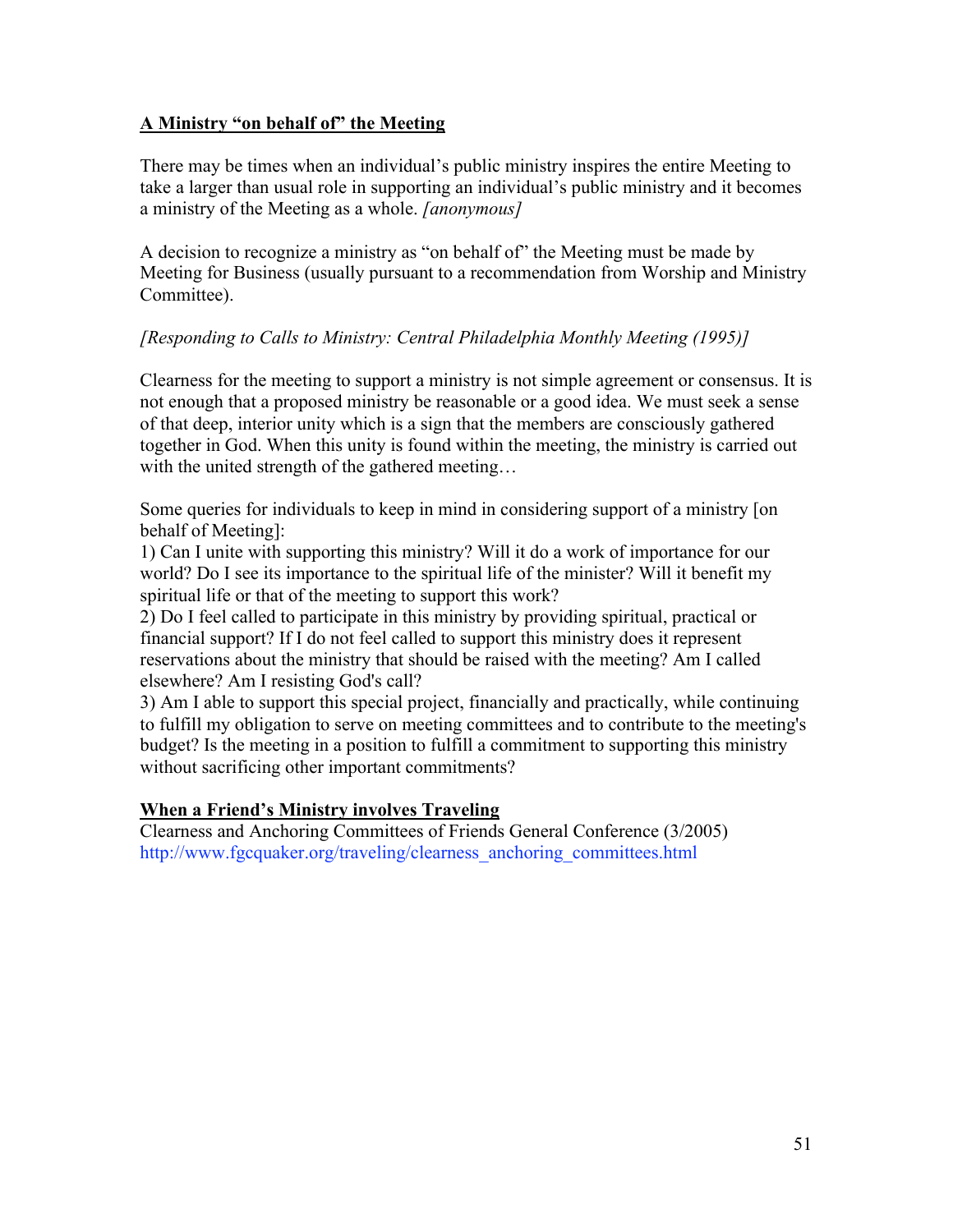### **A Ministry "on behalf of" the Meeting**

There may be times when an individual's public ministry inspires the entire Meeting to take a larger than usual role in supporting an individual's public ministry and it becomes a ministry of the Meeting as a whole. *[anonymous]*

A decision to recognize a ministry as "on behalf of" the Meeting must be made by Meeting for Business (usually pursuant to a recommendation from Worship and Ministry Committee).

# *[Responding to Calls to Ministry: Central Philadelphia Monthly Meeting (1995)]*

Clearness for the meeting to support a ministry is not simple agreement or consensus. It is not enough that a proposed ministry be reasonable or a good idea. We must seek a sense of that deep, interior unity which is a sign that the members are consciously gathered together in God. When this unity is found within the meeting, the ministry is carried out with the united strength of the gathered meeting...

Some queries for individuals to keep in mind in considering support of a ministry [on behalf of Meeting]:

1) Can I unite with supporting this ministry? Will it do a work of importance for our world? Do I see its importance to the spiritual life of the minister? Will it benefit my spiritual life or that of the meeting to support this work?

2) Do I feel called to participate in this ministry by providing spiritual, practical or financial support? If I do not feel called to support this ministry does it represent reservations about the ministry that should be raised with the meeting? Am I called elsewhere? Am I resisting God's call?

3) Am I able to support this special project, financially and practically, while continuing to fulfill my obligation to serve on meeting committees and to contribute to the meeting's budget? Is the meeting in a position to fulfill a commitment to supporting this ministry without sacrificing other important commitments?

### **When a Friend's Ministry involves Traveling**

Clearness and Anchoring Committees of Friends General Conference (3/2005) http://www.fgcquaker.org/traveling/clearness\_anchoring\_committees.html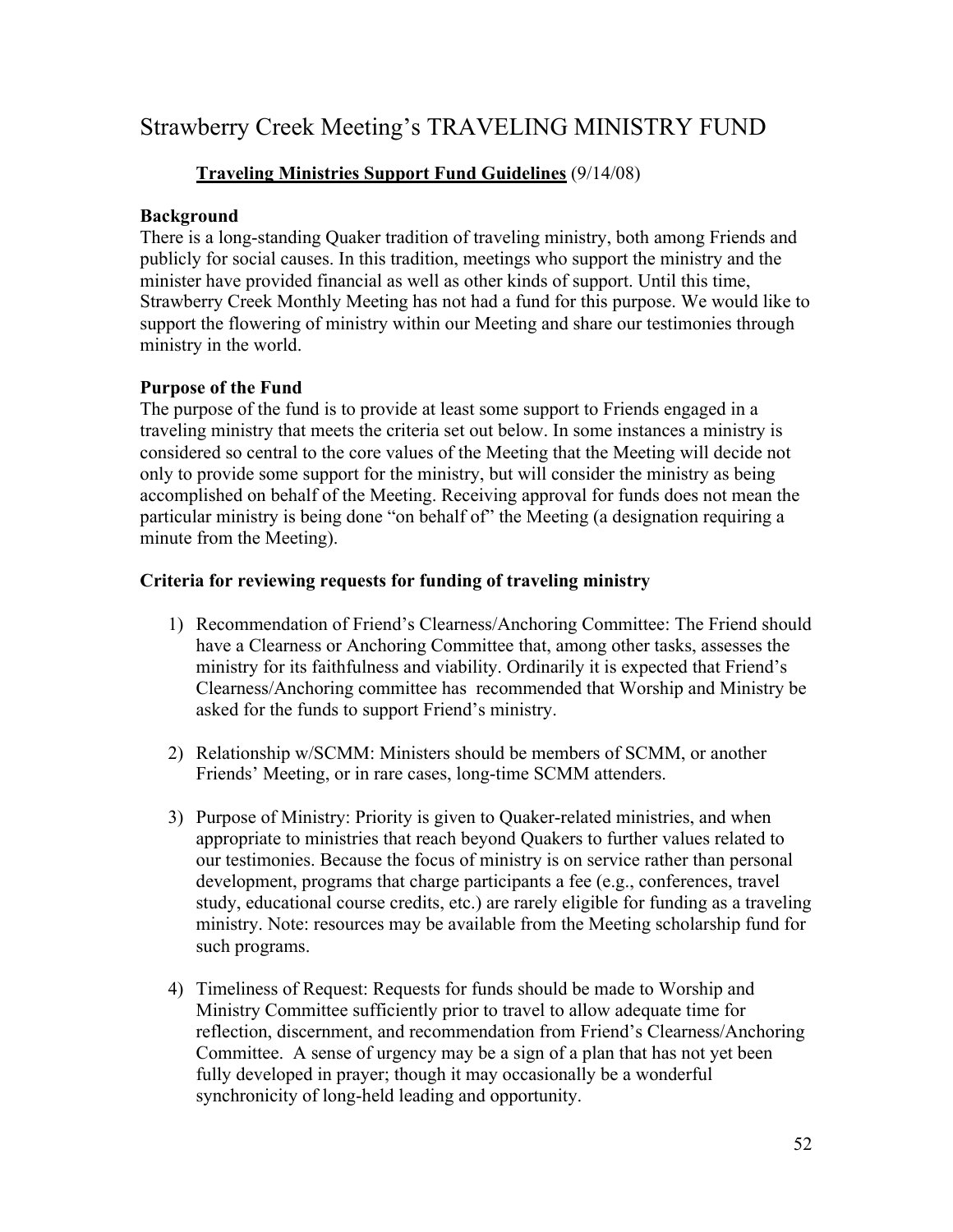# Strawberry Creek Meeting's TRAVELING MINISTRY FUND

# **Traveling Ministries Support Fund Guidelines** (9/14/08)

#### **Background**

There is a long-standing Quaker tradition of traveling ministry, both among Friends and publicly for social causes. In this tradition, meetings who support the ministry and the minister have provided financial as well as other kinds of support. Until this time, Strawberry Creek Monthly Meeting has not had a fund for this purpose. We would like to support the flowering of ministry within our Meeting and share our testimonies through ministry in the world.

#### **Purpose of the Fund**

The purpose of the fund is to provide at least some support to Friends engaged in a traveling ministry that meets the criteria set out below. In some instances a ministry is considered so central to the core values of the Meeting that the Meeting will decide not only to provide some support for the ministry, but will consider the ministry as being accomplished on behalf of the Meeting. Receiving approval for funds does not mean the particular ministry is being done "on behalf of" the Meeting (a designation requiring a minute from the Meeting).

#### **Criteria for reviewing requests for funding of traveling ministry**

- 1) Recommendation of Friend's Clearness/Anchoring Committee: The Friend should have a Clearness or Anchoring Committee that, among other tasks, assesses the ministry for its faithfulness and viability. Ordinarily it is expected that Friend's Clearness/Anchoring committee has recommended that Worship and Ministry be asked for the funds to support Friend's ministry.
- 2) Relationship w/SCMM: Ministers should be members of SCMM, or another Friends' Meeting, or in rare cases, long-time SCMM attenders.
- 3) Purpose of Ministry: Priority is given to Quaker-related ministries, and when appropriate to ministries that reach beyond Quakers to further values related to our testimonies. Because the focus of ministry is on service rather than personal development, programs that charge participants a fee (e.g., conferences, travel study, educational course credits, etc.) are rarely eligible for funding as a traveling ministry. Note: resources may be available from the Meeting scholarship fund for such programs.
- 4) Timeliness of Request: Requests for funds should be made to Worship and Ministry Committee sufficiently prior to travel to allow adequate time for reflection, discernment, and recommendation from Friend's Clearness/Anchoring Committee. A sense of urgency may be a sign of a plan that has not yet been fully developed in prayer; though it may occasionally be a wonderful synchronicity of long-held leading and opportunity.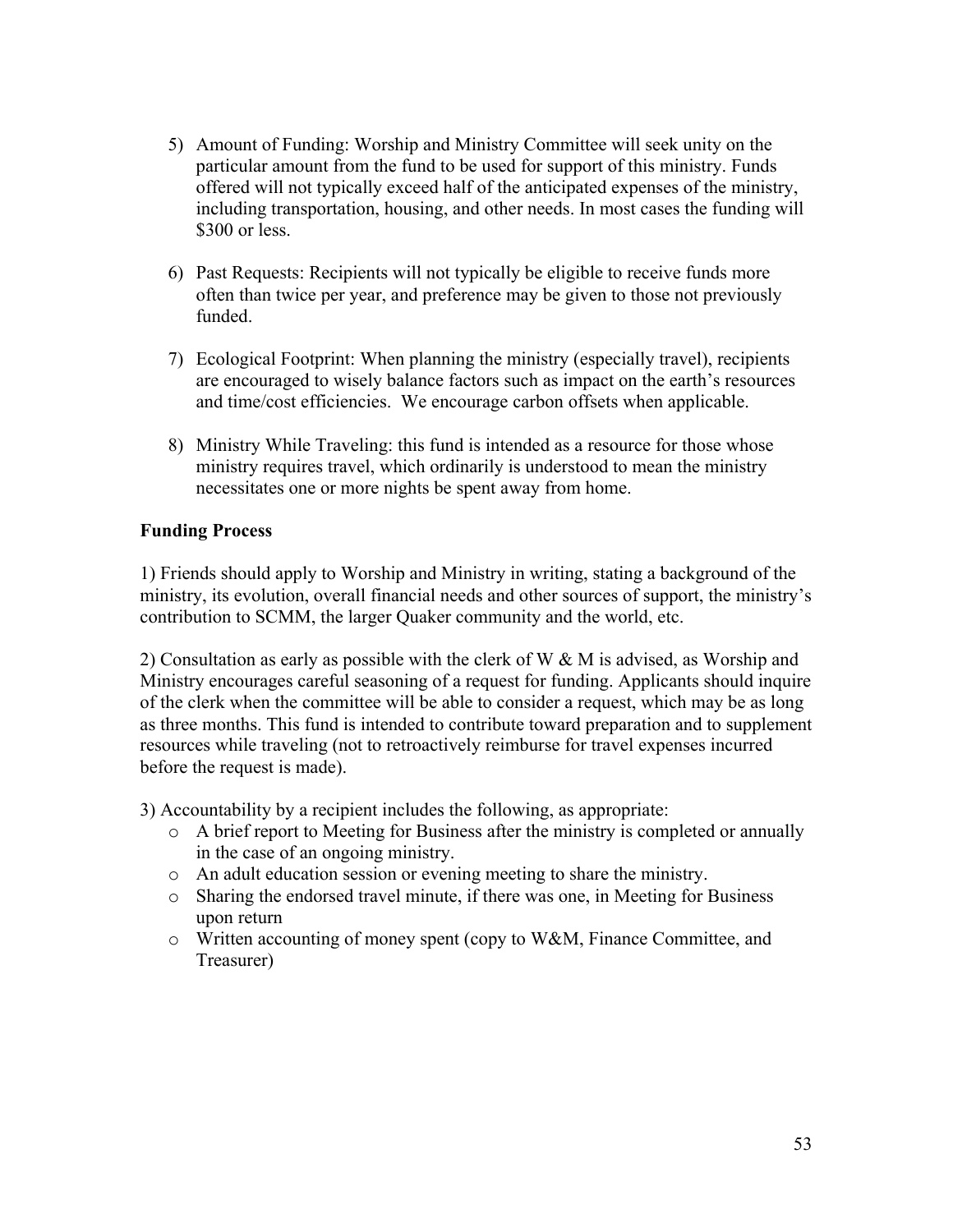- 5) Amount of Funding: Worship and Ministry Committee will seek unity on the particular amount from the fund to be used for support of this ministry. Funds offered will not typically exceed half of the anticipated expenses of the ministry, including transportation, housing, and other needs. In most cases the funding will \$300 or less.
- 6) Past Requests: Recipients will not typically be eligible to receive funds more often than twice per year, and preference may be given to those not previously funded.
- 7) Ecological Footprint: When planning the ministry (especially travel), recipients are encouraged to wisely balance factors such as impact on the earth's resources and time/cost efficiencies. We encourage carbon offsets when applicable.
- 8) Ministry While Traveling: this fund is intended as a resource for those whose ministry requires travel, which ordinarily is understood to mean the ministry necessitates one or more nights be spent away from home.

# **Funding Process**

1) Friends should apply to Worship and Ministry in writing, stating a background of the ministry, its evolution, overall financial needs and other sources of support, the ministry's contribution to SCMM, the larger Quaker community and the world, etc.

2) Consultation as early as possible with the clerk of W & M is advised, as Worship and Ministry encourages careful seasoning of a request for funding. Applicants should inquire of the clerk when the committee will be able to consider a request, which may be as long as three months. This fund is intended to contribute toward preparation and to supplement resources while traveling (not to retroactively reimburse for travel expenses incurred before the request is made).

3) Accountability by a recipient includes the following, as appropriate:

- o A brief report to Meeting for Business after the ministry is completed or annually in the case of an ongoing ministry.
- o An adult education session or evening meeting to share the ministry.
- o Sharing the endorsed travel minute, if there was one, in Meeting for Business upon return
- o Written accounting of money spent (copy to W&M, Finance Committee, and Treasurer)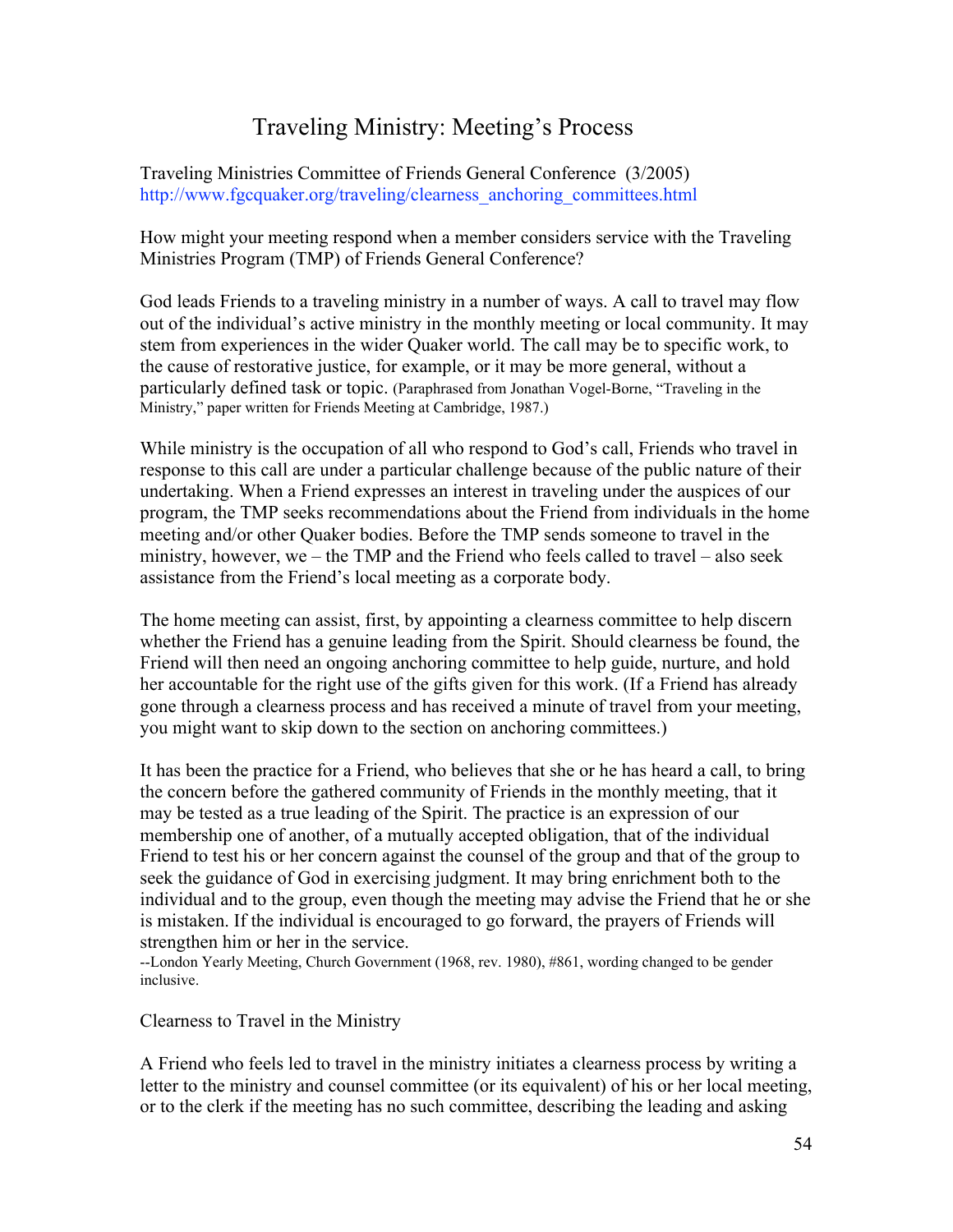# Traveling Ministry: Meeting's Process

Traveling Ministries Committee of Friends General Conference (3/2005) http://www.fgcquaker.org/traveling/clearness\_anchoring\_committees.html

How might your meeting respond when a member considers service with the Traveling Ministries Program (TMP) of Friends General Conference?

God leads Friends to a traveling ministry in a number of ways. A call to travel may flow out of the individual's active ministry in the monthly meeting or local community. It may stem from experiences in the wider Quaker world. The call may be to specific work, to the cause of restorative justice, for example, or it may be more general, without a particularly defined task or topic. (Paraphrased from Jonathan Vogel-Borne, "Traveling in the Ministry," paper written for Friends Meeting at Cambridge, 1987.)

While ministry is the occupation of all who respond to God's call, Friends who travel in response to this call are under a particular challenge because of the public nature of their undertaking. When a Friend expresses an interest in traveling under the auspices of our program, the TMP seeks recommendations about the Friend from individuals in the home meeting and/or other Quaker bodies. Before the TMP sends someone to travel in the ministry, however, we – the TMP and the Friend who feels called to travel – also seek assistance from the Friend's local meeting as a corporate body.

The home meeting can assist, first, by appointing a clearness committee to help discern whether the Friend has a genuine leading from the Spirit. Should clearness be found, the Friend will then need an ongoing anchoring committee to help guide, nurture, and hold her accountable for the right use of the gifts given for this work. (If a Friend has already gone through a clearness process and has received a minute of travel from your meeting, you might want to skip down to the section on anchoring committees.)

It has been the practice for a Friend, who believes that she or he has heard a call, to bring the concern before the gathered community of Friends in the monthly meeting, that it may be tested as a true leading of the Spirit. The practice is an expression of our membership one of another, of a mutually accepted obligation, that of the individual Friend to test his or her concern against the counsel of the group and that of the group to seek the guidance of God in exercising judgment. It may bring enrichment both to the individual and to the group, even though the meeting may advise the Friend that he or she is mistaken. If the individual is encouraged to go forward, the prayers of Friends will strengthen him or her in the service.

--London Yearly Meeting, Church Government (1968, rev. 1980), #861, wording changed to be gender inclusive.

Clearness to Travel in the Ministry

A Friend who feels led to travel in the ministry initiates a clearness process by writing a letter to the ministry and counsel committee (or its equivalent) of his or her local meeting, or to the clerk if the meeting has no such committee, describing the leading and asking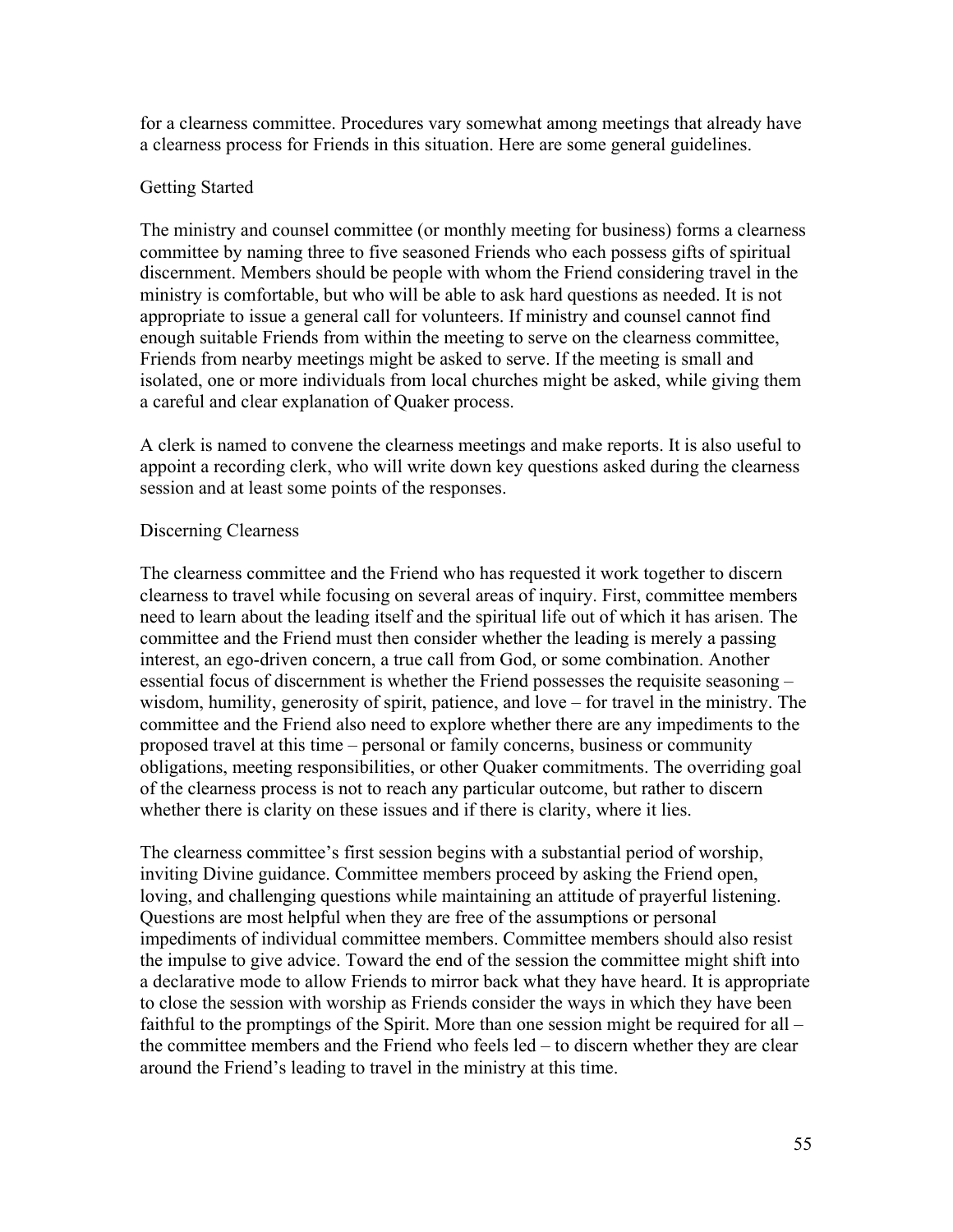for a clearness committee. Procedures vary somewhat among meetings that already have a clearness process for Friends in this situation. Here are some general guidelines.

#### Getting Started

The ministry and counsel committee (or monthly meeting for business) forms a clearness committee by naming three to five seasoned Friends who each possess gifts of spiritual discernment. Members should be people with whom the Friend considering travel in the ministry is comfortable, but who will be able to ask hard questions as needed. It is not appropriate to issue a general call for volunteers. If ministry and counsel cannot find enough suitable Friends from within the meeting to serve on the clearness committee, Friends from nearby meetings might be asked to serve. If the meeting is small and isolated, one or more individuals from local churches might be asked, while giving them a careful and clear explanation of Quaker process.

A clerk is named to convene the clearness meetings and make reports. It is also useful to appoint a recording clerk, who will write down key questions asked during the clearness session and at least some points of the responses.

### Discerning Clearness

The clearness committee and the Friend who has requested it work together to discern clearness to travel while focusing on several areas of inquiry. First, committee members need to learn about the leading itself and the spiritual life out of which it has arisen. The committee and the Friend must then consider whether the leading is merely a passing interest, an ego-driven concern, a true call from God, or some combination. Another essential focus of discernment is whether the Friend possesses the requisite seasoning – wisdom, humility, generosity of spirit, patience, and love – for travel in the ministry. The committee and the Friend also need to explore whether there are any impediments to the proposed travel at this time – personal or family concerns, business or community obligations, meeting responsibilities, or other Quaker commitments. The overriding goal of the clearness process is not to reach any particular outcome, but rather to discern whether there is clarity on these issues and if there is clarity, where it lies.

The clearness committee's first session begins with a substantial period of worship, inviting Divine guidance. Committee members proceed by asking the Friend open, loving, and challenging questions while maintaining an attitude of prayerful listening. Questions are most helpful when they are free of the assumptions or personal impediments of individual committee members. Committee members should also resist the impulse to give advice. Toward the end of the session the committee might shift into a declarative mode to allow Friends to mirror back what they have heard. It is appropriate to close the session with worship as Friends consider the ways in which they have been faithful to the promptings of the Spirit. More than one session might be required for all – the committee members and the Friend who feels led – to discern whether they are clear around the Friend's leading to travel in the ministry at this time.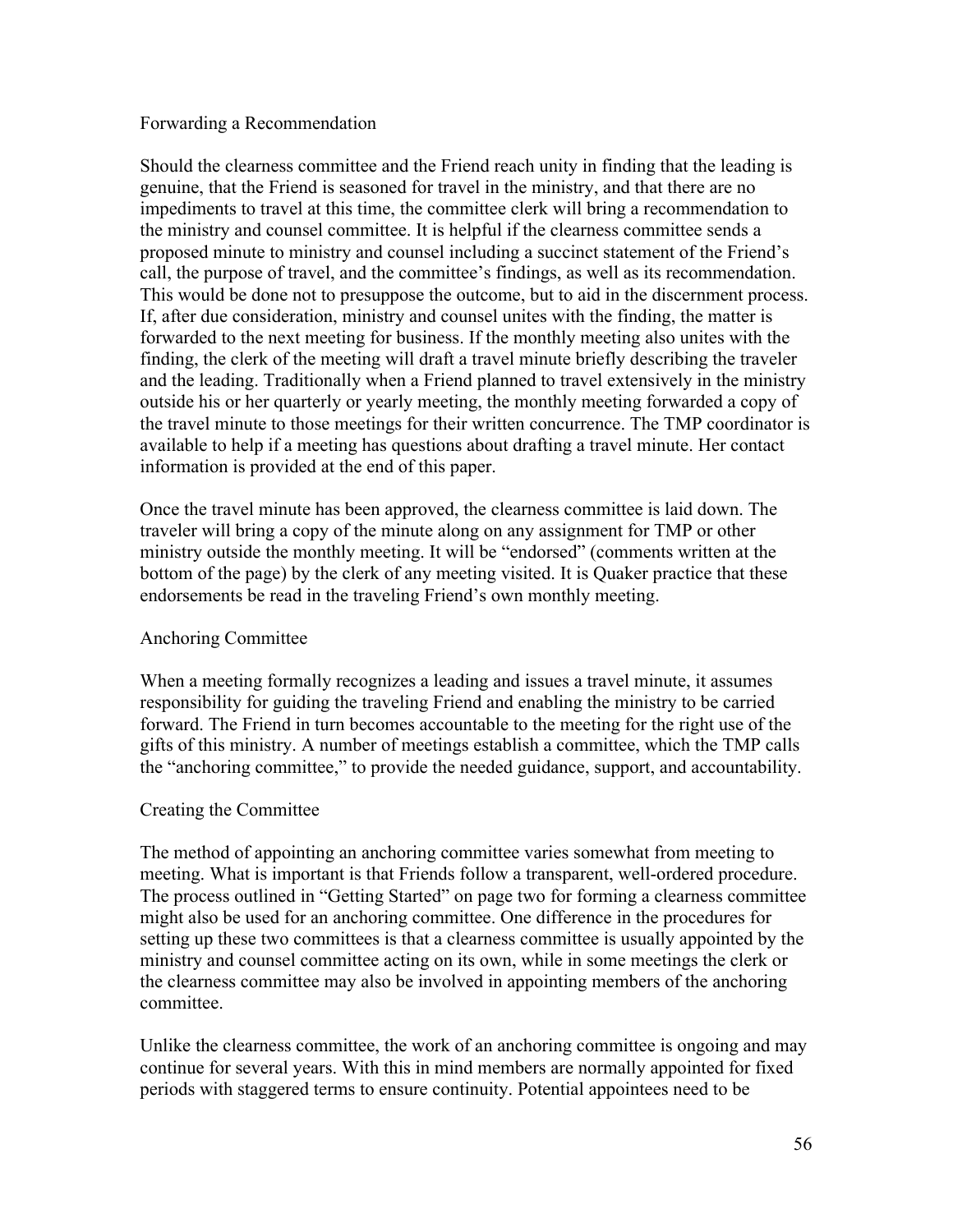#### Forwarding a Recommendation

Should the clearness committee and the Friend reach unity in finding that the leading is genuine, that the Friend is seasoned for travel in the ministry, and that there are no impediments to travel at this time, the committee clerk will bring a recommendation to the ministry and counsel committee. It is helpful if the clearness committee sends a proposed minute to ministry and counsel including a succinct statement of the Friend's call, the purpose of travel, and the committee's findings, as well as its recommendation. This would be done not to presuppose the outcome, but to aid in the discernment process. If, after due consideration, ministry and counsel unites with the finding, the matter is forwarded to the next meeting for business. If the monthly meeting also unites with the finding, the clerk of the meeting will draft a travel minute briefly describing the traveler and the leading. Traditionally when a Friend planned to travel extensively in the ministry outside his or her quarterly or yearly meeting, the monthly meeting forwarded a copy of the travel minute to those meetings for their written concurrence. The TMP coordinator is available to help if a meeting has questions about drafting a travel minute. Her contact information is provided at the end of this paper.

Once the travel minute has been approved, the clearness committee is laid down. The traveler will bring a copy of the minute along on any assignment for TMP or other ministry outside the monthly meeting. It will be "endorsed" (comments written at the bottom of the page) by the clerk of any meeting visited. It is Quaker practice that these endorsements be read in the traveling Friend's own monthly meeting.

### Anchoring Committee

When a meeting formally recognizes a leading and issues a travel minute, it assumes responsibility for guiding the traveling Friend and enabling the ministry to be carried forward. The Friend in turn becomes accountable to the meeting for the right use of the gifts of this ministry. A number of meetings establish a committee, which the TMP calls the "anchoring committee," to provide the needed guidance, support, and accountability.

#### Creating the Committee

The method of appointing an anchoring committee varies somewhat from meeting to meeting. What is important is that Friends follow a transparent, well-ordered procedure. The process outlined in "Getting Started" on page two for forming a clearness committee might also be used for an anchoring committee. One difference in the procedures for setting up these two committees is that a clearness committee is usually appointed by the ministry and counsel committee acting on its own, while in some meetings the clerk or the clearness committee may also be involved in appointing members of the anchoring committee.

Unlike the clearness committee, the work of an anchoring committee is ongoing and may continue for several years. With this in mind members are normally appointed for fixed periods with staggered terms to ensure continuity. Potential appointees need to be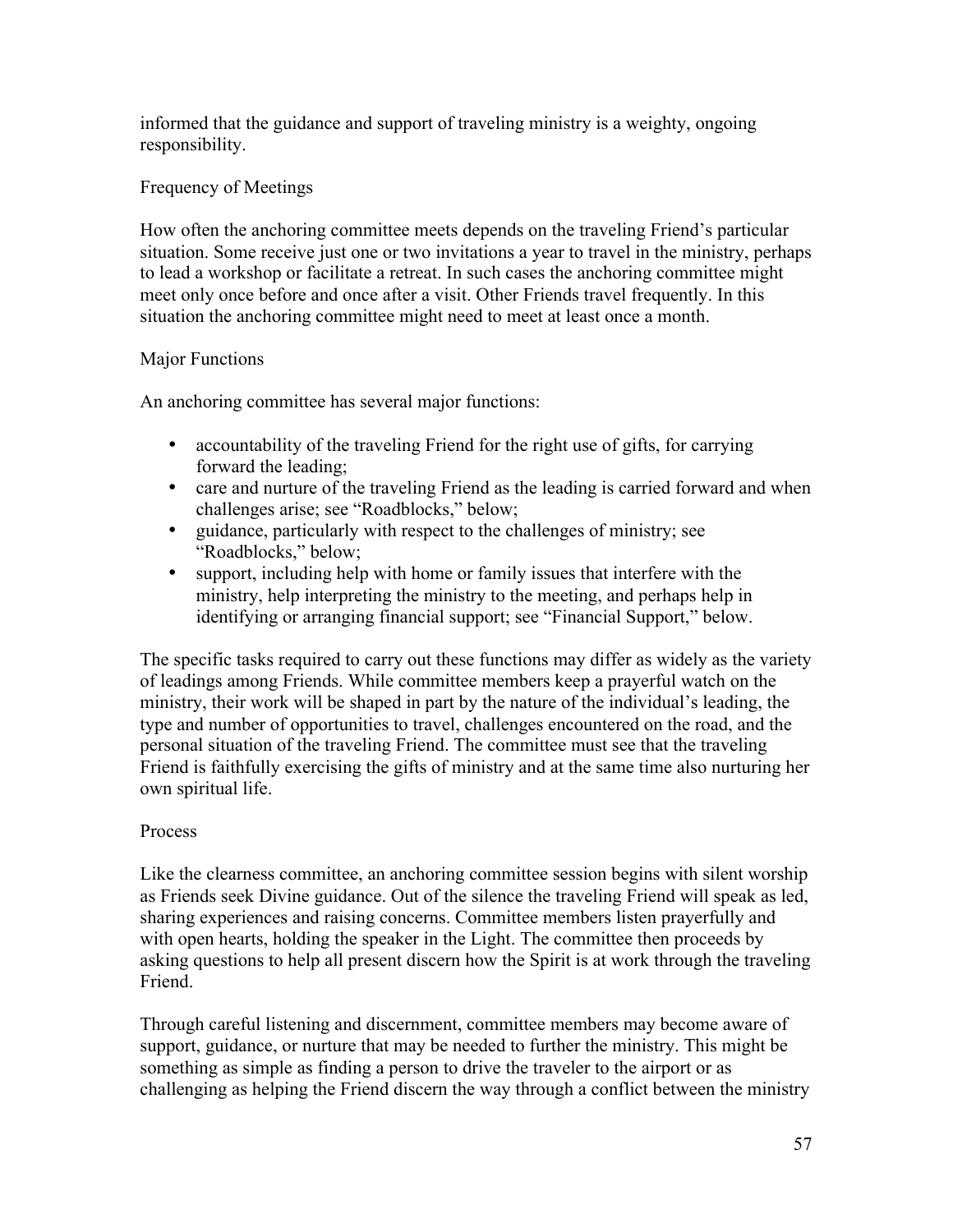informed that the guidance and support of traveling ministry is a weighty, ongoing responsibility.

### Frequency of Meetings

How often the anchoring committee meets depends on the traveling Friend's particular situation. Some receive just one or two invitations a year to travel in the ministry, perhaps to lead a workshop or facilitate a retreat. In such cases the anchoring committee might meet only once before and once after a visit. Other Friends travel frequently. In this situation the anchoring committee might need to meet at least once a month.

#### Major Functions

An anchoring committee has several major functions:

- accountability of the traveling Friend for the right use of gifts, for carrying forward the leading;
- care and nurture of the traveling Friend as the leading is carried forward and when challenges arise; see "Roadblocks," below;
- guidance, particularly with respect to the challenges of ministry; see "Roadblocks," below;
- support, including help with home or family issues that interfere with the ministry, help interpreting the ministry to the meeting, and perhaps help in identifying or arranging financial support; see "Financial Support," below.

The specific tasks required to carry out these functions may differ as widely as the variety of leadings among Friends. While committee members keep a prayerful watch on the ministry, their work will be shaped in part by the nature of the individual's leading, the type and number of opportunities to travel, challenges encountered on the road, and the personal situation of the traveling Friend. The committee must see that the traveling Friend is faithfully exercising the gifts of ministry and at the same time also nurturing her own spiritual life.

#### Process

Like the clearness committee, an anchoring committee session begins with silent worship as Friends seek Divine guidance. Out of the silence the traveling Friend will speak as led, sharing experiences and raising concerns. Committee members listen prayerfully and with open hearts, holding the speaker in the Light. The committee then proceeds by asking questions to help all present discern how the Spirit is at work through the traveling Friend.

Through careful listening and discernment, committee members may become aware of support, guidance, or nurture that may be needed to further the ministry. This might be something as simple as finding a person to drive the traveler to the airport or as challenging as helping the Friend discern the way through a conflict between the ministry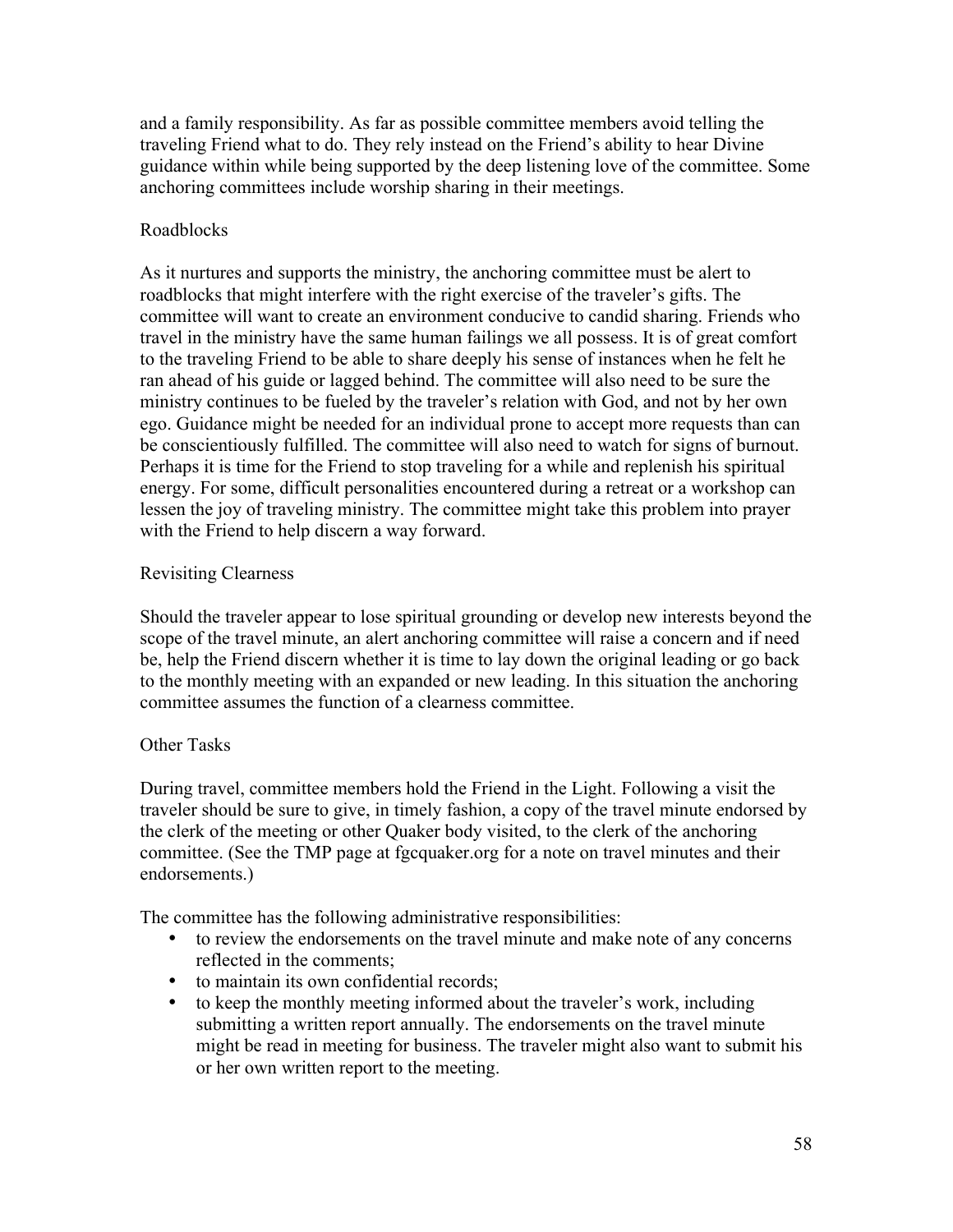and a family responsibility. As far as possible committee members avoid telling the traveling Friend what to do. They rely instead on the Friend's ability to hear Divine guidance within while being supported by the deep listening love of the committee. Some anchoring committees include worship sharing in their meetings.

### Roadblocks

As it nurtures and supports the ministry, the anchoring committee must be alert to roadblocks that might interfere with the right exercise of the traveler's gifts. The committee will want to create an environment conducive to candid sharing. Friends who travel in the ministry have the same human failings we all possess. It is of great comfort to the traveling Friend to be able to share deeply his sense of instances when he felt he ran ahead of his guide or lagged behind. The committee will also need to be sure the ministry continues to be fueled by the traveler's relation with God, and not by her own ego. Guidance might be needed for an individual prone to accept more requests than can be conscientiously fulfilled. The committee will also need to watch for signs of burnout. Perhaps it is time for the Friend to stop traveling for a while and replenish his spiritual energy. For some, difficult personalities encountered during a retreat or a workshop can lessen the joy of traveling ministry. The committee might take this problem into prayer with the Friend to help discern a way forward.

### Revisiting Clearness

Should the traveler appear to lose spiritual grounding or develop new interests beyond the scope of the travel minute, an alert anchoring committee will raise a concern and if need be, help the Friend discern whether it is time to lay down the original leading or go back to the monthly meeting with an expanded or new leading. In this situation the anchoring committee assumes the function of a clearness committee.

### Other Tasks

During travel, committee members hold the Friend in the Light. Following a visit the traveler should be sure to give, in timely fashion, a copy of the travel minute endorsed by the clerk of the meeting or other Quaker body visited, to the clerk of the anchoring committee. (See the TMP page at fgcquaker.org for a note on travel minutes and their endorsements.)

The committee has the following administrative responsibilities:

- to review the endorsements on the travel minute and make note of any concerns reflected in the comments;
- to maintain its own confidential records;
- to keep the monthly meeting informed about the traveler's work, including submitting a written report annually. The endorsements on the travel minute might be read in meeting for business. The traveler might also want to submit his or her own written report to the meeting.